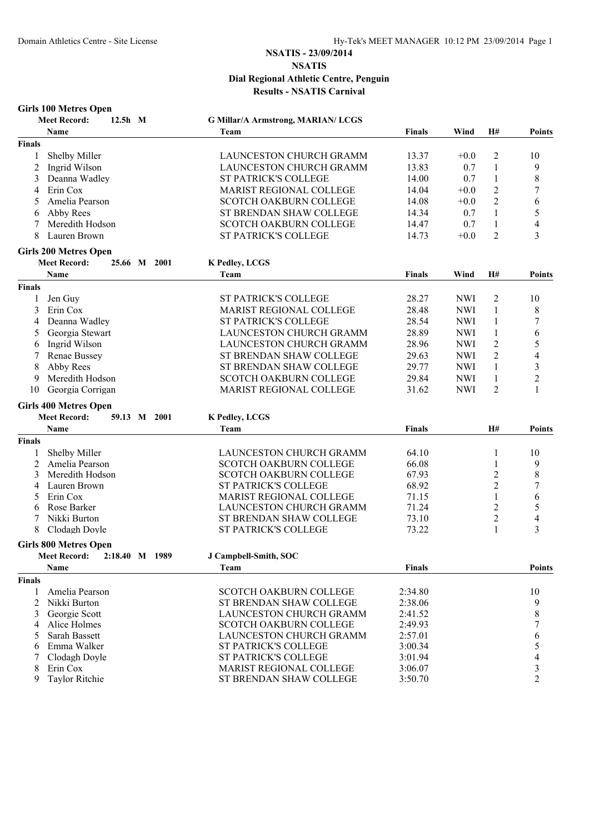**Girls 100 Metres Open Meet Record: 12.5h M G Millar/A Armstrong, MARIAN/ LCGS Name Team Finals Wind H# Points Finals** 1 Shelby Miller LAUNCESTON CHURCH GRAMM 13.37 +0.0 2 10 2 Ingrid Wilson CHUNCESTON CHURCH GRAMM 13.83 0.7 1 9 3 Deanna Wadley **ST PATRICK'S COLLEGE** 14.00 0.7 1 8 4 Erin Cox MARIST REGIONAL COLLEGE 14.04 +0.0 2 7 5 Amelia Pearson SCOTCH OAKBURN COLLEGE 14.08 +0.0 2 6 6 Abby Rees ST BRENDAN SHAW COLLEGE 14.34 0.7 1 5 7 Meredith Hodson SCOTCH OAKBURN COLLEGE 14.47 0.7 1 4 8 Lauren Brown ST PATRICK'S COLLEGE 14.73 +0.0 2 3 **Girls 200 Metres Open Meet Record: 25.66 M 2001 K Pedley, LCGS Name Team Finals Wind H# Points Finals** 1 Jen Guy ST PATRICK'S COLLEGE 28.27 NWI 2 10 3 Erin Cox MARIST REGIONAL COLLEGE 28.48 NWI 1 8 4 Deanna Wadley ST PATRICK'S COLLEGE 28.54 NWI 1 7 5 Georgia Stewart LAUNCESTON CHURCH GRAMMAR 28.89 NWI 1 6 6 Ingrid Wilson **EXECUTE LAUNCESTON CHURCH GRAMM** 28.96 NWI 2 5 7 Renae Bussey ST BRENDAN SHAW COLLEGE 29.63 NWI 2 4 8 Abby Rees ST BRENDAN SHAW COLLEGE 29.77 NWI 1 3 9 Meredith Hodson SCOTCH OAKBURN COLLEGE 29.84 NWI 1 2 10 Georgia Corrigan MARIST REGIONAL COLLEGE 31.62 NWI 2 1 **Girls 400 Metres Open Meet Record: 59.13 M 2001 K Pedley, LCGS Name Team Finals H# Points Finals** 1 Shelby Miller LAUNCESTON CHURCH GRAMMAR 64.10 1 10 2 Amelia Pearson SCOTCH OAKBURN COLLEGE 66.08 1 3 Meredith Hodson SCOTCH OAKBURN COLLEGE 67.93 2 8 4 Lauren Brown ST PATRICK'S COLLEGE 68.92 2 7 5 Erin Cox MARIST REGIONAL COLLEGE 71.15 1 6 6 Rose Barker LAUNCESTON CHURCH GRAMMAR 71.24 2 5 7 Nikki Burton ST BRENDAN SHAW COLLEGE 73.10 2 4 8 Clodagh Doyle ST PATRICK'S COLLEGE 73.22 **Girls 800 Metres Open Meet Record: 2:18.40 M 1989 J Campbell-Smith, SOC Name Team Finals Points Finals** 1 Amelia Pearson SCOTCH OAKBURN COLLEGE 2:34.80 10 **27 BRENDAN SHAW COLLEGE** 3 Georgie Scott LAUNCESTON CHURCH GRAMMAR 2:41.52 8 4 Alice Holmes SCOTCH OAKBURN COLLEGE 2:49.93 7 5 Sarah Bassett LAUNCESTON CHURCH GRAMMAR 2:57.01 6 6 Emma Walker ST PATRICK'S COLLEGE 3:00.34 5 7 Clodagh Doyle ST PATRICK'S COLLEGE 3:01.94 4<br>8 Erin Cox MARIST REGIONAL COLLEGE 3:06.07 3 8 Erin Cox MARIST REGIONAL COLLEGE 3:06.07 3

ST BRENDAN SHAW COLLEGE 3:50.70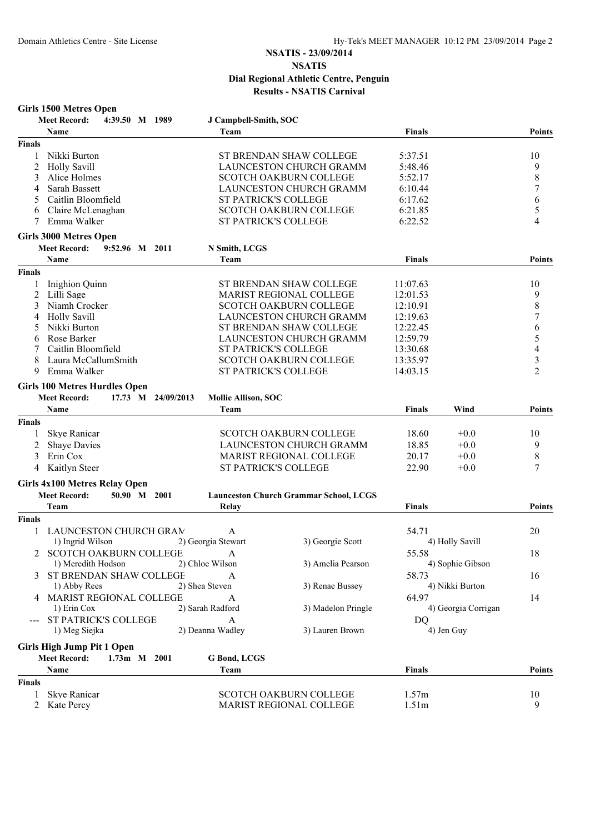| <b>Girls 1500 Metres Open</b>             |                             |                                               |               |                     |                  |
|-------------------------------------------|-----------------------------|-----------------------------------------------|---------------|---------------------|------------------|
| <b>Meet Record:</b><br>4:39.50 M 1989     | J Campbell-Smith, SOC       |                                               |               |                     |                  |
| Name                                      | Team                        |                                               | <b>Finals</b> |                     | Points           |
| <b>Finals</b>                             |                             |                                               |               |                     |                  |
| Nikki Burton<br>1                         |                             | ST BRENDAN SHAW COLLEGE                       | 5:37.51       |                     | 10               |
| 2<br><b>Holly Savill</b>                  |                             | <b>LAUNCESTON CHURCH GRAMM</b>                | 5:48.46       |                     | 9                |
| 3<br>Alice Holmes                         |                             | <b>SCOTCH OAKBURN COLLEGE</b>                 | 5:52.17       |                     | $\,$ 8 $\,$      |
| Sarah Bassett<br>4                        |                             | LAUNCESTON CHURCH GRAMM                       | 6:10.44       |                     | 7                |
| Caitlin Bloomfield<br>5                   | ST PATRICK'S COLLEGE        |                                               | 6:17.62       |                     | 6                |
| Claire McLenaghan<br>6                    |                             | <b>SCOTCH OAKBURN COLLEGE</b>                 | 6:21.85       |                     | 5                |
| Emma Walker<br>7                          | ST PATRICK'S COLLEGE        |                                               | 6:22.52       |                     | $\overline{4}$   |
| <b>Girls 3000 Metres Open</b>             |                             |                                               |               |                     |                  |
| <b>Meet Record:</b><br>9:52.96 M 2011     | N Smith, LCGS               |                                               |               |                     |                  |
| Name                                      | Team                        |                                               | <b>Finals</b> |                     | Points           |
| Finals                                    |                             |                                               |               |                     |                  |
| Inighion Quinn<br>1                       |                             | ST BRENDAN SHAW COLLEGE                       | 11:07.63      |                     | 10               |
| $\overline{c}$<br>Lilli Sage              |                             | <b>MARIST REGIONAL COLLEGE</b>                | 12:01.53      |                     | 9                |
| 3<br>Niamh Crocker                        |                             | SCOTCH OAKBURN COLLEGE                        | 12:10.91      |                     | $\,$ 8 $\,$      |
| <b>Holly Savill</b><br>4                  |                             | <b>LAUNCESTON CHURCH GRAMM</b>                | 12:19.63      |                     | $\overline{7}$   |
| Nikki Burton<br>5                         |                             | ST BRENDAN SHAW COLLEGE                       | 12:22.45      |                     | $\boldsymbol{6}$ |
| Rose Barker<br>6                          |                             | LAUNCESTON CHURCH GRAMM                       | 12:59.79      |                     | 5                |
| 7<br>Caitlin Bloomfield                   | <b>ST PATRICK'S COLLEGE</b> |                                               | 13:30.68      |                     | 4                |
| Laura McCallumSmith<br>8                  |                             | <b>SCOTCH OAKBURN COLLEGE</b>                 | 13:35.97      |                     | 3                |
| 9<br>Emma Walker                          | <b>ST PATRICK'S COLLEGE</b> |                                               | 14:03.15      |                     | $\overline{2}$   |
|                                           |                             |                                               |               |                     |                  |
| <b>Girls 100 Metres Hurdles Open</b>      |                             |                                               |               |                     |                  |
| <b>Meet Record:</b><br>17.73 M 24/09/2013 | Mollie Allison, SOC         |                                               |               |                     |                  |
| Name                                      | Team                        |                                               | <b>Finals</b> | Wind                | Points           |
| <b>Finals</b>                             |                             |                                               |               |                     |                  |
| Skye Ranicar<br>1                         |                             | <b>SCOTCH OAKBURN COLLEGE</b>                 | 18.60         | $+0.0$              | 10               |
| <b>Shaye Davies</b><br>2                  |                             | LAUNCESTON CHURCH GRAMM                       | 18.85         | $+0.0$              | 9                |
| 3<br>Erin Cox                             |                             | MARIST REGIONAL COLLEGE                       | 20.17         | $+0.0$              | 8                |
| $\overline{4}$<br>Kaitlyn Steer           | ST PATRICK'S COLLEGE        |                                               | 22.90         | $+0.0$              | $\overline{7}$   |
| Girls 4x100 Metres Relay Open             |                             |                                               |               |                     |                  |
| <b>Meet Record:</b><br>50.90 M 2001       |                             | <b>Launceston Church Grammar School, LCGS</b> |               |                     |                  |
| Team                                      | Relay                       |                                               | <b>Finals</b> |                     | Points           |
| <b>Finals</b>                             |                             |                                               |               |                     |                  |
| LAUNCESTON CHURCH GRAM<br>1               |                             |                                               | 54.71         |                     |                  |
|                                           | A<br>2) Georgia Stewart     |                                               |               |                     | 20               |
| 1) Ingrid Wilson                          |                             | 3) Georgie Scott                              |               | 4) Holly Savill     |                  |
| <b>SCOTCH OAKBURN COLLEGE</b>             | A                           |                                               | 55.58         |                     | 18               |
| 1) Meredith Hodson                        | 2) Chloe Wilson             | 3) Amelia Pearson                             |               | 4) Sophie Gibson    |                  |
| ST BRENDAN SHAW COLLEGE<br>3              | A                           |                                               | 58.73         |                     | 16               |
| 1) Abby Rees                              | 2) Shea Steven              | 3) Renae Bussey                               |               | 4) Nikki Burton     |                  |
| 4 MARIST REGIONAL COLLEGE                 | A                           |                                               | 64.97         |                     | 14               |
| 1) Erin Cox                               | 2) Sarah Radford            | 3) Madelon Pringle                            |               | 4) Georgia Corrigan |                  |
| ST PATRICK'S COLLEGE                      | A                           |                                               | DQ            |                     |                  |
| 1) Meg Siejka                             | 2) Deanna Wadley            | 3) Lauren Brown                               |               | 4) Jen Guy          |                  |
| <b>Girls High Jump Pit 1 Open</b>         |                             |                                               |               |                     |                  |
| <b>Meet Record:</b><br>1.73m M 2001       | G Bond, LCGS                |                                               |               |                     |                  |
| Name                                      | Team                        |                                               | <b>Finals</b> |                     | <b>Points</b>    |
| <b>Finals</b>                             |                             |                                               |               |                     |                  |
| Skye Ranicar<br>1                         |                             | SCOTCH OAKBURN COLLEGE                        | 1.57m         |                     | 10               |
| Kate Percy<br>2                           |                             | MARIST REGIONAL COLLEGE                       | 1.51m         |                     | 9                |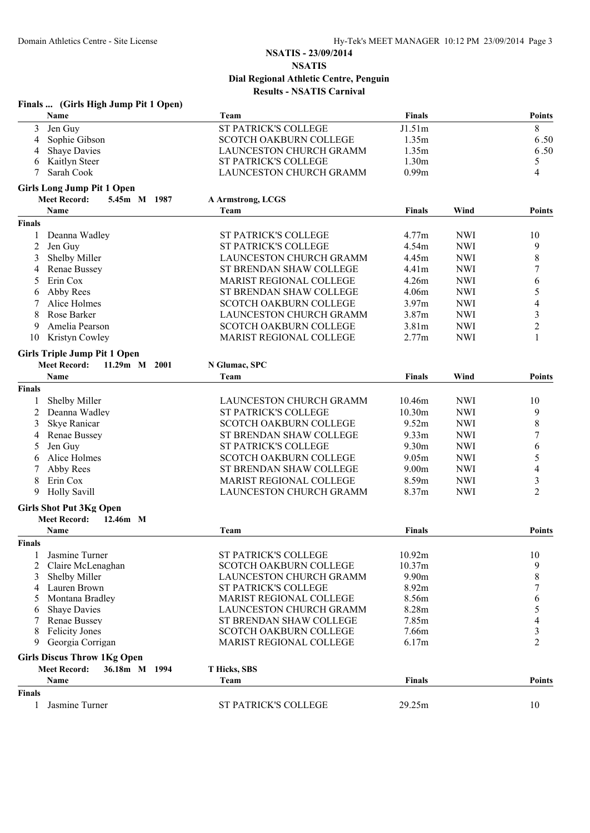|               | Finals  (Girls High Jump Pit 1 Open) |                                |                   |            |                          |
|---------------|--------------------------------------|--------------------------------|-------------------|------------|--------------------------|
|               | Name                                 | Team                           | Finals            |            | Points                   |
| 3             | Jen Guy                              | <b>ST PATRICK'S COLLEGE</b>    | J1.51m            |            | 8                        |
| 4             | Sophie Gibson                        | <b>SCOTCH OAKBURN COLLEGE</b>  | 1.35m             |            | 6.50                     |
| 4             | <b>Shaye Davies</b>                  | LAUNCESTON CHURCH GRAMM        | 1.35m             |            | 6.50                     |
| 6             | Kaitlyn Steer                        | ST PATRICK'S COLLEGE           | 1.30m             |            | 5                        |
| 7             | Sarah Cook                           | LAUNCESTON CHURCH GRAMM        | 0.99m             |            | 4                        |
|               | <b>Girls Long Jump Pit 1 Open</b>    |                                |                   |            |                          |
|               | <b>Meet Record:</b><br>5.45m M 1987  | A Armstrong, LCGS              |                   |            |                          |
|               | <b>Name</b>                          | Team                           | <b>Finals</b>     | Wind       | Points                   |
| <b>Finals</b> |                                      |                                |                   |            |                          |
| 1             | Deanna Wadley                        | ST PATRICK'S COLLEGE           | 4.77m             | <b>NWI</b> | 10                       |
| 2             | Jen Guy                              | ST PATRICK'S COLLEGE           | 4.54m             | <b>NWI</b> | 9                        |
| 3             | Shelby Miller                        | LAUNCESTON CHURCH GRAMM        | 4.45m             | <b>NWI</b> | 8                        |
| 4             | Renae Bussey                         | ST BRENDAN SHAW COLLEGE        | 4.41m             | <b>NWI</b> | 7                        |
| 5             | Erin Cox                             | <b>MARIST REGIONAL COLLEGE</b> | 4.26m             | <b>NWI</b> | 6                        |
| 6             | Abby Rees                            | ST BRENDAN SHAW COLLEGE        | 4.06m             | <b>NWI</b> | 5                        |
|               | Alice Holmes                         | <b>SCOTCH OAKBURN COLLEGE</b>  | 3.97m             | <b>NWI</b> | $\overline{\mathcal{L}}$ |
| 8             | Rose Barker                          | LAUNCESTON CHURCH GRAMM        | 3.87m             | <b>NWI</b> | 3                        |
| 9             | Amelia Pearson                       | <b>SCOTCH OAKBURN COLLEGE</b>  | 3.81m             | <b>NWI</b> | $\overline{c}$           |
| 10            | Kristyn Cowley                       | MARIST REGIONAL COLLEGE        | 2.77m             | <b>NWI</b> | $\mathbf{1}$             |
|               | <b>Girls Triple Jump Pit 1 Open</b>  |                                |                   |            |                          |
|               | <b>Meet Record:</b><br>11.29m M 2001 | N Glumac, SPC                  |                   |            |                          |
|               | Name                                 | Team                           | <b>Finals</b>     | Wind       | <b>Points</b>            |
| <b>Finals</b> |                                      |                                |                   |            |                          |
|               |                                      |                                |                   |            |                          |
| 1             | Shelby Miller                        | LAUNCESTON CHURCH GRAMM        | 10.46m            | <b>NWI</b> | 10                       |
| 2             | Deanna Wadley                        | ST PATRICK'S COLLEGE           | 10.30m            | <b>NWI</b> | 9                        |
| 3             | Skye Ranicar                         | <b>SCOTCH OAKBURN COLLEGE</b>  | 9.52m             | <b>NWI</b> | $\,8\,$                  |
|               | Renae Bussey                         | ST BRENDAN SHAW COLLEGE        | 9.33 <sub>m</sub> | <b>NWI</b> | 7                        |
| 5             | Jen Guy                              | ST PATRICK'S COLLEGE           | 9.30m             | <b>NWI</b> | 6                        |
| 6             | Alice Holmes                         | SCOTCH OAKBURN COLLEGE         | 9.05m             | <b>NWI</b> | 5                        |
| 7             | Abby Rees                            | ST BRENDAN SHAW COLLEGE        | 9.00m             | <b>NWI</b> | 4                        |
| 8             | Erin Cox                             | MARIST REGIONAL COLLEGE        | 8.59m             | <b>NWI</b> | 3                        |
| 9             | <b>Holly Savill</b>                  | LAUNCESTON CHURCH GRAMM        | 8.37m             | <b>NWI</b> | $\overline{2}$           |
|               | <b>Girls Shot Put 3Kg Open</b>       |                                |                   |            |                          |
|               | <b>Meet Record:</b><br>12.46m M      |                                |                   |            |                          |
|               | Name                                 | Team                           | <b>Finals</b>     |            | Points                   |
| <b>Finals</b> |                                      |                                |                   |            |                          |
|               | Jasmine Turner                       | ST PATRICK'S COLLEGE           | 10.92m            |            | 10                       |
| 2             | Claire McLenaghan                    | <b>SCOTCH OAKBURN COLLEGE</b>  | 10.37m            |            | 9                        |
| 3             | Shelby Miller                        | LAUNCESTON CHURCH GRAMM        | 9.90m             |            | 8                        |
| 4             | Lauren Brown                         | <b>ST PATRICK'S COLLEGE</b>    | 8.92m             |            | 7                        |
| 5             | Montana Bradley                      | MARIST REGIONAL COLLEGE        | 8.56m             |            | 6                        |
| 6             | <b>Shaye Davies</b>                  | LAUNCESTON CHURCH GRAMM        | 8.28m             |            | 5                        |
|               | Renae Bussey                         | ST BRENDAN SHAW COLLEGE        | 7.85m             |            | 4                        |
| 8             | <b>Felicity Jones</b>                | <b>SCOTCH OAKBURN COLLEGE</b>  | 7.66m             |            | 3                        |
| 9             | Georgia Corrigan                     | <b>MARIST REGIONAL COLLEGE</b> | 6.17m             |            | $\overline{2}$           |
|               | <b>Girls Discus Throw 1Kg Open</b>   |                                |                   |            |                          |
|               | <b>Meet Record:</b><br>36.18m M 1994 | T Hicks, SBS                   |                   |            |                          |
|               | Name                                 | Team                           | <b>Finals</b>     |            | <b>Points</b>            |
| <b>Finals</b> |                                      |                                |                   |            |                          |
| 1             | Jasmine Turner                       | ST PATRICK'S COLLEGE           | 29.25m            |            | 10                       |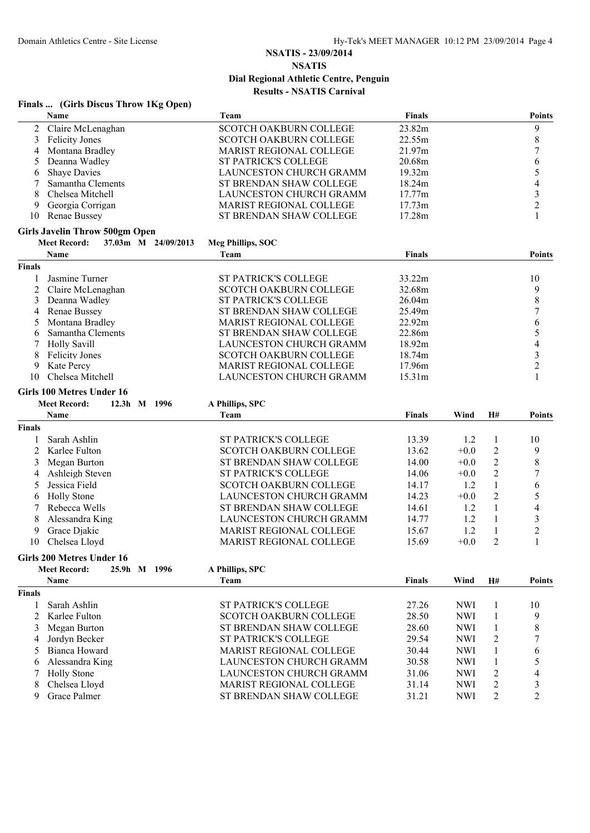|               | Finals  (Girls Discus Throw 1Kg Open)      |                                |               |            |                |                |
|---------------|--------------------------------------------|--------------------------------|---------------|------------|----------------|----------------|
|               | Name                                       | Team                           | <b>Finals</b> |            |                | <b>Points</b>  |
| 2             | Claire McLenaghan                          | SCOTCH OAKBURN COLLEGE         | 23.82m        |            |                | 9              |
| 3             | <b>Felicity Jones</b>                      | <b>SCOTCH OAKBURN COLLEGE</b>  | 22.55m        |            |                | $\,$ 8 $\,$    |
| 4             | Montana Bradley                            | MARIST REGIONAL COLLEGE        | 21.97m        |            |                | 7              |
| 5             | Deanna Wadley                              | ST PATRICK'S COLLEGE           | 20.68m        |            |                | 6              |
| 6             | <b>Shaye Davies</b>                        | LAUNCESTON CHURCH GRAMM        | 19.32m        |            |                | 5              |
| 7             | Samantha Clements                          | ST BRENDAN SHAW COLLEGE        | 18.24m        |            |                | 4              |
| 8             | Chelsea Mitchell                           | LAUNCESTON CHURCH GRAMM        | 17.77m        |            |                | 3              |
| 9             | Georgia Corrigan                           | MARIST REGIONAL COLLEGE        | 17.73m        |            |                | $\overline{2}$ |
| 10            | <b>Renae Bussey</b>                        | ST BRENDAN SHAW COLLEGE        | 17.28m        |            |                | 1              |
|               | <b>Girls Javelin Throw 500gm Open</b>      |                                |               |            |                |                |
|               | <b>Meet Record:</b><br>37.03m M 24/09/2013 | Meg Phillips, SOC              |               |            |                |                |
|               | Name                                       | Team                           | <b>Finals</b> |            |                | Points         |
| <b>Finals</b> |                                            |                                |               |            |                |                |
| 1             | Jasmine Turner                             | <b>ST PATRICK'S COLLEGE</b>    | 33.22m        |            |                | 10             |
| 2             | Claire McLenaghan                          | <b>SCOTCH OAKBURN COLLEGE</b>  | 32.68m        |            |                | 9              |
| 3             | Deanna Wadley                              | <b>ST PATRICK'S COLLEGE</b>    | 26.04m        |            |                | $\,8\,$        |
| 4             | <b>Renae Bussey</b>                        | ST BRENDAN SHAW COLLEGE        | 25.49m        |            |                | 7              |
| 5             | Montana Bradley                            | MARIST REGIONAL COLLEGE        | 22.92m        |            |                | 6              |
| 6             | Samantha Clements                          | ST BRENDAN SHAW COLLEGE        | 22.86m        |            |                | 5              |
| 7             | <b>Holly Savill</b>                        | LAUNCESTON CHURCH GRAMM        | 18.92m        |            |                | 4              |
| 8             | <b>Felicity Jones</b>                      | <b>SCOTCH OAKBURN COLLEGE</b>  | 18.74m        |            |                | 3              |
| 9             | Kate Percy                                 | MARIST REGIONAL COLLEGE        | 17.96m        |            |                | $\overline{2}$ |
| 10            | Chelsea Mitchell                           | LAUNCESTON CHURCH GRAMM        | 15.31m        |            |                | 1              |
|               | Girls 100 Metres Under 16                  |                                |               |            |                |                |
|               | <b>Meet Record:</b><br>12.3h M 1996        | A Phillips, SPC                |               |            |                |                |
|               | Name                                       | Team                           | <b>Finals</b> | Wind       | H#             | <b>Points</b>  |
| <b>Finals</b> |                                            |                                |               |            |                |                |
| 1             | Sarah Ashlin                               | <b>ST PATRICK'S COLLEGE</b>    | 13.39         | 1.2        | $\mathbf{1}$   | 10             |
| 2             | Karlee Fulton                              | <b>SCOTCH OAKBURN COLLEGE</b>  | 13.62         | $+0.0$     | $\overline{c}$ | 9              |
| 3             | Megan Burton                               | ST BRENDAN SHAW COLLEGE        | 14.00         | $+0.0$     | $\overline{2}$ | 8              |
| 4             | Ashleigh Steven                            | ST PATRICK'S COLLEGE           | 14.06         | $+0.0$     | $\overline{2}$ | 7              |
| 5             | Jessica Field                              | <b>SCOTCH OAKBURN COLLEGE</b>  | 14.17         | 1.2        | $\mathbf{1}$   | 6              |
| 6             | <b>Holly Stone</b>                         | LAUNCESTON CHURCH GRAMM        | 14.23         | $+0.0$     | $\overline{2}$ | 5              |
|               | Rebecca Wells                              | ST BRENDAN SHAW COLLEGE        | 14.61         | 1.2        | 1              | 4              |
| 8             | Alessandra King                            | LAUNCESTON CHURCH GRAMM        | 14.77         | 1.2        | 1              | 3              |
| 9             | Grace Djakic                               | <b>MARIST REGIONAL COLLEGE</b> | 15.67         | 1.2        | 1              | $\overline{c}$ |
|               | 10 Chelsea Lloyd                           | MARIST REGIONAL COLLEGE        | 15.69         | $+0.0$     | $\sqrt{2}$     | $\mathbf{1}$   |
|               | Girls 200 Metres Under 16                  |                                |               |            |                |                |
|               | <b>Meet Record:</b><br>25.9h M 1996        | A Phillips, SPC                |               |            |                |                |
|               | Name                                       | Team                           | Finals        | Wind       | H#             | <b>Points</b>  |
| <b>Finals</b> |                                            |                                |               |            |                |                |
| 1             | Sarah Ashlin                               | ST PATRICK'S COLLEGE           | 27.26         | <b>NWI</b> | 1              | 10             |
| 2             | Karlee Fulton                              | <b>SCOTCH OAKBURN COLLEGE</b>  | 28.50         | <b>NWI</b> | 1              | 9              |
| 3             | Megan Burton                               | ST BRENDAN SHAW COLLEGE        | 28.60         | <b>NWI</b> | 1              | 8              |
| 4             | Jordyn Becker                              | ST PATRICK'S COLLEGE           | 29.54         | <b>NWI</b> | 2              | 7              |
| 5             | Bianca Howard                              | <b>MARIST REGIONAL COLLEGE</b> | 30.44         | <b>NWI</b> | 1              | 6              |
| 6             | Alessandra King                            | LAUNCESTON CHURCH GRAMM        | 30.58         | <b>NWI</b> | 1              | 5              |
| 7             | <b>Holly Stone</b>                         | LAUNCESTON CHURCH GRAMM        | 31.06         | <b>NWI</b> | $\overline{c}$ | $\overline{4}$ |
| 8             | Chelsea Lloyd                              | MARIST REGIONAL COLLEGE        | 31.14         | <b>NWI</b> | $\overline{c}$ | 3              |
| 9             | Grace Palmer                               | ST BRENDAN SHAW COLLEGE        | 31.21         | <b>NWI</b> | 2              | $\overline{2}$ |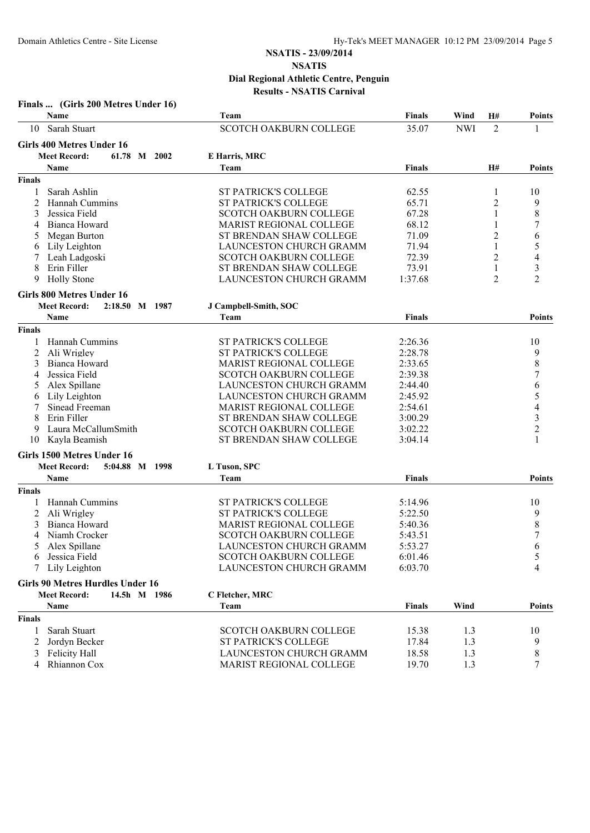|               | Finals  (Girls 200 Metres Under 16)<br>Name                             | Team                           | <b>Finals</b> | Wind<br>H# | <b>Points</b>                    |
|---------------|-------------------------------------------------------------------------|--------------------------------|---------------|------------|----------------------------------|
| 10            | Sarah Stuart                                                            | <b>SCOTCH OAKBURN COLLEGE</b>  | 35.07         | <b>NWI</b> | $\overline{2}$<br>1              |
|               |                                                                         |                                |               |            |                                  |
|               | <b>Girls 400 Metres Under 16</b><br>61.78 M 2002<br><b>Meet Record:</b> |                                |               |            |                                  |
|               | Name                                                                    | E Harris, MRC<br>Team          | <b>Finals</b> | H#         | Points                           |
| <b>Finals</b> |                                                                         |                                |               |            |                                  |
|               | Sarah Ashlin                                                            | <b>ST PATRICK'S COLLEGE</b>    | 62.55         | 1          | 10                               |
| 2             | Hannah Cummins                                                          | <b>ST PATRICK'S COLLEGE</b>    | 65.71         |            | 9<br>2                           |
| 3             | Jessica Field                                                           | <b>SCOTCH OAKBURN COLLEGE</b>  | 67.28         |            | $\,$ 8 $\,$<br>1                 |
| 4             | Bianca Howard                                                           | MARIST REGIONAL COLLEGE        | 68.12         |            | $\boldsymbol{7}$<br>1            |
|               | Megan Burton                                                            | ST BRENDAN SHAW COLLEGE        | 71.09         |            | 2<br>6                           |
| 6             | Lily Leighton                                                           | LAUNCESTON CHURCH GRAMM        | 71.94         |            | 5<br>1                           |
| 7             | Leah Ladgoski                                                           | <b>SCOTCH OAKBURN COLLEGE</b>  | 72.39         |            | 2<br>4                           |
| 8             | Erin Filler                                                             | ST BRENDAN SHAW COLLEGE        | 73.91         |            | $\mathfrak{Z}$<br>1              |
| 9             | <b>Holly Stone</b>                                                      | LAUNCESTON CHURCH GRAMM        | 1:37.68       |            | $\overline{2}$<br>$\overline{2}$ |
|               | <b>Girls 800 Metres Under 16</b>                                        |                                |               |            |                                  |
|               | <b>Meet Record:</b><br>2:18.50 M 1987                                   | J Campbell-Smith, SOC          |               |            |                                  |
|               | Name                                                                    | Team                           | <b>Finals</b> |            | <b>Points</b>                    |
| <b>Finals</b> |                                                                         |                                |               |            |                                  |
| 1             | Hannah Cummins                                                          | ST PATRICK'S COLLEGE           | 2:26.36       |            | 10                               |
| 2             | Ali Wrigley                                                             | ST PATRICK'S COLLEGE           | 2:28.78       |            | 9                                |
| 3             | <b>Bianca Howard</b>                                                    | <b>MARIST REGIONAL COLLEGE</b> | 2:33.65       |            | $\,$ 8 $\,$                      |
| 4             | Jessica Field                                                           | SCOTCH OAKBURN COLLEGE         | 2:39.38       |            | $\boldsymbol{7}$                 |
| 5             | Alex Spillane                                                           | LAUNCESTON CHURCH GRAMM        | 2:44.40       |            | 6                                |
| 6             | Lily Leighton                                                           | LAUNCESTON CHURCH GRAMM        | 2:45.92       |            | 5                                |
| 7             | Sinead Freeman                                                          | MARIST REGIONAL COLLEGE        | 2:54.61       |            | 4                                |
| 8             | Erin Filler                                                             | ST BRENDAN SHAW COLLEGE        | 3:00.29       |            | $\mathfrak{Z}$                   |
| 9             | Laura McCallumSmith                                                     | <b>SCOTCH OAKBURN COLLEGE</b>  | 3:02.22       |            | $\overline{2}$                   |
| 10            | Kayla Beamish                                                           | ST BRENDAN SHAW COLLEGE        | 3:04.14       |            | 1                                |
|               | Girls 1500 Metres Under 16                                              |                                |               |            |                                  |
|               | <b>Meet Record:</b><br>5:04.88 M 1998                                   | L Tuson, SPC                   |               |            |                                  |
|               | Name                                                                    | Team                           | <b>Finals</b> |            | <b>Points</b>                    |
| <b>Finals</b> |                                                                         |                                |               |            |                                  |
| 1             | Hannah Cummins                                                          | <b>ST PATRICK'S COLLEGE</b>    | 5:14.96       |            | 10                               |
| 2             | Ali Wrigley                                                             | <b>ST PATRICK'S COLLEGE</b>    | 5:22.50       |            | 9                                |
| 3             | Bianca Howard                                                           | <b>MARIST REGIONAL COLLEGE</b> | 5:40.36       |            | $\,$ $\,$                        |
| 4             | Niamh Crocker                                                           | <b>SCOTCH OAKBURN COLLEGE</b>  | 5:43.51       |            | $\overline{7}$                   |
|               | 5 Alex Spillane                                                         | LAUNCESTON CHURCH GRAMM        | 5:53.27       |            | 6                                |
| 6             | Jessica Field                                                           | <b>SCOTCH OAKBURN COLLEGE</b>  | 6:01.46       |            | $\sqrt{5}$                       |
| 7             | Lily Leighton                                                           | LAUNCESTON CHURCH GRAMM        | 6:03.70       |            | 4                                |
|               | <b>Girls 90 Metres Hurdles Under 16</b>                                 |                                |               |            |                                  |
|               | <b>Meet Record:</b><br>14.5h M 1986                                     | C Fletcher, MRC                |               |            |                                  |
|               | <b>Name</b>                                                             | Team                           | Finals        | Wind       | <b>Points</b>                    |
| <b>Finals</b> |                                                                         |                                |               |            |                                  |
| 1             | Sarah Stuart                                                            | SCOTCH OAKBURN COLLEGE         | 15.38         | 1.3        | 10                               |
| 2             | Jordyn Becker                                                           | ST PATRICK'S COLLEGE           | 17.84         | 1.3        | 9                                |
| 3             | Felicity Hall                                                           | <b>LAUNCESTON CHURCH GRAMM</b> | 18.58         | 1.3        | $\,$ $\,$                        |
| 4             | Rhiannon Cox                                                            | MARIST REGIONAL COLLEGE        | 19.70         | 1.3        | $\tau$                           |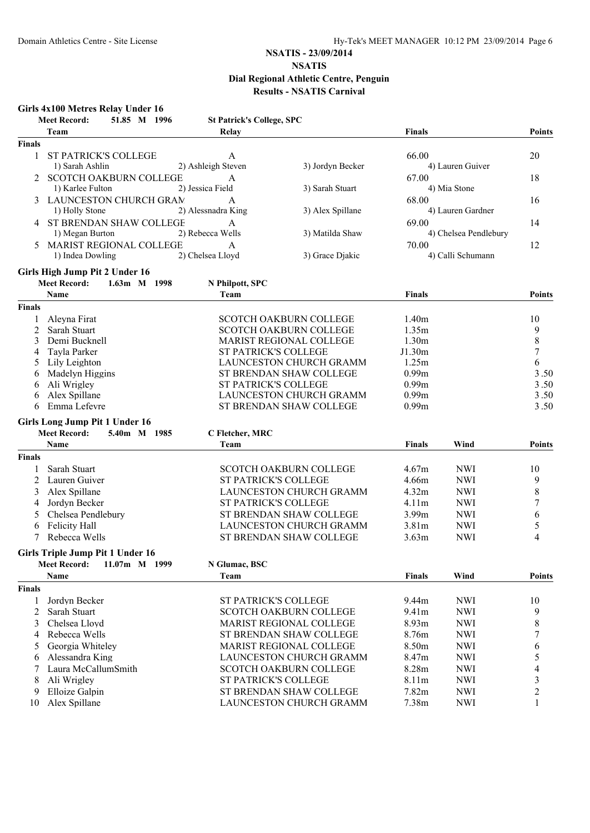#### **Girls 4x100 Metres Relay Under 16 Meet Record: 51.85 M 1996 St Patrick's College, SPC Team Relay Finals Points Finals** 1 ST PATRICK'S COLLEGE A 66.00 20 1) Sarah Ashlin 2) Ashleigh Steven 3) Jordyn Becker 4) Lauren Guiver 2 SCOTCH OAKBURN COLLEGE A 67.00 18 1) Karlee Fulton 2) Jessica Field 3) Sarah Stuart 4) Mia Stone 3 LAUNCESTON CHURCH GRAM A 68.00 68.00 16 1) Holly Stone 2) Alessnadra King 3) Alex Spillane 4) Lauren Gardner 4 ST BRENDAN SHAW COLLEGE A 69.00 14 1) Megan Burton 2) Rebecca Wells 3) Matilda Shaw 4) Chelsea Pendlebury 5 MARIST REGIONAL COLLEGE A<br>
12 1) Indea Dowling 2) Chelsea Lloyd 3) Grace Diakic 4) Calli Schumann 2) Chelsea Lloyd 3) Grace Djakic 4) Calli Schumann **Girls High Jump Pit 2 Under 16 Meet Record: 1.63m M 1998 N Philpott, SPC Name Team Finals Points Finals** 1 Aleyna Firat 10 SCOTCH OAKBURN COLLEGE 1.40m 2 Sarah Stuart SCOTCH OAKBURN COLLEGE 1.35m 9 3 Demi Bucknell MARIST REGIONAL COLLEGE 1.30m 8 4 Tayla Parker ST PATRICK'S COLLEGE J1.30m 7 5 Lily Leighton **LAUNCESTON CHURCH GRAMM** 1.25m 6 6 Madelyn Higgins ST BRENDAN SHAW COLLEGE 0.99m 3.50 3.50  $\overline{S}$  3.50  $\overline{S}$  3.50  $\overline{S}$  3.50  $\overline{S}$  3.50  $\overline{S}$  3.50  $\overline{S}$  3.50  $\overline{S}$  3.50  $\overline{S}$  3.50  $\overline{S}$  3.50  $\overline{S}$  3.50  $\overline{S}$  3.50  $\overline{S}$  3 6 Ali Wrigley ST PATRICK'S COLLEGE 0.99m 3 50 . 6 Alex Spillane LAUNCESTON CHURCH GRAMM 0.99m 3.50 6 Emma Lefevre ST BRENDAN SHAW COLLEGE 0.99m 3.50 **Girls Long Jump Pit 1 Under 16 Meet Record: 5.40m M 1985 C Fletcher, MRC Name Team Finals Wind Points Finals** 1 Sarah Stuart SCOTCH OAKBURN COLLEGE 4.67m NWI 10 2 Lauren Guiver ST PATRICK'S COLLEGE 4.66m NWI 9 3 Alex Spillane LAUNCESTON CHURCH GRAMMAR 4.32m NWI 8 4 Jordyn Becker ST PATRICK'S COLLEGE 4.11m NWI 7 5 Chelsea Pendlebury ST BRENDAN SHAW COLLEGE 3.99m NWI 6 6 Felicity Hall **EXECUTE:** LAUNCESTON CHURCH GRAMM 3.81m NWI 5 7 Rebecca Wells ST BRENDAN SHAW COLLEGE 3.63m NWI 4 **Girls Triple Jump Pit 1 Under 16 Meet Record: 11.07m M 1999 N Glumac, BSC Name Team Finals Wind Points Finals** 1 Jordyn Becker ST PATRICK'S COLLEGE 9.44m NWI 10 2 Sarah Stuart SCOTCH OAKBURN COLLEGE 9.41m NWI 9 3 Chelsea Lloyd **MARIST REGIONAL COLLEGE** 8.93m NWI 8 4 Rebecca Wells ST BRENDAN SHAW COLLEGE 8.76m NWI 7 5 Georgia Whiteley MARIST REGIONAL COLLEGE 8.50m NWI 6<br>6 Alessandra King LAUNCESTON CHURCH GRAMM 8.47m NWI 5 6 Alessandra King **EXECUTES ALEXANDER CHURCH GRAMM** 8.47m NWI 7 Laura McCallumSmith SCOTCH OAKBURN COLLEGE 8.28m NWI 4 8 Ali Wrigley **ST PATRICK'S COLLEGE** 8.11m NWI 3 9 Elloize Galpin ST BRENDAN SHAW COLLEGE 7.82m NWI 2

10 Alex Spillane 1 1 LAUNCESTON CHURCH GRAMM 7.38m NWI 1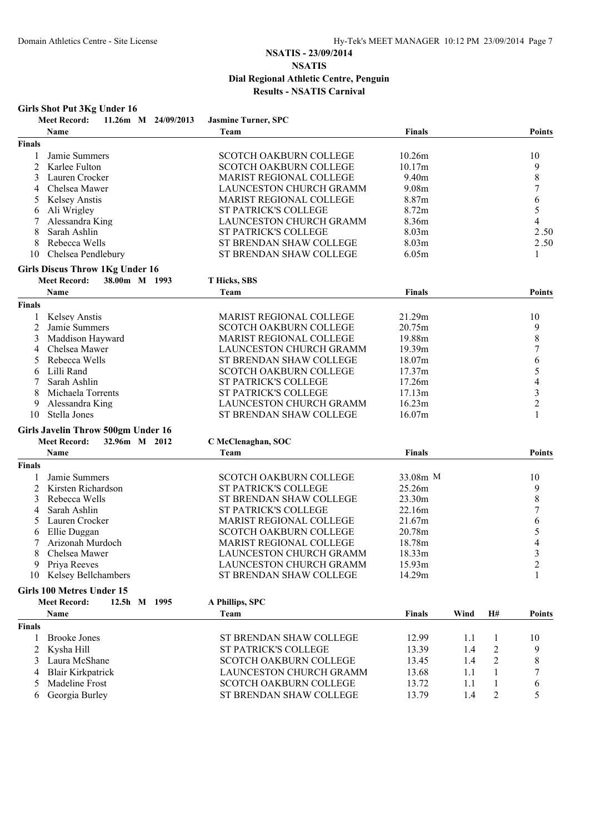#### **Girls Shot Put 3Kg Under 16**

| Name<br><b>Finals</b><br>Team<br><b>Finals</b><br>Jamie Summers<br><b>SCOTCH OAKBURN COLLEGE</b><br>10.26m<br>10<br>1<br>$\overline{2}$<br>9<br>Karlee Fulton<br><b>SCOTCH OAKBURN COLLEGE</b><br>10.17m<br>8<br>3<br>Lauren Crocker<br>MARIST REGIONAL COLLEGE<br>9.40m<br><b>LAUNCESTON CHURCH GRAMM</b><br>9.08m<br>7<br>Chelsea Mawer<br>4<br><b>Kelsey Anstis</b><br><b>MARIST REGIONAL COLLEGE</b><br>8.87m<br>6<br>5<br>5<br>8.72m<br>Ali Wrigley<br>ST PATRICK'S COLLEGE<br>6<br>LAUNCESTON CHURCH GRAMM<br>4<br>Alessandra King<br>8.36m<br>8<br>Sarah Ashlin<br><b>ST PATRICK'S COLLEGE</b><br>8.03m<br>2.50<br>2.50<br>8<br>Rebecca Wells<br>ST BRENDAN SHAW COLLEGE<br>8.03 <sub>m</sub><br>ST BRENDAN SHAW COLLEGE<br>6.05m<br>Chelsea Pendlebury<br>1<br>10<br><b>Girls Discus Throw 1Kg Under 16</b><br><b>Meet Record:</b><br>38.00m M 1993<br>T Hicks, SBS<br>Name<br>Finals<br>Team<br><b>Points</b><br><b>Finals</b><br><b>Kelsey Anstis</b><br><b>MARIST REGIONAL COLLEGE</b><br>21.29m<br>10<br>$\overline{c}$<br>9<br>Jamie Summers<br><b>SCOTCH OAKBURN COLLEGE</b><br>20.75m<br>8<br>3<br>Maddison Hayward<br><b>MARIST REGIONAL COLLEGE</b><br>19.88m<br>LAUNCESTON CHURCH GRAMM<br>7<br>Chelsea Mawer<br>19.39m<br>4<br>Rebecca Wells<br>ST BRENDAN SHAW COLLEGE<br>18.07m<br>6<br>5<br>Lilli Rand<br><b>SCOTCH OAKBURN COLLEGE</b><br>17.37m<br>6<br><b>ST PATRICK'S COLLEGE</b><br>4<br>Sarah Ashlin<br>17.26m<br>$\mathfrak{Z}$<br><b>ST PATRICK'S COLLEGE</b><br>17.13m<br>Michaela Torrents<br>8<br>$\overline{c}$<br>LAUNCESTON CHURCH GRAMM<br>Alessandra King<br>16.23m<br>9<br>Stella Jones<br>ST BRENDAN SHAW COLLEGE<br>16.07m<br>1<br>10<br><b>Girls Javelin Throw 500gm Under 16</b><br>32.96m M 2012<br><b>Meet Record:</b><br>C McClenaghan, SOC<br><b>Name</b><br>Team<br><b>Finals</b><br>Points<br><b>Finals</b><br>Jamie Summers<br><b>SCOTCH OAKBURN COLLEGE</b><br>33.08m M<br>10<br>1<br><b>ST PATRICK'S COLLEGE</b><br>9<br>2<br>Kirsten Richardson<br>25.26m<br>8<br>ST BRENDAN SHAW COLLEGE<br>23.30m<br>3<br>Rebecca Wells<br>Sarah Ashlin<br><b>ST PATRICK'S COLLEGE</b><br>7<br>22.16m<br>4<br>Lauren Crocker<br>MARIST REGIONAL COLLEGE<br>21.67m<br>6<br>5<br>5<br>SCOTCH OAKBURN COLLEGE<br>Ellie Duggan<br>20.78m<br>6<br>Arizonah Murdoch<br>4<br>MARIST REGIONAL COLLEGE<br>18.78m<br>3<br>8<br>LAUNCESTON CHURCH GRAMM<br>18.33m<br>Chelsea Mawer<br>LAUNCESTON CHURCH GRAMM<br>9 Priya Reeves<br>15.93m<br>$\overline{2}$<br>10 Kelsey Bellchambers<br>ST BRENDAN SHAW COLLEGE<br>14.29m<br>1<br><b>Girls 100 Metres Under 15</b><br><b>Meet Record:</b><br>12.5h M 1995<br>A Phillips, SPC<br>Name<br>Finals<br>Wind<br>Team<br>H#<br><b>Finals</b><br><b>Brooke Jones</b><br>ST BRENDAN SHAW COLLEGE<br>12.99<br>1.1<br>10<br>1<br>1<br>ST PATRICK'S COLLEGE<br>$\overline{c}$<br>2<br>Kysha Hill<br>13.39<br>1.4<br>9<br>$\overline{2}$<br>Laura McShane<br><b>SCOTCH OAKBURN COLLEGE</b><br>8<br>13.45<br>3<br>1.4<br><b>Blair Kirkpatrick</b><br>LAUNCESTON CHURCH GRAMM<br>13.68<br>1.1<br>1<br>4<br>Madeline Frost<br><b>SCOTCH OAKBURN COLLEGE</b><br>13.72<br>$\mathbf{1}$<br>1.1<br>6<br>5<br>Georgia Burley<br>ST BRENDAN SHAW COLLEGE<br>13.79<br>1.4<br>2<br>5<br>6 | <b>Meet Record:</b> |  | 11.26m M 24/09/2013 | <b>Jasmine Turner, SPC</b> |  |               |
|------------------------------------------------------------------------------------------------------------------------------------------------------------------------------------------------------------------------------------------------------------------------------------------------------------------------------------------------------------------------------------------------------------------------------------------------------------------------------------------------------------------------------------------------------------------------------------------------------------------------------------------------------------------------------------------------------------------------------------------------------------------------------------------------------------------------------------------------------------------------------------------------------------------------------------------------------------------------------------------------------------------------------------------------------------------------------------------------------------------------------------------------------------------------------------------------------------------------------------------------------------------------------------------------------------------------------------------------------------------------------------------------------------------------------------------------------------------------------------------------------------------------------------------------------------------------------------------------------------------------------------------------------------------------------------------------------------------------------------------------------------------------------------------------------------------------------------------------------------------------------------------------------------------------------------------------------------------------------------------------------------------------------------------------------------------------------------------------------------------------------------------------------------------------------------------------------------------------------------------------------------------------------------------------------------------------------------------------------------------------------------------------------------------------------------------------------------------------------------------------------------------------------------------------------------------------------------------------------------------------------------------------------------------------------------------------------------------------------------------------------------------------------------------------------------------------------------------------------------------------------------------------------------------------------------------------------------------------------------------------------------------------------------------------------------------------------------------------------------------------------------------------------------------------------------------------------------------------------------------------|---------------------|--|---------------------|----------------------------|--|---------------|
|                                                                                                                                                                                                                                                                                                                                                                                                                                                                                                                                                                                                                                                                                                                                                                                                                                                                                                                                                                                                                                                                                                                                                                                                                                                                                                                                                                                                                                                                                                                                                                                                                                                                                                                                                                                                                                                                                                                                                                                                                                                                                                                                                                                                                                                                                                                                                                                                                                                                                                                                                                                                                                                                                                                                                                                                                                                                                                                                                                                                                                                                                                                                                                                                                                                |                     |  |                     |                            |  | <b>Points</b> |
|                                                                                                                                                                                                                                                                                                                                                                                                                                                                                                                                                                                                                                                                                                                                                                                                                                                                                                                                                                                                                                                                                                                                                                                                                                                                                                                                                                                                                                                                                                                                                                                                                                                                                                                                                                                                                                                                                                                                                                                                                                                                                                                                                                                                                                                                                                                                                                                                                                                                                                                                                                                                                                                                                                                                                                                                                                                                                                                                                                                                                                                                                                                                                                                                                                                |                     |  |                     |                            |  |               |
|                                                                                                                                                                                                                                                                                                                                                                                                                                                                                                                                                                                                                                                                                                                                                                                                                                                                                                                                                                                                                                                                                                                                                                                                                                                                                                                                                                                                                                                                                                                                                                                                                                                                                                                                                                                                                                                                                                                                                                                                                                                                                                                                                                                                                                                                                                                                                                                                                                                                                                                                                                                                                                                                                                                                                                                                                                                                                                                                                                                                                                                                                                                                                                                                                                                |                     |  |                     |                            |  |               |
|                                                                                                                                                                                                                                                                                                                                                                                                                                                                                                                                                                                                                                                                                                                                                                                                                                                                                                                                                                                                                                                                                                                                                                                                                                                                                                                                                                                                                                                                                                                                                                                                                                                                                                                                                                                                                                                                                                                                                                                                                                                                                                                                                                                                                                                                                                                                                                                                                                                                                                                                                                                                                                                                                                                                                                                                                                                                                                                                                                                                                                                                                                                                                                                                                                                |                     |  |                     |                            |  |               |
|                                                                                                                                                                                                                                                                                                                                                                                                                                                                                                                                                                                                                                                                                                                                                                                                                                                                                                                                                                                                                                                                                                                                                                                                                                                                                                                                                                                                                                                                                                                                                                                                                                                                                                                                                                                                                                                                                                                                                                                                                                                                                                                                                                                                                                                                                                                                                                                                                                                                                                                                                                                                                                                                                                                                                                                                                                                                                                                                                                                                                                                                                                                                                                                                                                                |                     |  |                     |                            |  |               |
|                                                                                                                                                                                                                                                                                                                                                                                                                                                                                                                                                                                                                                                                                                                                                                                                                                                                                                                                                                                                                                                                                                                                                                                                                                                                                                                                                                                                                                                                                                                                                                                                                                                                                                                                                                                                                                                                                                                                                                                                                                                                                                                                                                                                                                                                                                                                                                                                                                                                                                                                                                                                                                                                                                                                                                                                                                                                                                                                                                                                                                                                                                                                                                                                                                                |                     |  |                     |                            |  |               |
|                                                                                                                                                                                                                                                                                                                                                                                                                                                                                                                                                                                                                                                                                                                                                                                                                                                                                                                                                                                                                                                                                                                                                                                                                                                                                                                                                                                                                                                                                                                                                                                                                                                                                                                                                                                                                                                                                                                                                                                                                                                                                                                                                                                                                                                                                                                                                                                                                                                                                                                                                                                                                                                                                                                                                                                                                                                                                                                                                                                                                                                                                                                                                                                                                                                |                     |  |                     |                            |  |               |
|                                                                                                                                                                                                                                                                                                                                                                                                                                                                                                                                                                                                                                                                                                                                                                                                                                                                                                                                                                                                                                                                                                                                                                                                                                                                                                                                                                                                                                                                                                                                                                                                                                                                                                                                                                                                                                                                                                                                                                                                                                                                                                                                                                                                                                                                                                                                                                                                                                                                                                                                                                                                                                                                                                                                                                                                                                                                                                                                                                                                                                                                                                                                                                                                                                                |                     |  |                     |                            |  |               |
|                                                                                                                                                                                                                                                                                                                                                                                                                                                                                                                                                                                                                                                                                                                                                                                                                                                                                                                                                                                                                                                                                                                                                                                                                                                                                                                                                                                                                                                                                                                                                                                                                                                                                                                                                                                                                                                                                                                                                                                                                                                                                                                                                                                                                                                                                                                                                                                                                                                                                                                                                                                                                                                                                                                                                                                                                                                                                                                                                                                                                                                                                                                                                                                                                                                |                     |  |                     |                            |  |               |
|                                                                                                                                                                                                                                                                                                                                                                                                                                                                                                                                                                                                                                                                                                                                                                                                                                                                                                                                                                                                                                                                                                                                                                                                                                                                                                                                                                                                                                                                                                                                                                                                                                                                                                                                                                                                                                                                                                                                                                                                                                                                                                                                                                                                                                                                                                                                                                                                                                                                                                                                                                                                                                                                                                                                                                                                                                                                                                                                                                                                                                                                                                                                                                                                                                                |                     |  |                     |                            |  |               |
|                                                                                                                                                                                                                                                                                                                                                                                                                                                                                                                                                                                                                                                                                                                                                                                                                                                                                                                                                                                                                                                                                                                                                                                                                                                                                                                                                                                                                                                                                                                                                                                                                                                                                                                                                                                                                                                                                                                                                                                                                                                                                                                                                                                                                                                                                                                                                                                                                                                                                                                                                                                                                                                                                                                                                                                                                                                                                                                                                                                                                                                                                                                                                                                                                                                |                     |  |                     |                            |  |               |
|                                                                                                                                                                                                                                                                                                                                                                                                                                                                                                                                                                                                                                                                                                                                                                                                                                                                                                                                                                                                                                                                                                                                                                                                                                                                                                                                                                                                                                                                                                                                                                                                                                                                                                                                                                                                                                                                                                                                                                                                                                                                                                                                                                                                                                                                                                                                                                                                                                                                                                                                                                                                                                                                                                                                                                                                                                                                                                                                                                                                                                                                                                                                                                                                                                                |                     |  |                     |                            |  |               |
|                                                                                                                                                                                                                                                                                                                                                                                                                                                                                                                                                                                                                                                                                                                                                                                                                                                                                                                                                                                                                                                                                                                                                                                                                                                                                                                                                                                                                                                                                                                                                                                                                                                                                                                                                                                                                                                                                                                                                                                                                                                                                                                                                                                                                                                                                                                                                                                                                                                                                                                                                                                                                                                                                                                                                                                                                                                                                                                                                                                                                                                                                                                                                                                                                                                |                     |  |                     |                            |  |               |
|                                                                                                                                                                                                                                                                                                                                                                                                                                                                                                                                                                                                                                                                                                                                                                                                                                                                                                                                                                                                                                                                                                                                                                                                                                                                                                                                                                                                                                                                                                                                                                                                                                                                                                                                                                                                                                                                                                                                                                                                                                                                                                                                                                                                                                                                                                                                                                                                                                                                                                                                                                                                                                                                                                                                                                                                                                                                                                                                                                                                                                                                                                                                                                                                                                                |                     |  |                     |                            |  |               |
|                                                                                                                                                                                                                                                                                                                                                                                                                                                                                                                                                                                                                                                                                                                                                                                                                                                                                                                                                                                                                                                                                                                                                                                                                                                                                                                                                                                                                                                                                                                                                                                                                                                                                                                                                                                                                                                                                                                                                                                                                                                                                                                                                                                                                                                                                                                                                                                                                                                                                                                                                                                                                                                                                                                                                                                                                                                                                                                                                                                                                                                                                                                                                                                                                                                |                     |  |                     |                            |  |               |
|                                                                                                                                                                                                                                                                                                                                                                                                                                                                                                                                                                                                                                                                                                                                                                                                                                                                                                                                                                                                                                                                                                                                                                                                                                                                                                                                                                                                                                                                                                                                                                                                                                                                                                                                                                                                                                                                                                                                                                                                                                                                                                                                                                                                                                                                                                                                                                                                                                                                                                                                                                                                                                                                                                                                                                                                                                                                                                                                                                                                                                                                                                                                                                                                                                                |                     |  |                     |                            |  |               |
|                                                                                                                                                                                                                                                                                                                                                                                                                                                                                                                                                                                                                                                                                                                                                                                                                                                                                                                                                                                                                                                                                                                                                                                                                                                                                                                                                                                                                                                                                                                                                                                                                                                                                                                                                                                                                                                                                                                                                                                                                                                                                                                                                                                                                                                                                                                                                                                                                                                                                                                                                                                                                                                                                                                                                                                                                                                                                                                                                                                                                                                                                                                                                                                                                                                |                     |  |                     |                            |  |               |
|                                                                                                                                                                                                                                                                                                                                                                                                                                                                                                                                                                                                                                                                                                                                                                                                                                                                                                                                                                                                                                                                                                                                                                                                                                                                                                                                                                                                                                                                                                                                                                                                                                                                                                                                                                                                                                                                                                                                                                                                                                                                                                                                                                                                                                                                                                                                                                                                                                                                                                                                                                                                                                                                                                                                                                                                                                                                                                                                                                                                                                                                                                                                                                                                                                                |                     |  |                     |                            |  |               |
|                                                                                                                                                                                                                                                                                                                                                                                                                                                                                                                                                                                                                                                                                                                                                                                                                                                                                                                                                                                                                                                                                                                                                                                                                                                                                                                                                                                                                                                                                                                                                                                                                                                                                                                                                                                                                                                                                                                                                                                                                                                                                                                                                                                                                                                                                                                                                                                                                                                                                                                                                                                                                                                                                                                                                                                                                                                                                                                                                                                                                                                                                                                                                                                                                                                |                     |  |                     |                            |  |               |
|                                                                                                                                                                                                                                                                                                                                                                                                                                                                                                                                                                                                                                                                                                                                                                                                                                                                                                                                                                                                                                                                                                                                                                                                                                                                                                                                                                                                                                                                                                                                                                                                                                                                                                                                                                                                                                                                                                                                                                                                                                                                                                                                                                                                                                                                                                                                                                                                                                                                                                                                                                                                                                                                                                                                                                                                                                                                                                                                                                                                                                                                                                                                                                                                                                                |                     |  |                     |                            |  |               |
|                                                                                                                                                                                                                                                                                                                                                                                                                                                                                                                                                                                                                                                                                                                                                                                                                                                                                                                                                                                                                                                                                                                                                                                                                                                                                                                                                                                                                                                                                                                                                                                                                                                                                                                                                                                                                                                                                                                                                                                                                                                                                                                                                                                                                                                                                                                                                                                                                                                                                                                                                                                                                                                                                                                                                                                                                                                                                                                                                                                                                                                                                                                                                                                                                                                |                     |  |                     |                            |  |               |
|                                                                                                                                                                                                                                                                                                                                                                                                                                                                                                                                                                                                                                                                                                                                                                                                                                                                                                                                                                                                                                                                                                                                                                                                                                                                                                                                                                                                                                                                                                                                                                                                                                                                                                                                                                                                                                                                                                                                                                                                                                                                                                                                                                                                                                                                                                                                                                                                                                                                                                                                                                                                                                                                                                                                                                                                                                                                                                                                                                                                                                                                                                                                                                                                                                                |                     |  |                     |                            |  |               |
|                                                                                                                                                                                                                                                                                                                                                                                                                                                                                                                                                                                                                                                                                                                                                                                                                                                                                                                                                                                                                                                                                                                                                                                                                                                                                                                                                                                                                                                                                                                                                                                                                                                                                                                                                                                                                                                                                                                                                                                                                                                                                                                                                                                                                                                                                                                                                                                                                                                                                                                                                                                                                                                                                                                                                                                                                                                                                                                                                                                                                                                                                                                                                                                                                                                |                     |  |                     |                            |  |               |
|                                                                                                                                                                                                                                                                                                                                                                                                                                                                                                                                                                                                                                                                                                                                                                                                                                                                                                                                                                                                                                                                                                                                                                                                                                                                                                                                                                                                                                                                                                                                                                                                                                                                                                                                                                                                                                                                                                                                                                                                                                                                                                                                                                                                                                                                                                                                                                                                                                                                                                                                                                                                                                                                                                                                                                                                                                                                                                                                                                                                                                                                                                                                                                                                                                                |                     |  |                     |                            |  |               |
|                                                                                                                                                                                                                                                                                                                                                                                                                                                                                                                                                                                                                                                                                                                                                                                                                                                                                                                                                                                                                                                                                                                                                                                                                                                                                                                                                                                                                                                                                                                                                                                                                                                                                                                                                                                                                                                                                                                                                                                                                                                                                                                                                                                                                                                                                                                                                                                                                                                                                                                                                                                                                                                                                                                                                                                                                                                                                                                                                                                                                                                                                                                                                                                                                                                |                     |  |                     |                            |  |               |
|                                                                                                                                                                                                                                                                                                                                                                                                                                                                                                                                                                                                                                                                                                                                                                                                                                                                                                                                                                                                                                                                                                                                                                                                                                                                                                                                                                                                                                                                                                                                                                                                                                                                                                                                                                                                                                                                                                                                                                                                                                                                                                                                                                                                                                                                                                                                                                                                                                                                                                                                                                                                                                                                                                                                                                                                                                                                                                                                                                                                                                                                                                                                                                                                                                                |                     |  |                     |                            |  |               |
|                                                                                                                                                                                                                                                                                                                                                                                                                                                                                                                                                                                                                                                                                                                                                                                                                                                                                                                                                                                                                                                                                                                                                                                                                                                                                                                                                                                                                                                                                                                                                                                                                                                                                                                                                                                                                                                                                                                                                                                                                                                                                                                                                                                                                                                                                                                                                                                                                                                                                                                                                                                                                                                                                                                                                                                                                                                                                                                                                                                                                                                                                                                                                                                                                                                |                     |  |                     |                            |  |               |
|                                                                                                                                                                                                                                                                                                                                                                                                                                                                                                                                                                                                                                                                                                                                                                                                                                                                                                                                                                                                                                                                                                                                                                                                                                                                                                                                                                                                                                                                                                                                                                                                                                                                                                                                                                                                                                                                                                                                                                                                                                                                                                                                                                                                                                                                                                                                                                                                                                                                                                                                                                                                                                                                                                                                                                                                                                                                                                                                                                                                                                                                                                                                                                                                                                                |                     |  |                     |                            |  |               |
|                                                                                                                                                                                                                                                                                                                                                                                                                                                                                                                                                                                                                                                                                                                                                                                                                                                                                                                                                                                                                                                                                                                                                                                                                                                                                                                                                                                                                                                                                                                                                                                                                                                                                                                                                                                                                                                                                                                                                                                                                                                                                                                                                                                                                                                                                                                                                                                                                                                                                                                                                                                                                                                                                                                                                                                                                                                                                                                                                                                                                                                                                                                                                                                                                                                |                     |  |                     |                            |  |               |
|                                                                                                                                                                                                                                                                                                                                                                                                                                                                                                                                                                                                                                                                                                                                                                                                                                                                                                                                                                                                                                                                                                                                                                                                                                                                                                                                                                                                                                                                                                                                                                                                                                                                                                                                                                                                                                                                                                                                                                                                                                                                                                                                                                                                                                                                                                                                                                                                                                                                                                                                                                                                                                                                                                                                                                                                                                                                                                                                                                                                                                                                                                                                                                                                                                                |                     |  |                     |                            |  |               |
|                                                                                                                                                                                                                                                                                                                                                                                                                                                                                                                                                                                                                                                                                                                                                                                                                                                                                                                                                                                                                                                                                                                                                                                                                                                                                                                                                                                                                                                                                                                                                                                                                                                                                                                                                                                                                                                                                                                                                                                                                                                                                                                                                                                                                                                                                                                                                                                                                                                                                                                                                                                                                                                                                                                                                                                                                                                                                                                                                                                                                                                                                                                                                                                                                                                |                     |  |                     |                            |  |               |
|                                                                                                                                                                                                                                                                                                                                                                                                                                                                                                                                                                                                                                                                                                                                                                                                                                                                                                                                                                                                                                                                                                                                                                                                                                                                                                                                                                                                                                                                                                                                                                                                                                                                                                                                                                                                                                                                                                                                                                                                                                                                                                                                                                                                                                                                                                                                                                                                                                                                                                                                                                                                                                                                                                                                                                                                                                                                                                                                                                                                                                                                                                                                                                                                                                                |                     |  |                     |                            |  |               |
|                                                                                                                                                                                                                                                                                                                                                                                                                                                                                                                                                                                                                                                                                                                                                                                                                                                                                                                                                                                                                                                                                                                                                                                                                                                                                                                                                                                                                                                                                                                                                                                                                                                                                                                                                                                                                                                                                                                                                                                                                                                                                                                                                                                                                                                                                                                                                                                                                                                                                                                                                                                                                                                                                                                                                                                                                                                                                                                                                                                                                                                                                                                                                                                                                                                |                     |  |                     |                            |  |               |
|                                                                                                                                                                                                                                                                                                                                                                                                                                                                                                                                                                                                                                                                                                                                                                                                                                                                                                                                                                                                                                                                                                                                                                                                                                                                                                                                                                                                                                                                                                                                                                                                                                                                                                                                                                                                                                                                                                                                                                                                                                                                                                                                                                                                                                                                                                                                                                                                                                                                                                                                                                                                                                                                                                                                                                                                                                                                                                                                                                                                                                                                                                                                                                                                                                                |                     |  |                     |                            |  |               |
|                                                                                                                                                                                                                                                                                                                                                                                                                                                                                                                                                                                                                                                                                                                                                                                                                                                                                                                                                                                                                                                                                                                                                                                                                                                                                                                                                                                                                                                                                                                                                                                                                                                                                                                                                                                                                                                                                                                                                                                                                                                                                                                                                                                                                                                                                                                                                                                                                                                                                                                                                                                                                                                                                                                                                                                                                                                                                                                                                                                                                                                                                                                                                                                                                                                |                     |  |                     |                            |  |               |
|                                                                                                                                                                                                                                                                                                                                                                                                                                                                                                                                                                                                                                                                                                                                                                                                                                                                                                                                                                                                                                                                                                                                                                                                                                                                                                                                                                                                                                                                                                                                                                                                                                                                                                                                                                                                                                                                                                                                                                                                                                                                                                                                                                                                                                                                                                                                                                                                                                                                                                                                                                                                                                                                                                                                                                                                                                                                                                                                                                                                                                                                                                                                                                                                                                                |                     |  |                     |                            |  |               |
|                                                                                                                                                                                                                                                                                                                                                                                                                                                                                                                                                                                                                                                                                                                                                                                                                                                                                                                                                                                                                                                                                                                                                                                                                                                                                                                                                                                                                                                                                                                                                                                                                                                                                                                                                                                                                                                                                                                                                                                                                                                                                                                                                                                                                                                                                                                                                                                                                                                                                                                                                                                                                                                                                                                                                                                                                                                                                                                                                                                                                                                                                                                                                                                                                                                |                     |  |                     |                            |  |               |
|                                                                                                                                                                                                                                                                                                                                                                                                                                                                                                                                                                                                                                                                                                                                                                                                                                                                                                                                                                                                                                                                                                                                                                                                                                                                                                                                                                                                                                                                                                                                                                                                                                                                                                                                                                                                                                                                                                                                                                                                                                                                                                                                                                                                                                                                                                                                                                                                                                                                                                                                                                                                                                                                                                                                                                                                                                                                                                                                                                                                                                                                                                                                                                                                                                                |                     |  |                     |                            |  |               |
|                                                                                                                                                                                                                                                                                                                                                                                                                                                                                                                                                                                                                                                                                                                                                                                                                                                                                                                                                                                                                                                                                                                                                                                                                                                                                                                                                                                                                                                                                                                                                                                                                                                                                                                                                                                                                                                                                                                                                                                                                                                                                                                                                                                                                                                                                                                                                                                                                                                                                                                                                                                                                                                                                                                                                                                                                                                                                                                                                                                                                                                                                                                                                                                                                                                |                     |  |                     |                            |  |               |
|                                                                                                                                                                                                                                                                                                                                                                                                                                                                                                                                                                                                                                                                                                                                                                                                                                                                                                                                                                                                                                                                                                                                                                                                                                                                                                                                                                                                                                                                                                                                                                                                                                                                                                                                                                                                                                                                                                                                                                                                                                                                                                                                                                                                                                                                                                                                                                                                                                                                                                                                                                                                                                                                                                                                                                                                                                                                                                                                                                                                                                                                                                                                                                                                                                                |                     |  |                     |                            |  |               |
|                                                                                                                                                                                                                                                                                                                                                                                                                                                                                                                                                                                                                                                                                                                                                                                                                                                                                                                                                                                                                                                                                                                                                                                                                                                                                                                                                                                                                                                                                                                                                                                                                                                                                                                                                                                                                                                                                                                                                                                                                                                                                                                                                                                                                                                                                                                                                                                                                                                                                                                                                                                                                                                                                                                                                                                                                                                                                                                                                                                                                                                                                                                                                                                                                                                |                     |  |                     |                            |  |               |
|                                                                                                                                                                                                                                                                                                                                                                                                                                                                                                                                                                                                                                                                                                                                                                                                                                                                                                                                                                                                                                                                                                                                                                                                                                                                                                                                                                                                                                                                                                                                                                                                                                                                                                                                                                                                                                                                                                                                                                                                                                                                                                                                                                                                                                                                                                                                                                                                                                                                                                                                                                                                                                                                                                                                                                                                                                                                                                                                                                                                                                                                                                                                                                                                                                                |                     |  |                     |                            |  |               |
|                                                                                                                                                                                                                                                                                                                                                                                                                                                                                                                                                                                                                                                                                                                                                                                                                                                                                                                                                                                                                                                                                                                                                                                                                                                                                                                                                                                                                                                                                                                                                                                                                                                                                                                                                                                                                                                                                                                                                                                                                                                                                                                                                                                                                                                                                                                                                                                                                                                                                                                                                                                                                                                                                                                                                                                                                                                                                                                                                                                                                                                                                                                                                                                                                                                |                     |  |                     |                            |  |               |
|                                                                                                                                                                                                                                                                                                                                                                                                                                                                                                                                                                                                                                                                                                                                                                                                                                                                                                                                                                                                                                                                                                                                                                                                                                                                                                                                                                                                                                                                                                                                                                                                                                                                                                                                                                                                                                                                                                                                                                                                                                                                                                                                                                                                                                                                                                                                                                                                                                                                                                                                                                                                                                                                                                                                                                                                                                                                                                                                                                                                                                                                                                                                                                                                                                                |                     |  |                     |                            |  |               |
|                                                                                                                                                                                                                                                                                                                                                                                                                                                                                                                                                                                                                                                                                                                                                                                                                                                                                                                                                                                                                                                                                                                                                                                                                                                                                                                                                                                                                                                                                                                                                                                                                                                                                                                                                                                                                                                                                                                                                                                                                                                                                                                                                                                                                                                                                                                                                                                                                                                                                                                                                                                                                                                                                                                                                                                                                                                                                                                                                                                                                                                                                                                                                                                                                                                |                     |  |                     |                            |  | <b>Points</b> |
|                                                                                                                                                                                                                                                                                                                                                                                                                                                                                                                                                                                                                                                                                                                                                                                                                                                                                                                                                                                                                                                                                                                                                                                                                                                                                                                                                                                                                                                                                                                                                                                                                                                                                                                                                                                                                                                                                                                                                                                                                                                                                                                                                                                                                                                                                                                                                                                                                                                                                                                                                                                                                                                                                                                                                                                                                                                                                                                                                                                                                                                                                                                                                                                                                                                |                     |  |                     |                            |  |               |
|                                                                                                                                                                                                                                                                                                                                                                                                                                                                                                                                                                                                                                                                                                                                                                                                                                                                                                                                                                                                                                                                                                                                                                                                                                                                                                                                                                                                                                                                                                                                                                                                                                                                                                                                                                                                                                                                                                                                                                                                                                                                                                                                                                                                                                                                                                                                                                                                                                                                                                                                                                                                                                                                                                                                                                                                                                                                                                                                                                                                                                                                                                                                                                                                                                                |                     |  |                     |                            |  |               |
|                                                                                                                                                                                                                                                                                                                                                                                                                                                                                                                                                                                                                                                                                                                                                                                                                                                                                                                                                                                                                                                                                                                                                                                                                                                                                                                                                                                                                                                                                                                                                                                                                                                                                                                                                                                                                                                                                                                                                                                                                                                                                                                                                                                                                                                                                                                                                                                                                                                                                                                                                                                                                                                                                                                                                                                                                                                                                                                                                                                                                                                                                                                                                                                                                                                |                     |  |                     |                            |  |               |
|                                                                                                                                                                                                                                                                                                                                                                                                                                                                                                                                                                                                                                                                                                                                                                                                                                                                                                                                                                                                                                                                                                                                                                                                                                                                                                                                                                                                                                                                                                                                                                                                                                                                                                                                                                                                                                                                                                                                                                                                                                                                                                                                                                                                                                                                                                                                                                                                                                                                                                                                                                                                                                                                                                                                                                                                                                                                                                                                                                                                                                                                                                                                                                                                                                                |                     |  |                     |                            |  |               |
|                                                                                                                                                                                                                                                                                                                                                                                                                                                                                                                                                                                                                                                                                                                                                                                                                                                                                                                                                                                                                                                                                                                                                                                                                                                                                                                                                                                                                                                                                                                                                                                                                                                                                                                                                                                                                                                                                                                                                                                                                                                                                                                                                                                                                                                                                                                                                                                                                                                                                                                                                                                                                                                                                                                                                                                                                                                                                                                                                                                                                                                                                                                                                                                                                                                |                     |  |                     |                            |  |               |
|                                                                                                                                                                                                                                                                                                                                                                                                                                                                                                                                                                                                                                                                                                                                                                                                                                                                                                                                                                                                                                                                                                                                                                                                                                                                                                                                                                                                                                                                                                                                                                                                                                                                                                                                                                                                                                                                                                                                                                                                                                                                                                                                                                                                                                                                                                                                                                                                                                                                                                                                                                                                                                                                                                                                                                                                                                                                                                                                                                                                                                                                                                                                                                                                                                                |                     |  |                     |                            |  |               |
|                                                                                                                                                                                                                                                                                                                                                                                                                                                                                                                                                                                                                                                                                                                                                                                                                                                                                                                                                                                                                                                                                                                                                                                                                                                                                                                                                                                                                                                                                                                                                                                                                                                                                                                                                                                                                                                                                                                                                                                                                                                                                                                                                                                                                                                                                                                                                                                                                                                                                                                                                                                                                                                                                                                                                                                                                                                                                                                                                                                                                                                                                                                                                                                                                                                |                     |  |                     |                            |  |               |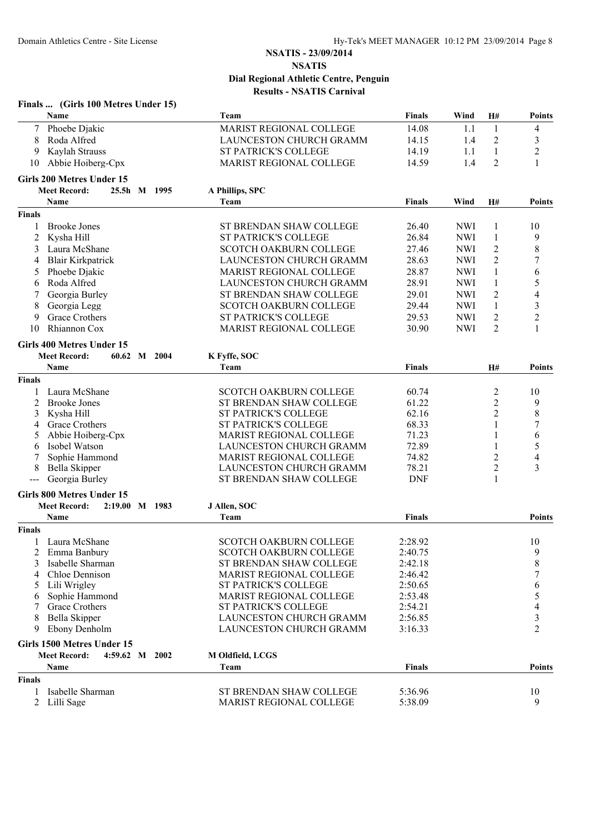|                | Finals  (Girls 100 Metres Under 15)   |                                |               |            |                |                  |
|----------------|---------------------------------------|--------------------------------|---------------|------------|----------------|------------------|
|                | Name                                  | Team                           | Finals        | Wind       | H#             | <b>Points</b>    |
|                | Phoebe Djakic                         | <b>MARIST REGIONAL COLLEGE</b> | 14.08         | 1.1        | 1              | 4                |
| 8              | Roda Alfred                           | <b>LAUNCESTON CHURCH GRAMM</b> | 14.15         | 1.4        | $\overline{c}$ | 3                |
| 9              | Kaylah Strauss                        | ST PATRICK'S COLLEGE           | 14.19         | 1.1        | $\mathbf{1}$   | $\overline{c}$   |
| 10             | Abbie Hoiberg-Cpx                     | MARIST REGIONAL COLLEGE        | 14.59         | 1.4        | 2              | 1                |
|                | Girls 200 Metres Under 15             |                                |               |            |                |                  |
|                | <b>Meet Record:</b><br>25.5h M 1995   | A Phillips, SPC                |               |            |                |                  |
|                | Name                                  | Team                           | <b>Finals</b> | Wind       | H#             | Points           |
| <b>Finals</b>  |                                       |                                |               |            |                |                  |
| 1              | <b>Brooke Jones</b>                   | ST BRENDAN SHAW COLLEGE        | 26.40         | <b>NWI</b> | 1              | 10               |
| $\overline{c}$ | Kysha Hill                            | ST PATRICK'S COLLEGE           | 26.84         | <b>NWI</b> | $\mathbf{1}$   | 9                |
| 3              | Laura McShane                         | <b>SCOTCH OAKBURN COLLEGE</b>  | 27.46         | <b>NWI</b> | $\overline{c}$ | 8                |
| 4              | <b>Blair Kirkpatrick</b>              | LAUNCESTON CHURCH GRAMM        | 28.63         | <b>NWI</b> | $\overline{2}$ | 7                |
| 5              | Phoebe Djakic                         | <b>MARIST REGIONAL COLLEGE</b> | 28.87         | <b>NWI</b> | $\mathbf{1}$   | 6                |
| 6              | Roda Alfred                           | <b>LAUNCESTON CHURCH GRAMM</b> | 28.91         | <b>NWI</b> | $\mathbf{1}$   | 5                |
|                | Georgia Burley                        | ST BRENDAN SHAW COLLEGE        | 29.01         | <b>NWI</b> | $\overline{c}$ | 4                |
| 8              | Georgia Legg                          | <b>SCOTCH OAKBURN COLLEGE</b>  | 29.44         | <b>NWI</b> | 1              | $\mathfrak{Z}$   |
| 9              | Grace Crothers                        | ST PATRICK'S COLLEGE           | 29.53         | <b>NWI</b> | 2              | $\overline{c}$   |
| 10             | Rhiannon Cox                          | MARIST REGIONAL COLLEGE        | 30.90         | <b>NWI</b> | 2              | 1                |
|                | Girls 400 Metres Under 15             |                                |               |            |                |                  |
|                | <b>Meet Record:</b><br>60.62 M 2004   | K Fyffe, SOC                   |               |            |                |                  |
|                | Name                                  | Team                           | <b>Finals</b> |            | H#             | Points           |
| <b>Finals</b>  |                                       |                                |               |            |                |                  |
| 1              | Laura McShane                         | <b>SCOTCH OAKBURN COLLEGE</b>  | 60.74         |            | 2              | 10               |
| 2              | <b>Brooke Jones</b>                   | ST BRENDAN SHAW COLLEGE        | 61.22         |            | 2              | 9                |
| 3              | Kysha Hill                            | <b>ST PATRICK'S COLLEGE</b>    | 62.16         |            | 2              | $\,$ 8 $\,$      |
| 4              | Grace Crothers                        | ST PATRICK'S COLLEGE           | 68.33         |            | 1              | $\boldsymbol{7}$ |
| 5              | Abbie Hoiberg-Cpx                     | <b>MARIST REGIONAL COLLEGE</b> | 71.23         |            | 1              | 6                |
| 6              | Isobel Watson                         | LAUNCESTON CHURCH GRAMM        | 72.89         |            | 1              | 5                |
| 7              | Sophie Hammond                        | MARIST REGIONAL COLLEGE        | 74.82         |            | 2              | 4                |
|                | Bella Skipper                         | LAUNCESTON CHURCH GRAMM        | 78.21         |            | $\overline{c}$ | 3                |
| $---$          | Georgia Burley                        | ST BRENDAN SHAW COLLEGE        | <b>DNF</b>    |            | 1              |                  |
|                | Girls 800 Metres Under 15             |                                |               |            |                |                  |
|                | <b>Meet Record:</b><br>2:19.00 M 1983 | J Allen, SOC                   |               |            |                |                  |
|                | Name                                  | Team                           | <b>Finals</b> |            |                | Points           |
| <b>Finals</b>  |                                       |                                |               |            |                |                  |
|                | 1 Laura McShane                       | SCOTCH OAKBURN COLLEGE         | 2:28.92       |            |                | 10               |
| 2              | Emma Banbury                          | <b>SCOTCH OAKBURN COLLEGE</b>  | 2:40.75       |            |                | 9                |
| 3              | Isabelle Sharman                      | ST BRENDAN SHAW COLLEGE        | 2:42.18       |            |                | 8                |
|                | Chloe Dennison                        | <b>MARIST REGIONAL COLLEGE</b> | 2:46.42       |            |                | 7                |
|                | Lili Wrigley                          | <b>ST PATRICK'S COLLEGE</b>    | 2:50.65       |            |                | 6                |
|                | Sophie Hammond                        | MARIST REGIONAL COLLEGE        | 2:53.48       |            |                | 5                |
|                | Grace Crothers                        | <b>ST PATRICK'S COLLEGE</b>    | 2:54.21       |            |                |                  |
|                | Bella Skipper                         | LAUNCESTON CHURCH GRAMM        | 2:56.85       |            |                | 3                |
| 9              | Ebony Denholm                         | <b>LAUNCESTON CHURCH GRAMM</b> | 3:16.33       |            |                | 2                |
|                | Girls 1500 Metres Under 15            |                                |               |            |                |                  |
|                | <b>Meet Record:</b><br>4:59.62 M 2002 | M Oldfield, LCGS               |               |            |                |                  |
|                | Name                                  | Team                           | Finals        |            |                | Points           |
| <b>Finals</b>  |                                       |                                |               |            |                |                  |
|                | Isabelle Sharman                      | ST BRENDAN SHAW COLLEGE        | 5:36.96       |            |                | 10               |
| 2              | Lilli Sage                            | <b>MARIST REGIONAL COLLEGE</b> | 5:38.09       |            |                | 9                |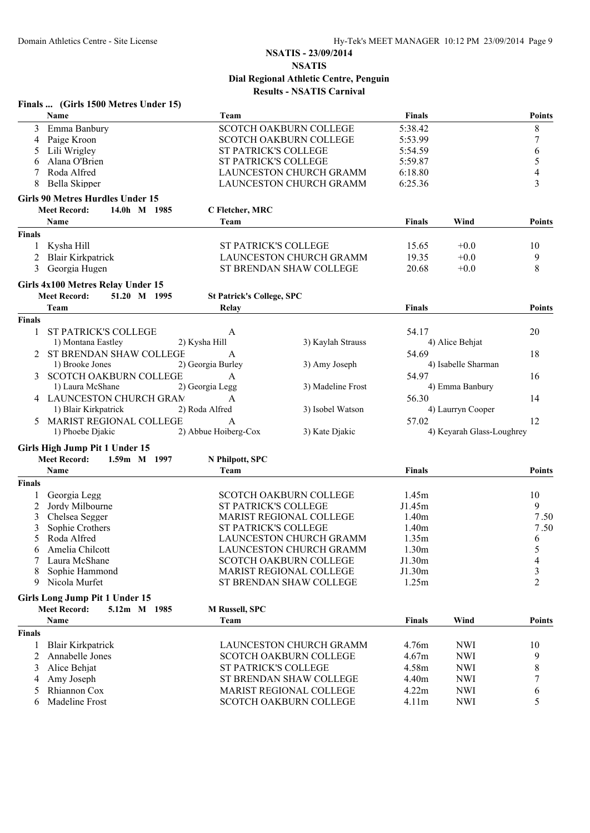| Name<br>Finals<br>Team<br>$\,8\,$<br><b>SCOTCH OAKBURN COLLEGE</b><br>5:38.42<br>Emma Banbury<br>3<br>7<br>Paige Kroon<br><b>SCOTCH OAKBURN COLLEGE</b><br>5:53.99<br>4<br>6<br>Lili Wrigley<br>ST PATRICK'S COLLEGE<br>5:54.59<br>5<br>Alana O'Brien<br>ST PATRICK'S COLLEGE<br>5:59.87<br>6<br>4<br>Roda Alfred<br>LAUNCESTON CHURCH GRAMM<br>6:18.80<br>3<br>Bella Skipper<br>LAUNCESTON CHURCH GRAMM<br>6:25.36<br>8<br><b>Girls 90 Metres Hurdles Under 15</b><br><b>Meet Record:</b><br>14.0h M 1985<br>C Fletcher, MRC<br><b>Name</b><br>Team<br><b>Finals</b><br>Wind<br><b>Finals</b><br>Kysha Hill<br><b>ST PATRICK'S COLLEGE</b><br>15.65<br>$+0.0$<br>10<br><b>Blair Kirkpatrick</b><br>LAUNCESTON CHURCH GRAMM<br>19.35<br>9<br>$+0.0$<br>8<br>Georgia Hugen<br>3<br>ST BRENDAN SHAW COLLEGE<br>20.68<br>$+0.0$<br>Girls 4x100 Metres Relay Under 15<br><b>Meet Record:</b><br>51.20 M 1995<br><b>St Patrick's College, SPC</b><br>Team<br>Relay<br><b>Finals</b><br><b>Finals</b><br><b>ST PATRICK'S COLLEGE</b><br>54.17<br>20<br>1<br>A<br>1) Montana Eastley<br>3) Kaylah Strauss<br>4) Alice Behjat<br>2) Kysha Hill<br>2 ST BRENDAN SHAW COLLEGE<br>54.69<br>18<br>A<br>4) Isabelle Sharman<br>1) Brooke Jones<br>2) Georgia Burley<br>3) Amy Joseph<br><b>SCOTCH OAKBURN COLLEGE</b><br>54.97<br>16<br>A<br>1) Laura McShane<br>3) Madeline Frost<br>4) Emma Banbury<br>2) Georgia Legg<br>4 LAUNCESTON CHURCH GRAM<br>56.30<br>14<br>A<br>1) Blair Kirkpatrick<br>2) Roda Alfred<br>3) Isobel Watson<br>4) Laurryn Cooper<br>MARIST REGIONAL COLLEGE<br>57.02<br>12<br>A<br>5<br>1) Phoebe Djakic<br>2) Abbue Hoiberg-Cox<br>3) Kate Djakic<br>4) Keyarah Glass-Loughrey<br>Girls High Jump Pit 1 Under 15<br><b>Meet Record:</b><br>1.59m M 1997<br>N Philpott, SPC<br>Name<br>Team<br><b>Finals</b><br><b>Finals</b><br>Georgia Legg<br><b>SCOTCH OAKBURN COLLEGE</b><br>1.45m<br>10<br>Jordy Milbourne<br>9<br>ST PATRICK'S COLLEGE<br>J1.45m<br>2<br>MARIST REGIONAL COLLEGE<br>7.50<br>Chelsea Segger<br>1.40m<br>3<br><b>ST PATRICK'S COLLEGE</b><br>7.50<br>Sophie Crothers<br>1.40m<br>3<br>LAUNCESTON CHURCH GRAMM<br>Roda Alfred<br>1.35m<br>6<br>Amelia Chilcott<br>LAUNCESTON CHURCH GRAMM<br>1.30m<br>5<br>6<br>J1.30m<br>Laura McShane<br><b>SCOTCH OAKBURN COLLEGE</b><br>4<br>3<br>Sophie Hammond<br><b>MARIST REGIONAL COLLEGE</b><br>J1.30m<br>$\overline{2}$<br>Nicola Murfet<br>1.25m<br>ST BRENDAN SHAW COLLEGE<br>9<br>Girls Long Jump Pit 1 Under 15<br><b>Meet Record:</b><br>5.12m M 1985<br><b>M Russell, SPC</b><br>Wind<br>Name<br>Team<br><b>Finals</b><br><b>Finals</b><br>LAUNCESTON CHURCH GRAMM<br>4.76m<br><b>NWI</b><br><b>Blair Kirkpatrick</b><br>10<br>1<br>Annabelle Jones<br><b>SCOTCH OAKBURN COLLEGE</b><br>4.67m<br><b>NWI</b><br>9<br>2<br><b>ST PATRICK'S COLLEGE</b><br><b>NWI</b><br>Alice Behjat<br>4.58m<br>8<br>ST BRENDAN SHAW COLLEGE<br>4.40m<br><b>NWI</b><br>Amy Joseph<br>7<br>Rhiannon Cox<br>MARIST REGIONAL COLLEGE<br><b>NWI</b><br>4.22m<br>6<br>5<br>Madeline Frost<br>SCOTCH OAKBURN COLLEGE<br><b>NWI</b><br>5<br>4.11m<br>6 | Finals  (Girls 1500 Metres Under 15) |  |  |               |
|-------------------------------------------------------------------------------------------------------------------------------------------------------------------------------------------------------------------------------------------------------------------------------------------------------------------------------------------------------------------------------------------------------------------------------------------------------------------------------------------------------------------------------------------------------------------------------------------------------------------------------------------------------------------------------------------------------------------------------------------------------------------------------------------------------------------------------------------------------------------------------------------------------------------------------------------------------------------------------------------------------------------------------------------------------------------------------------------------------------------------------------------------------------------------------------------------------------------------------------------------------------------------------------------------------------------------------------------------------------------------------------------------------------------------------------------------------------------------------------------------------------------------------------------------------------------------------------------------------------------------------------------------------------------------------------------------------------------------------------------------------------------------------------------------------------------------------------------------------------------------------------------------------------------------------------------------------------------------------------------------------------------------------------------------------------------------------------------------------------------------------------------------------------------------------------------------------------------------------------------------------------------------------------------------------------------------------------------------------------------------------------------------------------------------------------------------------------------------------------------------------------------------------------------------------------------------------------------------------------------------------------------------------------------------------------------------------------------------------------------------------------------------------------------------------------------------------------------------------------------------------------------------------------------------------------------------------------------------------------------------------------------------------------------------------------------------------------------------------------------|--------------------------------------|--|--|---------------|
|                                                                                                                                                                                                                                                                                                                                                                                                                                                                                                                                                                                                                                                                                                                                                                                                                                                                                                                                                                                                                                                                                                                                                                                                                                                                                                                                                                                                                                                                                                                                                                                                                                                                                                                                                                                                                                                                                                                                                                                                                                                                                                                                                                                                                                                                                                                                                                                                                                                                                                                                                                                                                                                                                                                                                                                                                                                                                                                                                                                                                                                                                                                   |                                      |  |  | <b>Points</b> |
|                                                                                                                                                                                                                                                                                                                                                                                                                                                                                                                                                                                                                                                                                                                                                                                                                                                                                                                                                                                                                                                                                                                                                                                                                                                                                                                                                                                                                                                                                                                                                                                                                                                                                                                                                                                                                                                                                                                                                                                                                                                                                                                                                                                                                                                                                                                                                                                                                                                                                                                                                                                                                                                                                                                                                                                                                                                                                                                                                                                                                                                                                                                   |                                      |  |  |               |
|                                                                                                                                                                                                                                                                                                                                                                                                                                                                                                                                                                                                                                                                                                                                                                                                                                                                                                                                                                                                                                                                                                                                                                                                                                                                                                                                                                                                                                                                                                                                                                                                                                                                                                                                                                                                                                                                                                                                                                                                                                                                                                                                                                                                                                                                                                                                                                                                                                                                                                                                                                                                                                                                                                                                                                                                                                                                                                                                                                                                                                                                                                                   |                                      |  |  |               |
|                                                                                                                                                                                                                                                                                                                                                                                                                                                                                                                                                                                                                                                                                                                                                                                                                                                                                                                                                                                                                                                                                                                                                                                                                                                                                                                                                                                                                                                                                                                                                                                                                                                                                                                                                                                                                                                                                                                                                                                                                                                                                                                                                                                                                                                                                                                                                                                                                                                                                                                                                                                                                                                                                                                                                                                                                                                                                                                                                                                                                                                                                                                   |                                      |  |  |               |
|                                                                                                                                                                                                                                                                                                                                                                                                                                                                                                                                                                                                                                                                                                                                                                                                                                                                                                                                                                                                                                                                                                                                                                                                                                                                                                                                                                                                                                                                                                                                                                                                                                                                                                                                                                                                                                                                                                                                                                                                                                                                                                                                                                                                                                                                                                                                                                                                                                                                                                                                                                                                                                                                                                                                                                                                                                                                                                                                                                                                                                                                                                                   |                                      |  |  |               |
|                                                                                                                                                                                                                                                                                                                                                                                                                                                                                                                                                                                                                                                                                                                                                                                                                                                                                                                                                                                                                                                                                                                                                                                                                                                                                                                                                                                                                                                                                                                                                                                                                                                                                                                                                                                                                                                                                                                                                                                                                                                                                                                                                                                                                                                                                                                                                                                                                                                                                                                                                                                                                                                                                                                                                                                                                                                                                                                                                                                                                                                                                                                   |                                      |  |  |               |
|                                                                                                                                                                                                                                                                                                                                                                                                                                                                                                                                                                                                                                                                                                                                                                                                                                                                                                                                                                                                                                                                                                                                                                                                                                                                                                                                                                                                                                                                                                                                                                                                                                                                                                                                                                                                                                                                                                                                                                                                                                                                                                                                                                                                                                                                                                                                                                                                                                                                                                                                                                                                                                                                                                                                                                                                                                                                                                                                                                                                                                                                                                                   |                                      |  |  |               |
|                                                                                                                                                                                                                                                                                                                                                                                                                                                                                                                                                                                                                                                                                                                                                                                                                                                                                                                                                                                                                                                                                                                                                                                                                                                                                                                                                                                                                                                                                                                                                                                                                                                                                                                                                                                                                                                                                                                                                                                                                                                                                                                                                                                                                                                                                                                                                                                                                                                                                                                                                                                                                                                                                                                                                                                                                                                                                                                                                                                                                                                                                                                   |                                      |  |  |               |
|                                                                                                                                                                                                                                                                                                                                                                                                                                                                                                                                                                                                                                                                                                                                                                                                                                                                                                                                                                                                                                                                                                                                                                                                                                                                                                                                                                                                                                                                                                                                                                                                                                                                                                                                                                                                                                                                                                                                                                                                                                                                                                                                                                                                                                                                                                                                                                                                                                                                                                                                                                                                                                                                                                                                                                                                                                                                                                                                                                                                                                                                                                                   |                                      |  |  |               |
|                                                                                                                                                                                                                                                                                                                                                                                                                                                                                                                                                                                                                                                                                                                                                                                                                                                                                                                                                                                                                                                                                                                                                                                                                                                                                                                                                                                                                                                                                                                                                                                                                                                                                                                                                                                                                                                                                                                                                                                                                                                                                                                                                                                                                                                                                                                                                                                                                                                                                                                                                                                                                                                                                                                                                                                                                                                                                                                                                                                                                                                                                                                   |                                      |  |  | <b>Points</b> |
|                                                                                                                                                                                                                                                                                                                                                                                                                                                                                                                                                                                                                                                                                                                                                                                                                                                                                                                                                                                                                                                                                                                                                                                                                                                                                                                                                                                                                                                                                                                                                                                                                                                                                                                                                                                                                                                                                                                                                                                                                                                                                                                                                                                                                                                                                                                                                                                                                                                                                                                                                                                                                                                                                                                                                                                                                                                                                                                                                                                                                                                                                                                   |                                      |  |  |               |
|                                                                                                                                                                                                                                                                                                                                                                                                                                                                                                                                                                                                                                                                                                                                                                                                                                                                                                                                                                                                                                                                                                                                                                                                                                                                                                                                                                                                                                                                                                                                                                                                                                                                                                                                                                                                                                                                                                                                                                                                                                                                                                                                                                                                                                                                                                                                                                                                                                                                                                                                                                                                                                                                                                                                                                                                                                                                                                                                                                                                                                                                                                                   |                                      |  |  |               |
|                                                                                                                                                                                                                                                                                                                                                                                                                                                                                                                                                                                                                                                                                                                                                                                                                                                                                                                                                                                                                                                                                                                                                                                                                                                                                                                                                                                                                                                                                                                                                                                                                                                                                                                                                                                                                                                                                                                                                                                                                                                                                                                                                                                                                                                                                                                                                                                                                                                                                                                                                                                                                                                                                                                                                                                                                                                                                                                                                                                                                                                                                                                   |                                      |  |  |               |
|                                                                                                                                                                                                                                                                                                                                                                                                                                                                                                                                                                                                                                                                                                                                                                                                                                                                                                                                                                                                                                                                                                                                                                                                                                                                                                                                                                                                                                                                                                                                                                                                                                                                                                                                                                                                                                                                                                                                                                                                                                                                                                                                                                                                                                                                                                                                                                                                                                                                                                                                                                                                                                                                                                                                                                                                                                                                                                                                                                                                                                                                                                                   |                                      |  |  |               |
|                                                                                                                                                                                                                                                                                                                                                                                                                                                                                                                                                                                                                                                                                                                                                                                                                                                                                                                                                                                                                                                                                                                                                                                                                                                                                                                                                                                                                                                                                                                                                                                                                                                                                                                                                                                                                                                                                                                                                                                                                                                                                                                                                                                                                                                                                                                                                                                                                                                                                                                                                                                                                                                                                                                                                                                                                                                                                                                                                                                                                                                                                                                   |                                      |  |  |               |
|                                                                                                                                                                                                                                                                                                                                                                                                                                                                                                                                                                                                                                                                                                                                                                                                                                                                                                                                                                                                                                                                                                                                                                                                                                                                                                                                                                                                                                                                                                                                                                                                                                                                                                                                                                                                                                                                                                                                                                                                                                                                                                                                                                                                                                                                                                                                                                                                                                                                                                                                                                                                                                                                                                                                                                                                                                                                                                                                                                                                                                                                                                                   |                                      |  |  |               |
|                                                                                                                                                                                                                                                                                                                                                                                                                                                                                                                                                                                                                                                                                                                                                                                                                                                                                                                                                                                                                                                                                                                                                                                                                                                                                                                                                                                                                                                                                                                                                                                                                                                                                                                                                                                                                                                                                                                                                                                                                                                                                                                                                                                                                                                                                                                                                                                                                                                                                                                                                                                                                                                                                                                                                                                                                                                                                                                                                                                                                                                                                                                   |                                      |  |  | <b>Points</b> |
|                                                                                                                                                                                                                                                                                                                                                                                                                                                                                                                                                                                                                                                                                                                                                                                                                                                                                                                                                                                                                                                                                                                                                                                                                                                                                                                                                                                                                                                                                                                                                                                                                                                                                                                                                                                                                                                                                                                                                                                                                                                                                                                                                                                                                                                                                                                                                                                                                                                                                                                                                                                                                                                                                                                                                                                                                                                                                                                                                                                                                                                                                                                   |                                      |  |  |               |
|                                                                                                                                                                                                                                                                                                                                                                                                                                                                                                                                                                                                                                                                                                                                                                                                                                                                                                                                                                                                                                                                                                                                                                                                                                                                                                                                                                                                                                                                                                                                                                                                                                                                                                                                                                                                                                                                                                                                                                                                                                                                                                                                                                                                                                                                                                                                                                                                                                                                                                                                                                                                                                                                                                                                                                                                                                                                                                                                                                                                                                                                                                                   |                                      |  |  |               |
|                                                                                                                                                                                                                                                                                                                                                                                                                                                                                                                                                                                                                                                                                                                                                                                                                                                                                                                                                                                                                                                                                                                                                                                                                                                                                                                                                                                                                                                                                                                                                                                                                                                                                                                                                                                                                                                                                                                                                                                                                                                                                                                                                                                                                                                                                                                                                                                                                                                                                                                                                                                                                                                                                                                                                                                                                                                                                                                                                                                                                                                                                                                   |                                      |  |  |               |
|                                                                                                                                                                                                                                                                                                                                                                                                                                                                                                                                                                                                                                                                                                                                                                                                                                                                                                                                                                                                                                                                                                                                                                                                                                                                                                                                                                                                                                                                                                                                                                                                                                                                                                                                                                                                                                                                                                                                                                                                                                                                                                                                                                                                                                                                                                                                                                                                                                                                                                                                                                                                                                                                                                                                                                                                                                                                                                                                                                                                                                                                                                                   |                                      |  |  |               |
|                                                                                                                                                                                                                                                                                                                                                                                                                                                                                                                                                                                                                                                                                                                                                                                                                                                                                                                                                                                                                                                                                                                                                                                                                                                                                                                                                                                                                                                                                                                                                                                                                                                                                                                                                                                                                                                                                                                                                                                                                                                                                                                                                                                                                                                                                                                                                                                                                                                                                                                                                                                                                                                                                                                                                                                                                                                                                                                                                                                                                                                                                                                   |                                      |  |  |               |
|                                                                                                                                                                                                                                                                                                                                                                                                                                                                                                                                                                                                                                                                                                                                                                                                                                                                                                                                                                                                                                                                                                                                                                                                                                                                                                                                                                                                                                                                                                                                                                                                                                                                                                                                                                                                                                                                                                                                                                                                                                                                                                                                                                                                                                                                                                                                                                                                                                                                                                                                                                                                                                                                                                                                                                                                                                                                                                                                                                                                                                                                                                                   |                                      |  |  |               |
|                                                                                                                                                                                                                                                                                                                                                                                                                                                                                                                                                                                                                                                                                                                                                                                                                                                                                                                                                                                                                                                                                                                                                                                                                                                                                                                                                                                                                                                                                                                                                                                                                                                                                                                                                                                                                                                                                                                                                                                                                                                                                                                                                                                                                                                                                                                                                                                                                                                                                                                                                                                                                                                                                                                                                                                                                                                                                                                                                                                                                                                                                                                   |                                      |  |  |               |
|                                                                                                                                                                                                                                                                                                                                                                                                                                                                                                                                                                                                                                                                                                                                                                                                                                                                                                                                                                                                                                                                                                                                                                                                                                                                                                                                                                                                                                                                                                                                                                                                                                                                                                                                                                                                                                                                                                                                                                                                                                                                                                                                                                                                                                                                                                                                                                                                                                                                                                                                                                                                                                                                                                                                                                                                                                                                                                                                                                                                                                                                                                                   |                                      |  |  |               |
|                                                                                                                                                                                                                                                                                                                                                                                                                                                                                                                                                                                                                                                                                                                                                                                                                                                                                                                                                                                                                                                                                                                                                                                                                                                                                                                                                                                                                                                                                                                                                                                                                                                                                                                                                                                                                                                                                                                                                                                                                                                                                                                                                                                                                                                                                                                                                                                                                                                                                                                                                                                                                                                                                                                                                                                                                                                                                                                                                                                                                                                                                                                   |                                      |  |  |               |
|                                                                                                                                                                                                                                                                                                                                                                                                                                                                                                                                                                                                                                                                                                                                                                                                                                                                                                                                                                                                                                                                                                                                                                                                                                                                                                                                                                                                                                                                                                                                                                                                                                                                                                                                                                                                                                                                                                                                                                                                                                                                                                                                                                                                                                                                                                                                                                                                                                                                                                                                                                                                                                                                                                                                                                                                                                                                                                                                                                                                                                                                                                                   |                                      |  |  |               |
|                                                                                                                                                                                                                                                                                                                                                                                                                                                                                                                                                                                                                                                                                                                                                                                                                                                                                                                                                                                                                                                                                                                                                                                                                                                                                                                                                                                                                                                                                                                                                                                                                                                                                                                                                                                                                                                                                                                                                                                                                                                                                                                                                                                                                                                                                                                                                                                                                                                                                                                                                                                                                                                                                                                                                                                                                                                                                                                                                                                                                                                                                                                   |                                      |  |  |               |
|                                                                                                                                                                                                                                                                                                                                                                                                                                                                                                                                                                                                                                                                                                                                                                                                                                                                                                                                                                                                                                                                                                                                                                                                                                                                                                                                                                                                                                                                                                                                                                                                                                                                                                                                                                                                                                                                                                                                                                                                                                                                                                                                                                                                                                                                                                                                                                                                                                                                                                                                                                                                                                                                                                                                                                                                                                                                                                                                                                                                                                                                                                                   |                                      |  |  |               |
|                                                                                                                                                                                                                                                                                                                                                                                                                                                                                                                                                                                                                                                                                                                                                                                                                                                                                                                                                                                                                                                                                                                                                                                                                                                                                                                                                                                                                                                                                                                                                                                                                                                                                                                                                                                                                                                                                                                                                                                                                                                                                                                                                                                                                                                                                                                                                                                                                                                                                                                                                                                                                                                                                                                                                                                                                                                                                                                                                                                                                                                                                                                   |                                      |  |  |               |
|                                                                                                                                                                                                                                                                                                                                                                                                                                                                                                                                                                                                                                                                                                                                                                                                                                                                                                                                                                                                                                                                                                                                                                                                                                                                                                                                                                                                                                                                                                                                                                                                                                                                                                                                                                                                                                                                                                                                                                                                                                                                                                                                                                                                                                                                                                                                                                                                                                                                                                                                                                                                                                                                                                                                                                                                                                                                                                                                                                                                                                                                                                                   |                                      |  |  | <b>Points</b> |
|                                                                                                                                                                                                                                                                                                                                                                                                                                                                                                                                                                                                                                                                                                                                                                                                                                                                                                                                                                                                                                                                                                                                                                                                                                                                                                                                                                                                                                                                                                                                                                                                                                                                                                                                                                                                                                                                                                                                                                                                                                                                                                                                                                                                                                                                                                                                                                                                                                                                                                                                                                                                                                                                                                                                                                                                                                                                                                                                                                                                                                                                                                                   |                                      |  |  |               |
|                                                                                                                                                                                                                                                                                                                                                                                                                                                                                                                                                                                                                                                                                                                                                                                                                                                                                                                                                                                                                                                                                                                                                                                                                                                                                                                                                                                                                                                                                                                                                                                                                                                                                                                                                                                                                                                                                                                                                                                                                                                                                                                                                                                                                                                                                                                                                                                                                                                                                                                                                                                                                                                                                                                                                                                                                                                                                                                                                                                                                                                                                                                   |                                      |  |  |               |
|                                                                                                                                                                                                                                                                                                                                                                                                                                                                                                                                                                                                                                                                                                                                                                                                                                                                                                                                                                                                                                                                                                                                                                                                                                                                                                                                                                                                                                                                                                                                                                                                                                                                                                                                                                                                                                                                                                                                                                                                                                                                                                                                                                                                                                                                                                                                                                                                                                                                                                                                                                                                                                                                                                                                                                                                                                                                                                                                                                                                                                                                                                                   |                                      |  |  |               |
|                                                                                                                                                                                                                                                                                                                                                                                                                                                                                                                                                                                                                                                                                                                                                                                                                                                                                                                                                                                                                                                                                                                                                                                                                                                                                                                                                                                                                                                                                                                                                                                                                                                                                                                                                                                                                                                                                                                                                                                                                                                                                                                                                                                                                                                                                                                                                                                                                                                                                                                                                                                                                                                                                                                                                                                                                                                                                                                                                                                                                                                                                                                   |                                      |  |  |               |
|                                                                                                                                                                                                                                                                                                                                                                                                                                                                                                                                                                                                                                                                                                                                                                                                                                                                                                                                                                                                                                                                                                                                                                                                                                                                                                                                                                                                                                                                                                                                                                                                                                                                                                                                                                                                                                                                                                                                                                                                                                                                                                                                                                                                                                                                                                                                                                                                                                                                                                                                                                                                                                                                                                                                                                                                                                                                                                                                                                                                                                                                                                                   |                                      |  |  |               |
|                                                                                                                                                                                                                                                                                                                                                                                                                                                                                                                                                                                                                                                                                                                                                                                                                                                                                                                                                                                                                                                                                                                                                                                                                                                                                                                                                                                                                                                                                                                                                                                                                                                                                                                                                                                                                                                                                                                                                                                                                                                                                                                                                                                                                                                                                                                                                                                                                                                                                                                                                                                                                                                                                                                                                                                                                                                                                                                                                                                                                                                                                                                   |                                      |  |  |               |
|                                                                                                                                                                                                                                                                                                                                                                                                                                                                                                                                                                                                                                                                                                                                                                                                                                                                                                                                                                                                                                                                                                                                                                                                                                                                                                                                                                                                                                                                                                                                                                                                                                                                                                                                                                                                                                                                                                                                                                                                                                                                                                                                                                                                                                                                                                                                                                                                                                                                                                                                                                                                                                                                                                                                                                                                                                                                                                                                                                                                                                                                                                                   |                                      |  |  |               |
|                                                                                                                                                                                                                                                                                                                                                                                                                                                                                                                                                                                                                                                                                                                                                                                                                                                                                                                                                                                                                                                                                                                                                                                                                                                                                                                                                                                                                                                                                                                                                                                                                                                                                                                                                                                                                                                                                                                                                                                                                                                                                                                                                                                                                                                                                                                                                                                                                                                                                                                                                                                                                                                                                                                                                                                                                                                                                                                                                                                                                                                                                                                   |                                      |  |  |               |
|                                                                                                                                                                                                                                                                                                                                                                                                                                                                                                                                                                                                                                                                                                                                                                                                                                                                                                                                                                                                                                                                                                                                                                                                                                                                                                                                                                                                                                                                                                                                                                                                                                                                                                                                                                                                                                                                                                                                                                                                                                                                                                                                                                                                                                                                                                                                                                                                                                                                                                                                                                                                                                                                                                                                                                                                                                                                                                                                                                                                                                                                                                                   |                                      |  |  |               |
|                                                                                                                                                                                                                                                                                                                                                                                                                                                                                                                                                                                                                                                                                                                                                                                                                                                                                                                                                                                                                                                                                                                                                                                                                                                                                                                                                                                                                                                                                                                                                                                                                                                                                                                                                                                                                                                                                                                                                                                                                                                                                                                                                                                                                                                                                                                                                                                                                                                                                                                                                                                                                                                                                                                                                                                                                                                                                                                                                                                                                                                                                                                   |                                      |  |  |               |
|                                                                                                                                                                                                                                                                                                                                                                                                                                                                                                                                                                                                                                                                                                                                                                                                                                                                                                                                                                                                                                                                                                                                                                                                                                                                                                                                                                                                                                                                                                                                                                                                                                                                                                                                                                                                                                                                                                                                                                                                                                                                                                                                                                                                                                                                                                                                                                                                                                                                                                                                                                                                                                                                                                                                                                                                                                                                                                                                                                                                                                                                                                                   |                                      |  |  |               |
|                                                                                                                                                                                                                                                                                                                                                                                                                                                                                                                                                                                                                                                                                                                                                                                                                                                                                                                                                                                                                                                                                                                                                                                                                                                                                                                                                                                                                                                                                                                                                                                                                                                                                                                                                                                                                                                                                                                                                                                                                                                                                                                                                                                                                                                                                                                                                                                                                                                                                                                                                                                                                                                                                                                                                                                                                                                                                                                                                                                                                                                                                                                   |                                      |  |  |               |
|                                                                                                                                                                                                                                                                                                                                                                                                                                                                                                                                                                                                                                                                                                                                                                                                                                                                                                                                                                                                                                                                                                                                                                                                                                                                                                                                                                                                                                                                                                                                                                                                                                                                                                                                                                                                                                                                                                                                                                                                                                                                                                                                                                                                                                                                                                                                                                                                                                                                                                                                                                                                                                                                                                                                                                                                                                                                                                                                                                                                                                                                                                                   |                                      |  |  | <b>Points</b> |
|                                                                                                                                                                                                                                                                                                                                                                                                                                                                                                                                                                                                                                                                                                                                                                                                                                                                                                                                                                                                                                                                                                                                                                                                                                                                                                                                                                                                                                                                                                                                                                                                                                                                                                                                                                                                                                                                                                                                                                                                                                                                                                                                                                                                                                                                                                                                                                                                                                                                                                                                                                                                                                                                                                                                                                                                                                                                                                                                                                                                                                                                                                                   |                                      |  |  |               |
|                                                                                                                                                                                                                                                                                                                                                                                                                                                                                                                                                                                                                                                                                                                                                                                                                                                                                                                                                                                                                                                                                                                                                                                                                                                                                                                                                                                                                                                                                                                                                                                                                                                                                                                                                                                                                                                                                                                                                                                                                                                                                                                                                                                                                                                                                                                                                                                                                                                                                                                                                                                                                                                                                                                                                                                                                                                                                                                                                                                                                                                                                                                   |                                      |  |  |               |
|                                                                                                                                                                                                                                                                                                                                                                                                                                                                                                                                                                                                                                                                                                                                                                                                                                                                                                                                                                                                                                                                                                                                                                                                                                                                                                                                                                                                                                                                                                                                                                                                                                                                                                                                                                                                                                                                                                                                                                                                                                                                                                                                                                                                                                                                                                                                                                                                                                                                                                                                                                                                                                                                                                                                                                                                                                                                                                                                                                                                                                                                                                                   |                                      |  |  |               |
|                                                                                                                                                                                                                                                                                                                                                                                                                                                                                                                                                                                                                                                                                                                                                                                                                                                                                                                                                                                                                                                                                                                                                                                                                                                                                                                                                                                                                                                                                                                                                                                                                                                                                                                                                                                                                                                                                                                                                                                                                                                                                                                                                                                                                                                                                                                                                                                                                                                                                                                                                                                                                                                                                                                                                                                                                                                                                                                                                                                                                                                                                                                   |                                      |  |  |               |
|                                                                                                                                                                                                                                                                                                                                                                                                                                                                                                                                                                                                                                                                                                                                                                                                                                                                                                                                                                                                                                                                                                                                                                                                                                                                                                                                                                                                                                                                                                                                                                                                                                                                                                                                                                                                                                                                                                                                                                                                                                                                                                                                                                                                                                                                                                                                                                                                                                                                                                                                                                                                                                                                                                                                                                                                                                                                                                                                                                                                                                                                                                                   |                                      |  |  |               |
|                                                                                                                                                                                                                                                                                                                                                                                                                                                                                                                                                                                                                                                                                                                                                                                                                                                                                                                                                                                                                                                                                                                                                                                                                                                                                                                                                                                                                                                                                                                                                                                                                                                                                                                                                                                                                                                                                                                                                                                                                                                                                                                                                                                                                                                                                                                                                                                                                                                                                                                                                                                                                                                                                                                                                                                                                                                                                                                                                                                                                                                                                                                   |                                      |  |  |               |
|                                                                                                                                                                                                                                                                                                                                                                                                                                                                                                                                                                                                                                                                                                                                                                                                                                                                                                                                                                                                                                                                                                                                                                                                                                                                                                                                                                                                                                                                                                                                                                                                                                                                                                                                                                                                                                                                                                                                                                                                                                                                                                                                                                                                                                                                                                                                                                                                                                                                                                                                                                                                                                                                                                                                                                                                                                                                                                                                                                                                                                                                                                                   |                                      |  |  |               |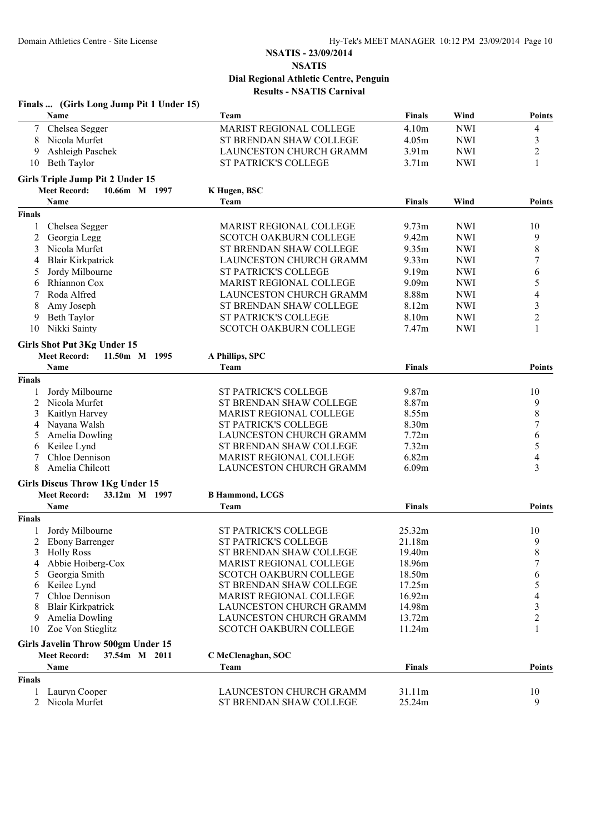|               | Finals  (Girls Long Jump Pit 1 Under 15)                                   |                                                           |                   |            |                |
|---------------|----------------------------------------------------------------------------|-----------------------------------------------------------|-------------------|------------|----------------|
|               | Name                                                                       | Team                                                      | <b>Finals</b>     | Wind       | <b>Points</b>  |
| $\tau$        | Chelsea Segger                                                             | MARIST REGIONAL COLLEGE                                   | 4.10m             | <b>NWI</b> | $\overline{4}$ |
| 8             | Nicola Murfet                                                              | ST BRENDAN SHAW COLLEGE                                   | 4.05m             | <b>NWI</b> | 3              |
| 9             | Ashleigh Paschek                                                           | LAUNCESTON CHURCH GRAMM                                   | 3.91 <sub>m</sub> | <b>NWI</b> | 2              |
| 10            | <b>Beth Taylor</b>                                                         | ST PATRICK'S COLLEGE                                      | 3.71m             | <b>NWI</b> | 1              |
|               | Girls Triple Jump Pit 2 Under 15                                           |                                                           |                   |            |                |
|               | <b>Meet Record:</b><br>10.66m M 1997                                       | K Hugen, BSC                                              |                   |            |                |
|               | Name                                                                       | Team                                                      | <b>Finals</b>     | Wind       | Points         |
| <b>Finals</b> |                                                                            |                                                           |                   |            |                |
| 1             | Chelsea Segger                                                             | MARIST REGIONAL COLLEGE                                   | 9.73 <sub>m</sub> | <b>NWI</b> | 10             |
| 2             | Georgia Legg                                                               | <b>SCOTCH OAKBURN COLLEGE</b>                             | 9.42m             | <b>NWI</b> | 9              |
| 3             | Nicola Murfet                                                              | ST BRENDAN SHAW COLLEGE                                   | 9.35m             | <b>NWI</b> | $\,$ $\,$      |
| 4             | <b>Blair Kirkpatrick</b>                                                   | LAUNCESTON CHURCH GRAMM                                   | 9.33 <sub>m</sub> | <b>NWI</b> | 7              |
| 5             | Jordy Milbourne                                                            | ST PATRICK'S COLLEGE                                      | 9.19 <sub>m</sub> | <b>NWI</b> | 6              |
| 6             | Rhiannon Cox                                                               | <b>MARIST REGIONAL COLLEGE</b>                            | 9.09m             | <b>NWI</b> | 5              |
| 7             | Roda Alfred                                                                | LAUNCESTON CHURCH GRAMM                                   | 8.88m             | <b>NWI</b> | 4              |
| 8             | Amy Joseph                                                                 | ST BRENDAN SHAW COLLEGE                                   | 8.12m             | <b>NWI</b> | 3              |
| 9             | Beth Taylor                                                                | <b>ST PATRICK'S COLLEGE</b>                               | 8.10m             | <b>NWI</b> | $\overline{c}$ |
| 10            | Nikki Sainty                                                               | <b>SCOTCH OAKBURN COLLEGE</b>                             | 7.47 <sub>m</sub> | <b>NWI</b> | 1              |
|               | <b>Girls Shot Put 3Kg Under 15</b>                                         |                                                           |                   |            |                |
|               | <b>Meet Record:</b><br>11.50m M 1995                                       | A Phillips, SPC                                           |                   |            |                |
|               | Name                                                                       | Team                                                      | <b>Finals</b>     |            | Points         |
| <b>Finals</b> |                                                                            |                                                           |                   |            |                |
| 1             | Jordy Milbourne                                                            | <b>ST PATRICK'S COLLEGE</b>                               | 9.87m             |            | 10             |
| 2             | Nicola Murfet                                                              | ST BRENDAN SHAW COLLEGE                                   | 8.87m             |            | 9              |
| 3             | Kaitlyn Harvey                                                             | <b>MARIST REGIONAL COLLEGE</b>                            | 8.55m             |            | $\,$ $\,$      |
| 4             | Nayana Walsh                                                               | <b>ST PATRICK'S COLLEGE</b>                               | 8.30m             |            | 7              |
| 5             | Amelia Dowling                                                             | LAUNCESTON CHURCH GRAMM                                   | 7.72m             |            | 6              |
| 6             | Keilee Lynd                                                                | ST BRENDAN SHAW COLLEGE                                   | 7.32m             |            | 5              |
| 7             | Chloe Dennison                                                             | MARIST REGIONAL COLLEGE                                   | 6.82m             |            | 4              |
| 8             | Amelia Chilcott                                                            | LAUNCESTON CHURCH GRAMM                                   | 6.09m             |            | 3              |
|               | <b>Girls Discus Throw 1Kg Under 15</b>                                     |                                                           |                   |            |                |
|               | <b>Meet Record:</b><br>33.12m M 1997                                       | <b>B Hammond, LCGS</b>                                    |                   |            |                |
|               | Name                                                                       | Team                                                      | <b>Finals</b>     |            | Points         |
| <b>Finals</b> |                                                                            |                                                           |                   |            |                |
| 1             | Jordy Milbourne                                                            | <b>ST PATRICK'S COLLEGE</b>                               | 25.32m            |            | 10             |
|               | <b>Ebony Barrenger</b>                                                     | ST PATRICK'S COLLEGE                                      | 21.18m            |            | 9              |
| 3             | <b>Holly Ross</b>                                                          | ST BRENDAN SHAW COLLEGE                                   | 19.40m            |            | 8              |
| 4             | Abbie Hoiberg-Cox                                                          | <b>MARIST REGIONAL COLLEGE</b>                            | 18.96m            |            | 7              |
| 5             | Georgia Smith                                                              | <b>SCOTCH OAKBURN COLLEGE</b>                             | 18.50m            |            | 6              |
| 6             | Keilee Lynd<br>Chloe Dennison                                              | ST BRENDAN SHAW COLLEGE                                   | 17.25m            |            | 5              |
| 8             | <b>Blair Kirkpatrick</b>                                                   | <b>MARIST REGIONAL COLLEGE</b><br>LAUNCESTON CHURCH GRAMM | 16.92m<br>14.98m  |            | 4<br>3         |
| 9             | Amelia Dowling                                                             | LAUNCESTON CHURCH GRAMM                                   | 13.72m            |            | $\overline{c}$ |
| 10            | Zoe Von Stieglitz                                                          | <b>SCOTCH OAKBURN COLLEGE</b>                             | 11.24m            |            | $\mathbf{1}$   |
|               |                                                                            |                                                           |                   |            |                |
|               | Girls Javelin Throw 500gm Under 15<br><b>Meet Record:</b><br>37.54m M 2011 | C McClenaghan, SOC                                        |                   |            |                |
|               | Name                                                                       | Team                                                      | <b>Finals</b>     |            | <b>Points</b>  |
| <b>Finals</b> |                                                                            |                                                           |                   |            |                |
| 1             | Lauryn Cooper                                                              | LAUNCESTON CHURCH GRAMM                                   | 31.11m            |            | 10             |
| 2             | Nicola Murfet                                                              | ST BRENDAN SHAW COLLEGE                                   | 25.24m            |            | 9              |
|               |                                                                            |                                                           |                   |            |                |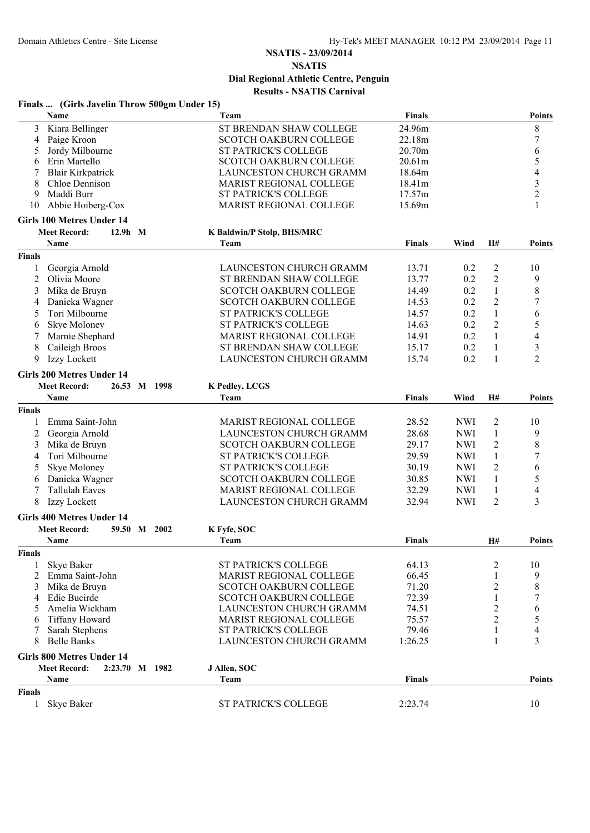# **NSATIS - 23/09/2014**

**NSATIS Dial Regional Athletic Centre, Penguin**

**Results - NSATIS Carnival**

|  | Finals  (Girls Javelin Throw 500gm Under 15) |  |  |
|--|----------------------------------------------|--|--|
|--|----------------------------------------------|--|--|

|                | Name                                                                    | Team                           | <b>Finals</b> |            |                | <b>Points</b>            |
|----------------|-------------------------------------------------------------------------|--------------------------------|---------------|------------|----------------|--------------------------|
| 3              | Kiara Bellinger                                                         | ST BRENDAN SHAW COLLEGE        | 24.96m        |            |                | $\,$ $\,$                |
| 4              | Paige Kroon                                                             | <b>SCOTCH OAKBURN COLLEGE</b>  | 22.18m        |            |                | $\boldsymbol{7}$         |
| 5              | Jordy Milbourne                                                         | ST PATRICK'S COLLEGE           | 20.70m        |            |                | 6                        |
| 6              | Erin Martello                                                           | <b>SCOTCH OAKBURN COLLEGE</b>  | 20.61m        |            |                | 5                        |
| 7              | <b>Blair Kirkpatrick</b>                                                | <b>LAUNCESTON CHURCH GRAMM</b> | 18.64m        |            |                | $\overline{4}$           |
| 8              | Chloe Dennison                                                          | MARIST REGIONAL COLLEGE        | 18.41m        |            |                | $\mathfrak{Z}$           |
| 9              | Maddi Burr                                                              | <b>ST PATRICK'S COLLEGE</b>    | 17.57m        |            |                | $\overline{c}$           |
| 10             | Abbie Hoiberg-Cox                                                       | MARIST REGIONAL COLLEGE        | 15.69m        |            |                | 1                        |
|                | <b>Girls 100 Metres Under 14</b>                                        |                                |               |            |                |                          |
|                | <b>Meet Record:</b><br>$12.9h$ M                                        | K Baldwin/P Stolp, BHS/MRC     |               |            |                |                          |
|                | Name                                                                    | Team                           | <b>Finals</b> | Wind       | H#             | <b>Points</b>            |
| <b>Finals</b>  |                                                                         |                                |               |            |                |                          |
| 1              | Georgia Arnold                                                          | <b>LAUNCESTON CHURCH GRAMM</b> | 13.71         | 0.2        | $\overline{c}$ | 10                       |
| $\overline{c}$ | Olivia Moore                                                            | ST BRENDAN SHAW COLLEGE        | 13.77         | 0.2        | $\sqrt{2}$     | 9                        |
| 3              | Mika de Bruyn                                                           | SCOTCH OAKBURN COLLEGE         | 14.49         | 0.2        | $\mathbf{1}$   | $\,$ $\,$                |
| 4              | Danieka Wagner                                                          | SCOTCH OAKBURN COLLEGE         | 14.53         | 0.2        | $\sqrt{2}$     | $\boldsymbol{7}$         |
| 5              | Tori Milbourne                                                          | ST PATRICK'S COLLEGE           | 14.57         | 0.2        | $\mathbf{1}$   | 6                        |
| 6              | Skye Moloney                                                            | <b>ST PATRICK'S COLLEGE</b>    | 14.63         | 0.2        | $\overline{2}$ | 5                        |
| 7              | Marnie Shephard                                                         | <b>MARIST REGIONAL COLLEGE</b> | 14.91         | 0.2        | $\mathbf{1}$   | $\overline{4}$           |
| 8              | Caileigh Broos                                                          | ST BRENDAN SHAW COLLEGE        | 15.17         | 0.2        | $\mathbf{1}$   | $\mathfrak{Z}$           |
| 9              | Izzy Lockett                                                            | LAUNCESTON CHURCH GRAMM        | 15.74         | 0.2        | $\mathbf{1}$   | $\overline{2}$           |
|                |                                                                         |                                |               |            |                |                          |
|                | <b>Girls 200 Metres Under 14</b><br><b>Meet Record:</b><br>26.53 M 1998 | K Pedley, LCGS                 |               |            |                |                          |
|                | Name                                                                    | Team                           | <b>Finals</b> | Wind       | H#             | <b>Points</b>            |
| <b>Finals</b>  |                                                                         |                                |               |            |                |                          |
| 1              | Emma Saint-John                                                         | MARIST REGIONAL COLLEGE        | 28.52         | <b>NWI</b> | $\overline{2}$ | 10                       |
|                | Georgia Arnold                                                          | LAUNCESTON CHURCH GRAMM        | 28.68         | <b>NWI</b> | 1              | 9                        |
| 2              |                                                                         |                                |               |            |                |                          |
| 3              | Mika de Bruyn                                                           | SCOTCH OAKBURN COLLEGE         | 29.17         | <b>NWI</b> | $\overline{2}$ | $\,$ $\,$                |
| 4              | Tori Milbourne                                                          | ST PATRICK'S COLLEGE           | 29.59         | <b>NWI</b> | $\mathbf{1}$   | $\boldsymbol{7}$         |
| 5              | Skye Moloney                                                            | ST PATRICK'S COLLEGE           | 30.19         | <b>NWI</b> | $\overline{2}$ | 6                        |
| 6              | Danieka Wagner                                                          | <b>SCOTCH OAKBURN COLLEGE</b>  | 30.85         | <b>NWI</b> | $\mathbf{1}$   | $\sqrt{5}$               |
| 7              | <b>Tallulah Eaves</b>                                                   | MARIST REGIONAL COLLEGE        | 32.29         | <b>NWI</b> | $\mathbf{1}$   | $\overline{\mathcal{L}}$ |
| 8              | Izzy Lockett                                                            | <b>LAUNCESTON CHURCH GRAMM</b> | 32.94         | <b>NWI</b> | $\overline{2}$ | 3                        |
|                | <b>Girls 400 Metres Under 14</b>                                        |                                |               |            |                |                          |
|                | <b>Meet Record:</b><br>59.50 M 2002                                     | K Fyfe, SOC                    |               |            |                |                          |
|                | Name                                                                    | Team                           | <b>Finals</b> |            | <b>H#</b>      | <b>Points</b>            |
| <b>Finals</b>  |                                                                         |                                |               |            |                |                          |
|                | Skye Baker                                                              | ST PATRICK'S COLLEGE           | 64.13         |            | 2              | 10                       |
| 2              | Emma Saint-John                                                         | MARIST REGIONAL COLLEGE        | 66.45         |            |                | 9                        |
| 3              | Mika de Bruyn                                                           | <b>SCOTCH OAKBURN COLLEGE</b>  | 71.20         |            | $\overline{c}$ | 8                        |
| 4              | Edie Bucirde                                                            | <b>SCOTCH OAKBURN COLLEGE</b>  | 72.39         |            | $\mathbf{1}$   | $\boldsymbol{7}$         |
| 5              | Amelia Wickham                                                          | <b>LAUNCESTON CHURCH GRAMM</b> | 74.51         |            | $\overline{c}$ | 6                        |
| 6              | <b>Tiffany Howard</b>                                                   | MARIST REGIONAL COLLEGE        | 75.57         |            | $\overline{c}$ | 5                        |
| 7              | Sarah Stephens                                                          | ST PATRICK'S COLLEGE           | 79.46         |            | 1              | 4                        |
| 8              | <b>Belle Banks</b>                                                      | <b>LAUNCESTON CHURCH GRAMM</b> | 1:26.25       |            | 1              | 3                        |
|                | <b>Girls 800 Metres Under 14</b>                                        |                                |               |            |                |                          |
|                | <b>Meet Record:</b><br>2:23.70 M 1982                                   | J Allen, SOC                   |               |            |                |                          |
|                | Name                                                                    | Team                           | <b>Finals</b> |            |                | <b>Points</b>            |
| <b>Finals</b>  |                                                                         |                                |               |            |                |                          |
| 1              | Skye Baker                                                              | ST PATRICK'S COLLEGE           | 2:23.74       |            |                | 10                       |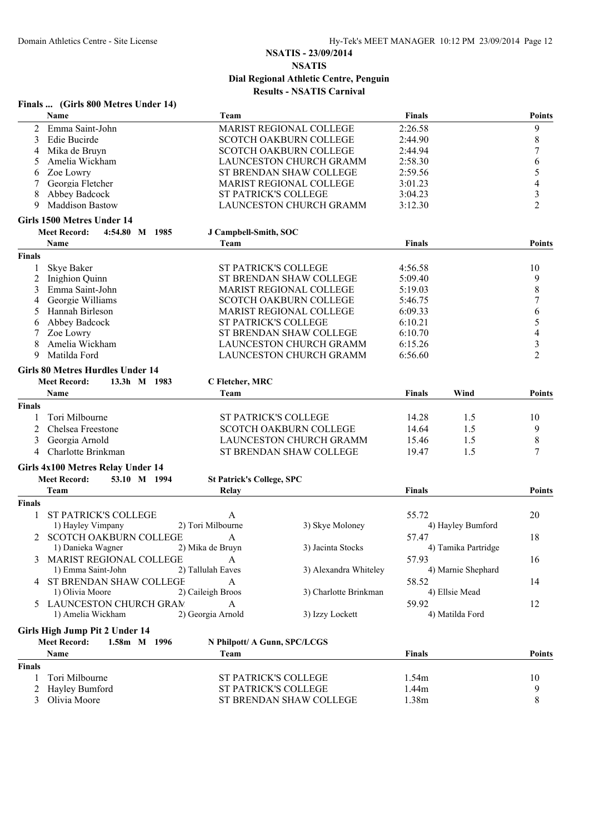|               | Finals  (Girls 800 Metres Under 14)                                            |                                  |                                |               |                     |                          |
|---------------|--------------------------------------------------------------------------------|----------------------------------|--------------------------------|---------------|---------------------|--------------------------|
|               | Name                                                                           | Team                             |                                | <b>Finals</b> |                     | Points                   |
| 2             | Emma Saint-John                                                                |                                  | <b>MARIST REGIONAL COLLEGE</b> | 2:26.58       |                     | 9                        |
| 3             | Edie Bucirde                                                                   |                                  | SCOTCH OAKBURN COLLEGE         | 2:44.90       |                     | $\,8\,$                  |
| 4             | Mika de Bruyn                                                                  |                                  | <b>SCOTCH OAKBURN COLLEGE</b>  | 2:44.94       |                     | $\boldsymbol{7}$         |
| 5             | Amelia Wickham                                                                 |                                  | LAUNCESTON CHURCH GRAMM        | 2:58.30       |                     | 6                        |
| 6             | Zoe Lowry                                                                      |                                  | ST BRENDAN SHAW COLLEGE        | 2:59.56       |                     | 5                        |
| 7             | Georgia Fletcher                                                               |                                  | MARIST REGIONAL COLLEGE        | 3:01.23       |                     | $\overline{\mathcal{A}}$ |
| 8             | Abbey Badcock                                                                  | <b>ST PATRICK'S COLLEGE</b>      |                                | 3:04.23       |                     | $\mathfrak{Z}$           |
| 9             | <b>Maddison Bastow</b>                                                         |                                  | LAUNCESTON CHURCH GRAMM        | 3:12.30       |                     | $\overline{2}$           |
|               | Girls 1500 Metres Under 14                                                     |                                  |                                |               |                     |                          |
|               | <b>Meet Record:</b><br>4:54.80 M 1985                                          | J Campbell-Smith, SOC            |                                |               |                     |                          |
|               | Name                                                                           | Team                             |                                | <b>Finals</b> |                     | Points                   |
| <b>Finals</b> |                                                                                |                                  |                                |               |                     |                          |
| 1             | Skye Baker                                                                     | ST PATRICK'S COLLEGE             |                                | 4:56.58       |                     | 10                       |
| 2             | Inighion Quinn                                                                 |                                  | ST BRENDAN SHAW COLLEGE        | 5:09.40       |                     | 9                        |
| 3             | Emma Saint-John                                                                |                                  | <b>MARIST REGIONAL COLLEGE</b> | 5:19.03       |                     | $\,$ 8 $\,$              |
| 4             | Georgie Williams                                                               |                                  | SCOTCH OAKBURN COLLEGE         | 5:46.75       |                     | $\boldsymbol{7}$         |
| 5             | Hannah Birleson                                                                |                                  | MARIST REGIONAL COLLEGE        | 6:09.33       |                     | 6                        |
| 6             | Abbey Badcock                                                                  | <b>ST PATRICK'S COLLEGE</b>      |                                | 6:10.21       |                     | 5                        |
| 7             | Zoe Lowry                                                                      |                                  | ST BRENDAN SHAW COLLEGE        | 6:10.70       |                     | 4                        |
| 8             | Amelia Wickham                                                                 |                                  | LAUNCESTON CHURCH GRAMM        | 6:15.26       |                     | $\mathfrak{Z}$           |
| 9             | Matilda Ford                                                                   |                                  | LAUNCESTON CHURCH GRAMM        | 6:56.60       |                     | $\overline{2}$           |
|               |                                                                                |                                  |                                |               |                     |                          |
|               | <b>Girls 80 Metres Hurdles Under 14</b><br><b>Meet Record:</b><br>13.3h M 1983 |                                  |                                |               |                     |                          |
|               | Name                                                                           | C Fletcher, MRC                  |                                |               | Wind                |                          |
|               |                                                                                | Team                             |                                | <b>Finals</b> |                     | <b>Points</b>            |
| <b>Finals</b> |                                                                                |                                  |                                |               |                     |                          |
|               | Tori Milbourne                                                                 | <b>ST PATRICK'S COLLEGE</b>      |                                | 14.28         | 1.5                 | 10                       |
| 2             | Chelsea Freestone                                                              |                                  | <b>SCOTCH OAKBURN COLLEGE</b>  | 14.64         | 1.5                 | 9                        |
| 3             | Georgia Arnold                                                                 |                                  | LAUNCESTON CHURCH GRAMM        | 15.46         | 1.5                 | $\,8\,$                  |
| 4             | Charlotte Brinkman                                                             |                                  | ST BRENDAN SHAW COLLEGE        | 19.47         | 1.5                 | 7                        |
|               | Girls 4x100 Metres Relay Under 14                                              |                                  |                                |               |                     |                          |
|               | <b>Meet Record:</b><br>53.10 M 1994                                            | <b>St Patrick's College, SPC</b> |                                |               |                     |                          |
|               | Team                                                                           | Relay                            |                                | <b>Finals</b> |                     | <b>Points</b>            |
| <b>Finals</b> |                                                                                |                                  |                                |               |                     |                          |
| 1             | ST PATRICK'S COLLEGE                                                           | A                                |                                | 55.72         |                     | 20                       |
|               | 1) Hayley Vimpany                                                              | 2) Tori Milbourne                | 3) Skye Moloney                |               | 4) Hayley Bumford   |                          |
| 2             | SCOTCH OAKBURN COLLEGE                                                         |                                  |                                | 57.47         |                     | 18                       |
|               | 1) Danieka Wagner                                                              | A<br>2) Mika de Bruyn            | 3) Jacinta Stocks              |               | 4) Tamika Partridge |                          |
|               | <b>MARIST REGIONAL COLLEGE</b>                                                 |                                  |                                |               |                     |                          |
| 3             | 1) Emma Saint-John                                                             | A<br>2) Tallulah Eaves           | 3) Alexandra Whiteley          | 57.93         | 4) Marnie Shephard  | 16                       |
|               |                                                                                |                                  |                                |               |                     |                          |
|               | <b>4 ST BRENDAN SHAW COLLEGE</b>                                               | $\mathbf{A}$                     |                                | 58.52         |                     | 14                       |
|               | 1) Olivia Moore                                                                | 2) Caileigh Broos                | 3) Charlotte Brinkman          |               | 4) Ellsie Mead      |                          |
| 5.            | LAUNCESTON CHURCH GRAM                                                         | A                                |                                | 59.92         |                     | 12                       |
|               | 1) Amelia Wickham                                                              | 2) Georgia Arnold                | 3) Izzy Lockett                |               | 4) Matilda Ford     |                          |
|               | Girls High Jump Pit 2 Under 14                                                 |                                  |                                |               |                     |                          |
|               | <b>Meet Record:</b><br>1.58m M 1996                                            | N Philpott/ A Gunn, SPC/LCGS     |                                |               |                     |                          |
|               | Name                                                                           | Team                             |                                | <b>Finals</b> |                     | <b>Points</b>            |
| <b>Finals</b> |                                                                                |                                  |                                |               |                     |                          |
| 1             | Tori Milbourne                                                                 | ST PATRICK'S COLLEGE             |                                | 1.54m         |                     | 10                       |
| 2             | Hayley Bumford                                                                 | ST PATRICK'S COLLEGE             |                                | 1.44m         |                     | 9                        |
| 3             | Olivia Moore                                                                   |                                  | ST BRENDAN SHAW COLLEGE        | 1.38m         |                     | $8\,$                    |
|               |                                                                                |                                  |                                |               |                     |                          |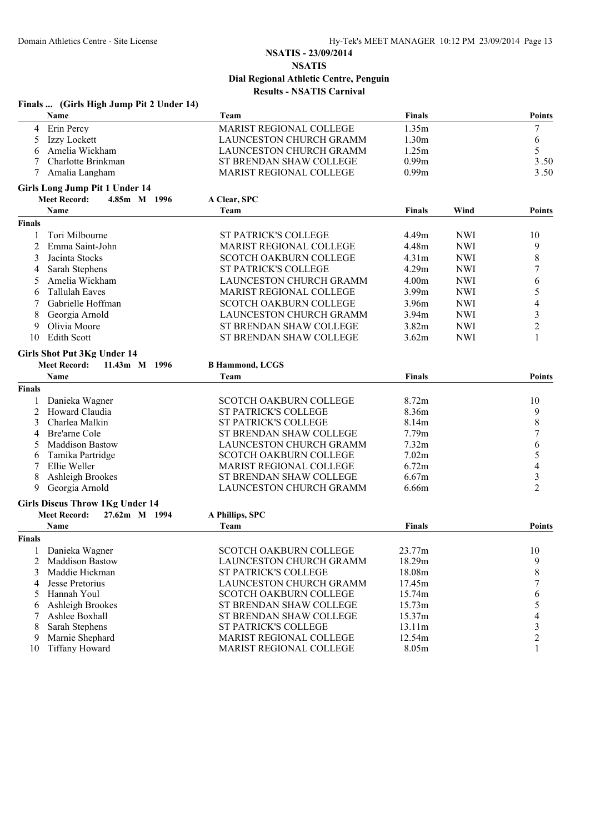|                | Finals  (Girls High Jump Pit 2 Under 14) |                                |                   |            |                |
|----------------|------------------------------------------|--------------------------------|-------------------|------------|----------------|
|                | Name                                     | Team                           | <b>Finals</b>     |            | Points         |
| 4              | Erin Percy                               | MARIST REGIONAL COLLEGE        | 1.35m             |            | $\tau$         |
| 5              | Izzy Lockett                             | LAUNCESTON CHURCH GRAMM        | 1.30 <sub>m</sub> |            | 6              |
| 6              | Amelia Wickham                           | LAUNCESTON CHURCH GRAMM        | 1.25m             |            | 5              |
|                | Charlotte Brinkman                       | ST BRENDAN SHAW COLLEGE        | 0.99m             |            | 3.50           |
| 7              | Amalia Langham                           | MARIST REGIONAL COLLEGE        | 0.99m             |            | 3.50           |
|                | Girls Long Jump Pit 1 Under 14           |                                |                   |            |                |
|                | <b>Meet Record:</b><br>4.85m M 1996      | A Clear, SPC                   |                   |            |                |
|                | Name                                     | Team                           | <b>Finals</b>     | Wind       | Points         |
| <b>Finals</b>  |                                          |                                |                   |            |                |
| 1              | Tori Milbourne                           | ST PATRICK'S COLLEGE           | 4.49m             | <b>NWI</b> | 10             |
| $\overline{2}$ | Emma Saint-John                          | MARIST REGIONAL COLLEGE        | 4.48m             | <b>NWI</b> | 9              |
| 3              | Jacinta Stocks                           | <b>SCOTCH OAKBURN COLLEGE</b>  | 4.31 <sub>m</sub> | <b>NWI</b> | 8              |
| 4              | Sarah Stephens                           | <b>ST PATRICK'S COLLEGE</b>    | 4.29m             | <b>NWI</b> | 7              |
| 5              | Amelia Wickham                           | <b>LAUNCESTON CHURCH GRAMM</b> | 4.00m             | <b>NWI</b> | 6              |
| 6              | <b>Tallulah Eaves</b>                    | MARIST REGIONAL COLLEGE        | 3.99m             | <b>NWI</b> | 5              |
| 7              | Gabrielle Hoffman                        | SCOTCH OAKBURN COLLEGE         | 3.96m             | <b>NWI</b> | 4              |
| 8              | Georgia Arnold                           | LAUNCESTON CHURCH GRAMM        | 3.94m             | <b>NWI</b> | $\mathfrak{Z}$ |
| 9              | Olivia Moore                             | ST BRENDAN SHAW COLLEGE        | 3.82m             | <b>NWI</b> | $\overline{c}$ |
| 10             | <b>Edith Scott</b>                       | ST BRENDAN SHAW COLLEGE        | 3.62m             | <b>NWI</b> | 1              |
|                | <b>Girls Shot Put 3Kg Under 14</b>       |                                |                   |            |                |
|                | <b>Meet Record:</b><br>11.43m M 1996     | <b>B</b> Hammond, LCGS         |                   |            |                |
|                | Name                                     | Team                           | Finals            |            | Points         |
| <b>Finals</b>  |                                          |                                |                   |            |                |
|                | Danieka Wagner                           | <b>SCOTCH OAKBURN COLLEGE</b>  | 8.72m             |            | 10             |
| 2              | Howard Claudia                           | <b>ST PATRICK'S COLLEGE</b>    | 8.36m             |            | 9              |
| 3              | Charlea Malkin                           | ST PATRICK'S COLLEGE           | 8.14m             |            | $\,$ 8 $\,$    |
| 4              | Bre'arne Cole                            | ST BRENDAN SHAW COLLEGE        | 7.79m             |            | $\overline{7}$ |
| 5              | <b>Maddison Bastow</b>                   | LAUNCESTON CHURCH GRAMM        | 7.32m             |            | 6              |
| 6              | Tamika Partridge                         | SCOTCH OAKBURN COLLEGE         | 7.02m             |            | 5              |
| 7              | Ellie Weller                             | MARIST REGIONAL COLLEGE        | 6.72m             |            | 4              |
| 8              | Ashleigh Brookes                         | ST BRENDAN SHAW COLLEGE        | 6.67m             |            | 3              |
| 9              | Georgia Arnold                           | LAUNCESTON CHURCH GRAMM        | 6.66m             |            | $\overline{2}$ |
|                | <b>Girls Discus Throw 1Kg Under 14</b>   |                                |                   |            |                |
|                | <b>Meet Record:</b><br>27.62m M 1994     | A Phillips, SPC                |                   |            |                |
|                | <b>Name</b>                              | Team                           | Finals            |            | Points         |
| <b>Finals</b>  |                                          |                                |                   |            |                |
| 1              | Danieka Wagner                           | SCOTCH OAKBURN COLLEGE         | 23.77m            |            | 10             |
| 2              | <b>Maddison Bastow</b>                   | <b>LAUNCESTON CHURCH GRAMM</b> | 18.29m            |            | 9              |
| 3              | Maddie Hickman                           | <b>ST PATRICK'S COLLEGE</b>    | 18.08m            |            | $\,8\,$        |
| 4              | Jesse Pretorius                          | LAUNCESTON CHURCH GRAMM        | 17.45m            |            | 7              |
| 5              | Hannah Youl                              | <b>SCOTCH OAKBURN COLLEGE</b>  | 15.74m            |            | 6              |
| 6              | Ashleigh Brookes                         | ST BRENDAN SHAW COLLEGE        | 15.73m            |            | 5              |
| 7              | Ashlee Boxhall                           | ST BRENDAN SHAW COLLEGE        | 15.37m            |            | 4              |
| 8              | Sarah Stephens                           | <b>ST PATRICK'S COLLEGE</b>    | 13.11m            |            | 3              |
| 9              | Marnie Shephard                          | <b>MARIST REGIONAL COLLEGE</b> | 12.54m            |            | $\overline{c}$ |
| 10             | <b>Tiffany Howard</b>                    | MARIST REGIONAL COLLEGE        | 8.05m             |            | 1              |
|                |                                          |                                |                   |            |                |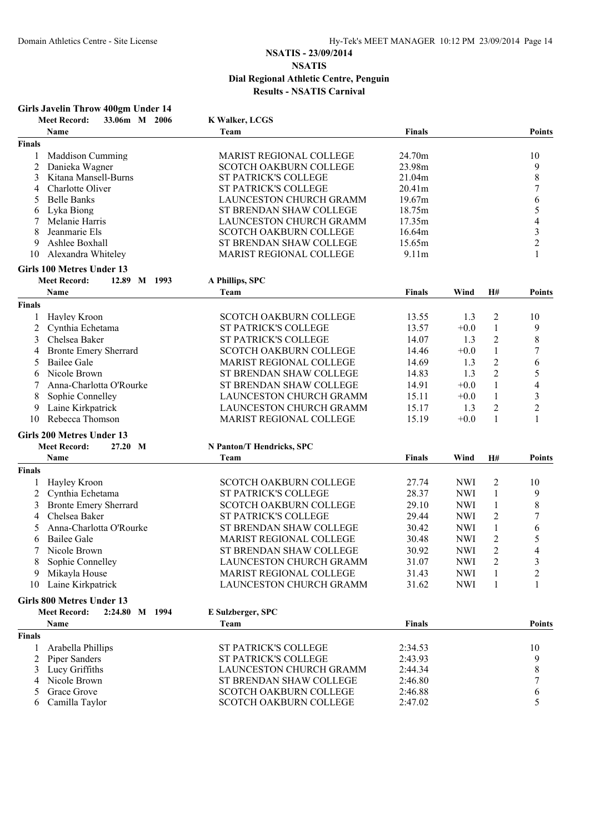|               | Girls Javelin Throw 400gm Under 14     |                                   |               |            |                  |                  |
|---------------|----------------------------------------|-----------------------------------|---------------|------------|------------------|------------------|
|               | <b>Meet Record:</b><br>33.06m M 2006   | K Walker, LCGS                    |               |            |                  |                  |
|               | <b>Name</b>                            | Team                              | <b>Finals</b> |            |                  | <b>Points</b>    |
| <b>Finals</b> |                                        |                                   |               |            |                  |                  |
| 1             | <b>Maddison Cumming</b>                | <b>MARIST REGIONAL COLLEGE</b>    | 24.70m        |            |                  | 10               |
| 2             | Danieka Wagner                         | <b>SCOTCH OAKBURN COLLEGE</b>     | 23.98m        |            |                  | 9                |
| 3             | Kitana Mansell-Burns                   | ST PATRICK'S COLLEGE              | 21.04m        |            |                  | $\,$ 8 $\,$      |
| 4             | Charlotte Oliver                       | ST PATRICK'S COLLEGE              | 20.41m        |            |                  | $\sqrt{ }$       |
| 5             | <b>Belle Banks</b>                     | LAUNCESTON CHURCH GRAMM           | 19.67m        |            |                  | 6                |
| 6             | Lyka Biong                             | ST BRENDAN SHAW COLLEGE           | 18.75m        |            |                  | 5                |
|               | Melanie Harris                         | <b>LAUNCESTON CHURCH GRAMM</b>    | 17.35m        |            |                  | 4                |
| 8             | Jeanmarie Els                          | <b>SCOTCH OAKBURN COLLEGE</b>     | 16.64m        |            |                  | $\mathfrak{Z}$   |
| 9             | Ashlee Boxhall                         | ST BRENDAN SHAW COLLEGE           | 15.65m        |            |                  | $\overline{c}$   |
| 10            | Alexandra Whiteley                     | <b>MARIST REGIONAL COLLEGE</b>    | 9.11m         |            |                  |                  |
|               | Girls 100 Metres Under 13              |                                   |               |            |                  |                  |
|               | <b>Meet Record:</b><br>12.89 M 1993    | A Phillips, SPC                   |               |            |                  |                  |
|               | Name                                   | Team                              | <b>Finals</b> | Wind       | H#               | <b>Points</b>    |
| <b>Finals</b> |                                        |                                   |               |            |                  |                  |
| 1             | Hayley Kroon                           | <b>SCOTCH OAKBURN COLLEGE</b>     | 13.55         | 1.3        | $\overline{c}$   | 10               |
| 2             | Cynthia Echetama                       | ST PATRICK'S COLLEGE              | 13.57         | $+0.0$     | $\mathbf{1}$     | 9                |
| 3             | Chelsea Baker                          | ST PATRICK'S COLLEGE              | 14.07         | 1.3        | $\overline{c}$   | $\,$ $\,$        |
| 4             | <b>Bronte Emery Sherrard</b>           | <b>SCOTCH OAKBURN COLLEGE</b>     | 14.46         | $+0.0$     | $\mathbf{1}$     | 7                |
| 5             | <b>Bailee Gale</b>                     | MARIST REGIONAL COLLEGE           | 14.69         | 1.3        | $\boldsymbol{2}$ | 6                |
| 6             | Nicole Brown                           | ST BRENDAN SHAW COLLEGE           | 14.83         | 1.3        | $\overline{2}$   | 5                |
|               | Anna-Charlotta O'Rourke                | ST BRENDAN SHAW COLLEGE           | 14.91         | $+0.0$     | $\mathbf{1}$     | 4                |
| 8             | Sophie Connelley                       | LAUNCESTON CHURCH GRAMM           | 15.11         | $+0.0$     | $\mathbf{1}$     | 3                |
| 9             | Laine Kirkpatrick                      | LAUNCESTON CHURCH GRAMM           | 15.17         | 1.3        | $\overline{2}$   | $\overline{2}$   |
| 10            | Rebecca Thomson                        | MARIST REGIONAL COLLEGE           | 15.19         | $+0.0$     | $\mathbf{1}$     | 1                |
|               |                                        |                                   |               |            |                  |                  |
|               | <b>Girls 200 Metres Under 13</b>       |                                   |               |            |                  |                  |
|               | <b>Meet Record:</b><br>27.20 M<br>Name | N Panton/T Hendricks, SPC<br>Team |               | Wind       | H#               |                  |
|               |                                        |                                   | <b>Finals</b> |            |                  | <b>Points</b>    |
| <b>Finals</b> |                                        |                                   |               |            |                  |                  |
|               | Hayley Kroon                           | <b>SCOTCH OAKBURN COLLEGE</b>     | 27.74         | <b>NWI</b> | $\overline{c}$   | 10               |
| 2             | Cynthia Echetama                       | <b>ST PATRICK'S COLLEGE</b>       | 28.37         | <b>NWI</b> | $\mathbf{1}$     | 9                |
| 3             | <b>Bronte Emery Sherrard</b>           | <b>SCOTCH OAKBURN COLLEGE</b>     | 29.10         | <b>NWI</b> | 1                | 8                |
| 4             | Chelsea Baker                          | ST PATRICK'S COLLEGE              | 29.44         | <b>NWI</b> | $\overline{2}$   | 7                |
| 5             | Anna-Charlotta O'Rourke                | ST BRENDAN SHAW COLLEGE           | 30.42         | <b>NWI</b> | $\mathbf{1}$     | 6                |
| 6             | Bailee Gale                            | <b>MARIST REGIONAL COLLEGE</b>    | 30.48         | <b>NWI</b> | $\overline{c}$   | 5                |
|               | Nicole Brown                           | ST BRENDAN SHAW COLLEGE           | 30.92         | <b>NWI</b> | 2                | 4                |
| 8             | Sophie Connelley                       | LAUNCESTON CHURCH GRAMM           | 31.07         | <b>NWI</b> | 2                | $\mathfrak{Z}$   |
| 9             | Mikayla House                          | MARIST REGIONAL COLLEGE           | 31.43         | <b>NWI</b> | 1                | $\overline{c}$   |
| 10            | Laine Kirkpatrick                      | LAUNCESTON CHURCH GRAMM           | 31.62         | <b>NWI</b> | 1                | 1                |
|               | <b>Girls 800 Metres Under 13</b>       |                                   |               |            |                  |                  |
|               | <b>Meet Record:</b><br>2:24.80 M 1994  | E Sulzberger, SPC                 |               |            |                  |                  |
|               | Name                                   | Team                              | <b>Finals</b> |            |                  | <b>Points</b>    |
| <b>Finals</b> |                                        |                                   |               |            |                  |                  |
| 1             | Arabella Phillips                      | ST PATRICK'S COLLEGE              | 2:34.53       |            |                  | 10               |
| 2             | Piper Sanders                          | ST PATRICK'S COLLEGE              | 2:43.93       |            |                  | 9                |
| 3             | Lucy Griffiths                         | <b>LAUNCESTON CHURCH GRAMM</b>    | 2:44.34       |            |                  | $\,$ $\,$        |
| 4             | Nicole Brown                           | ST BRENDAN SHAW COLLEGE           | 2:46.80       |            |                  | $\boldsymbol{7}$ |
| 5             | Grace Grove                            | <b>SCOTCH OAKBURN COLLEGE</b>     | 2:46.88       |            |                  | 6                |
| 6             | Camilla Taylor                         | SCOTCH OAKBURN COLLEGE            | 2:47.02       |            |                  | 5                |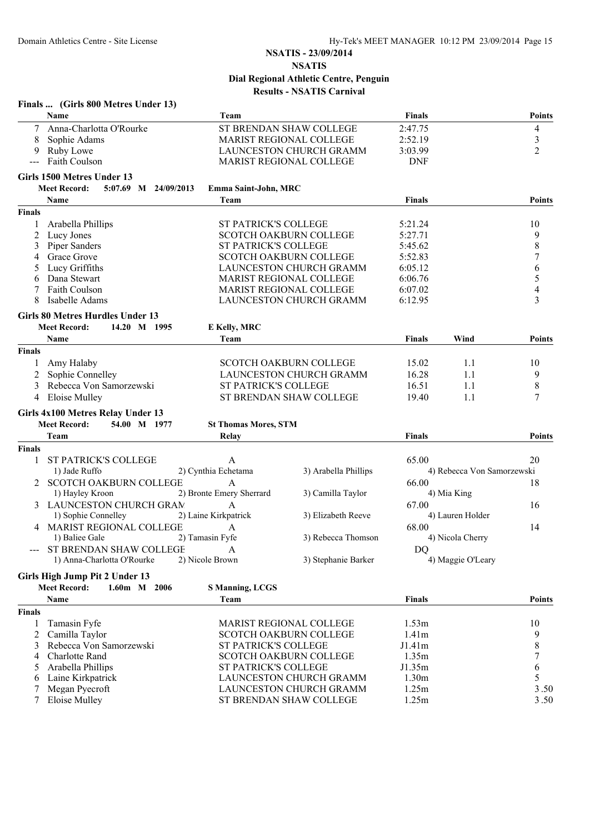|               | Finals  (Girls 800 Metres Under 13)                                            |                             |                                |                    |                            |               |
|---------------|--------------------------------------------------------------------------------|-----------------------------|--------------------------------|--------------------|----------------------------|---------------|
|               | Name                                                                           | Team                        |                                | <b>Finals</b>      |                            | <b>Points</b> |
| 7             | Anna-Charlotta O'Rourke                                                        |                             | ST BRENDAN SHAW COLLEGE        | 2:47.75            |                            | 4             |
| 8             | Sophie Adams                                                                   |                             | <b>MARIST REGIONAL COLLEGE</b> | 2:52.19            |                            | 3             |
| 9             | Ruby Lowe                                                                      |                             | LAUNCESTON CHURCH GRAMM        | 3:03.99            |                            | 2             |
| $---$         | Faith Coulson                                                                  |                             | MARIST REGIONAL COLLEGE        | <b>DNF</b>         |                            |               |
|               | Girls 1500 Metres Under 13                                                     |                             |                                |                    |                            |               |
|               | <b>Meet Record:</b><br>5:07.69 M 24/09/2013<br>Name                            | Emma Saint-John, MRC        |                                |                    |                            |               |
|               |                                                                                | Team                        |                                | <b>Finals</b>      |                            | <b>Points</b> |
| <b>Finals</b> |                                                                                |                             |                                |                    |                            |               |
| 1             | Arabella Phillips<br>Lucy Jones                                                | ST PATRICK'S COLLEGE        | <b>SCOTCH OAKBURN COLLEGE</b>  | 5:21.24<br>5:27.71 |                            | 10<br>9       |
| 2<br>3        | Piper Sanders                                                                  | ST PATRICK'S COLLEGE        |                                | 5:45.62            |                            | $\,$ 8 $\,$   |
|               | Grace Grove                                                                    |                             | <b>SCOTCH OAKBURN COLLEGE</b>  | 5:52.83            |                            | 7             |
| 5             | Lucy Griffiths                                                                 |                             | LAUNCESTON CHURCH GRAMM        | 6:05.12            |                            | 6             |
| 6             | Dana Stewart                                                                   |                             | MARIST REGIONAL COLLEGE        | 6:06.76            |                            | 5             |
| 7             | Faith Coulson                                                                  |                             | MARIST REGIONAL COLLEGE        | 6:07.02            |                            | 4             |
| 8             | Isabelle Adams                                                                 |                             | LAUNCESTON CHURCH GRAMM        | 6:12.95            |                            | 3             |
|               |                                                                                |                             |                                |                    |                            |               |
|               | <b>Girls 80 Metres Hurdles Under 13</b><br><b>Meet Record:</b><br>14.20 M 1995 |                             |                                |                    |                            |               |
|               | Name                                                                           | E Kelly, MRC<br>Team        |                                | <b>Finals</b>      | Wind                       |               |
|               |                                                                                |                             |                                |                    |                            | <b>Points</b> |
| <b>Finals</b> |                                                                                |                             |                                |                    |                            |               |
|               | Amy Halaby                                                                     |                             | <b>SCOTCH OAKBURN COLLEGE</b>  | 15.02              | 1.1                        | 10            |
| 2             | Sophie Connelley                                                               |                             | LAUNCESTON CHURCH GRAMM        | 16.28              | 1.1                        | 9             |
| 3             | Rebecca Von Samorzewski                                                        | ST PATRICK'S COLLEGE        |                                | 16.51              | 1.1                        | $\,$ 8 $\,$   |
| 4             | <b>Eloise Mulley</b>                                                           |                             | ST BRENDAN SHAW COLLEGE        | 19.40              | 1.1                        | 7             |
|               | Girls 4x100 Metres Relay Under 13                                              |                             |                                |                    |                            |               |
|               | <b>Meet Record:</b><br>54.00 M 1977                                            | <b>St Thomas Mores, STM</b> |                                |                    |                            |               |
|               | Team                                                                           | Relay                       |                                | <b>Finals</b>      |                            | <b>Points</b> |
| <b>Finals</b> |                                                                                |                             |                                |                    |                            |               |
|               | <b>ST PATRICK'S COLLEGE</b>                                                    | A                           |                                | 65.00              |                            | 20            |
|               | 1) Jade Ruffo                                                                  | 2) Cynthia Echetama         | 3) Arabella Phillips           |                    | 4) Rebecca Von Samorzewski |               |
| 2             | <b>SCOTCH OAKBURN COLLEGE</b>                                                  | A                           |                                | 66.00              |                            | 18            |
|               | 1) Hayley Kroon                                                                | 2) Bronte Emery Sherrard    | 3) Camilla Taylor              |                    | 4) Mia King                |               |
| 3             | LAUNCESTON CHURCH GRAM                                                         | A                           |                                | 67.00              |                            | 16            |
|               | 1) Sophie Connelley                                                            | 2) Laine Kirkpatrick        | 3) Elizabeth Reeve             |                    | 4) Lauren Holder           |               |
| 4             | <b>MARIST REGIONAL COLLEGE</b>                                                 | A                           |                                | 68.00              |                            | 14            |
|               | 1) Baliee Gale                                                                 | 2) Tamasin Fyfe             | 3) Rebecca Thomson             |                    | 4) Nicola Cherry           |               |
|               | --- ST BRENDAN SHAW COLLEGE                                                    | A                           |                                | DQ                 |                            |               |
|               | 1) Anna-Charlotta O'Rourke                                                     | 2) Nicole Brown             | 3) Stephanie Barker            |                    | 4) Maggie O'Leary          |               |
|               | Girls High Jump Pit 2 Under 13                                                 |                             |                                |                    |                            |               |
|               | <b>Meet Record:</b><br>$1.60m$ M $2006$                                        | <b>S Manning, LCGS</b>      |                                |                    |                            |               |
|               | Name                                                                           | Team                        |                                | <b>Finals</b>      |                            | <b>Points</b> |
| <b>Finals</b> |                                                                                |                             |                                |                    |                            |               |
| 1             | Tamasin Fyfe                                                                   |                             | MARIST REGIONAL COLLEGE        | 1.53m              |                            | 10            |
| 2             | Camilla Taylor                                                                 |                             | <b>SCOTCH OAKBURN COLLEGE</b>  | 1.41m              |                            | 9             |
| 3             | Rebecca Von Samorzewski                                                        | <b>ST PATRICK'S COLLEGE</b> |                                | J1.41m             |                            | 8             |
| 4             | Charlotte Rand                                                                 |                             | <b>SCOTCH OAKBURN COLLEGE</b>  | 1.35m              |                            | 7             |
| 5             | Arabella Phillips                                                              | ST PATRICK'S COLLEGE        |                                | J1.35m             |                            | 6             |
| 6             | Laine Kirkpatrick                                                              |                             | LAUNCESTON CHURCH GRAMM        | 1.30m              |                            | 5             |
|               | Megan Pyecroft                                                                 |                             | LAUNCESTON CHURCH GRAMM        | 1.25m              |                            | 3.50          |
| 7             | <b>Eloise Mulley</b>                                                           |                             | ST BRENDAN SHAW COLLEGE        | 1.25m              |                            | 3.50          |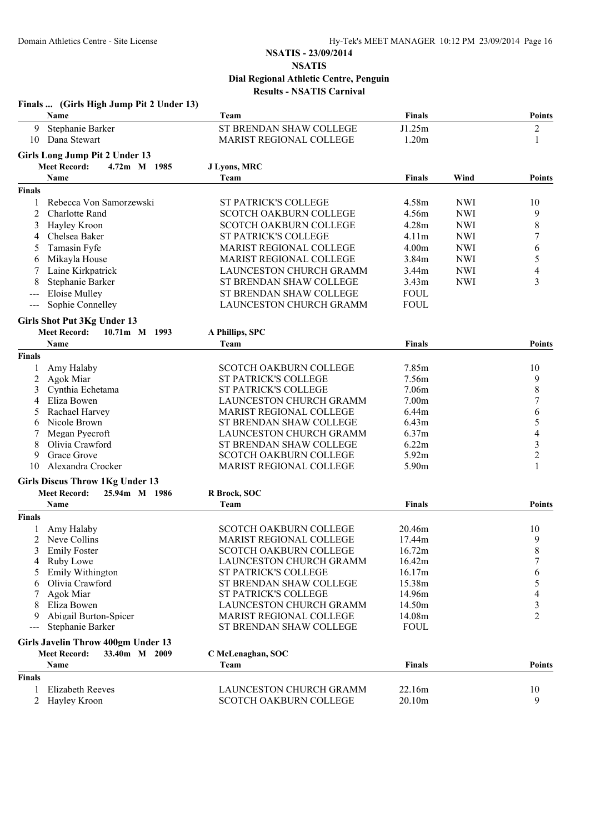|                                          | Finals  (Girls High Jump Pit 2 Under 13)<br>Name | Team                           | Finals            |            | <b>Points</b>            |
|------------------------------------------|--------------------------------------------------|--------------------------------|-------------------|------------|--------------------------|
| 9                                        | Stephanie Barker                                 | ST BRENDAN SHAW COLLEGE        | J1.25m            |            |                          |
| 10                                       | Dana Stewart                                     | MARIST REGIONAL COLLEGE        | 1.20m             |            | $\overline{c}$<br>1      |
|                                          |                                                  |                                |                   |            |                          |
|                                          | Girls Long Jump Pit 2 Under 13                   |                                |                   |            |                          |
|                                          | <b>Meet Record:</b><br>4.72m M 1985              | J Lyons, MRC                   |                   |            |                          |
|                                          | Name                                             | Team                           | <b>Finals</b>     | Wind       | <b>Points</b>            |
| <b>Finals</b>                            |                                                  |                                |                   |            |                          |
| 1                                        | Rebecca Von Samorzewski                          | ST PATRICK'S COLLEGE           | 4.58m             | <b>NWI</b> | 10                       |
| 2                                        | <b>Charlotte Rand</b>                            | <b>SCOTCH OAKBURN COLLEGE</b>  | 4.56m             | <b>NWI</b> | 9                        |
| 3                                        | Hayley Kroon                                     | <b>SCOTCH OAKBURN COLLEGE</b>  | 4.28m             | <b>NWI</b> | 8                        |
| 4                                        | Chelsea Baker                                    | <b>ST PATRICK'S COLLEGE</b>    | 4.11m             | <b>NWI</b> | 7                        |
| 5                                        | Tamasin Fyfe                                     | <b>MARIST REGIONAL COLLEGE</b> | 4.00m             | <b>NWI</b> | 6                        |
| 6                                        | Mikayla House                                    | MARIST REGIONAL COLLEGE        | 3.84m             | <b>NWI</b> | 5                        |
|                                          | Laine Kirkpatrick                                | <b>LAUNCESTON CHURCH GRAMM</b> | 3.44m             | <b>NWI</b> | 4                        |
|                                          | Stephanie Barker                                 | ST BRENDAN SHAW COLLEGE        | 3.43m             | <b>NWI</b> | 3                        |
| ---                                      | <b>Eloise Mulley</b>                             | ST BRENDAN SHAW COLLEGE        | <b>FOUL</b>       |            |                          |
| $\hspace{0.05cm} \ldots \hspace{0.05cm}$ | Sophie Connelley                                 | <b>LAUNCESTON CHURCH GRAMM</b> | <b>FOUL</b>       |            |                          |
|                                          | Girls Shot Put 3Kg Under 13                      |                                |                   |            |                          |
|                                          | <b>Meet Record:</b><br>10.71m M 1993             | A Phillips, SPC                |                   |            |                          |
|                                          | Name                                             | Team                           | <b>Finals</b>     |            | <b>Points</b>            |
| <b>Finals</b>                            |                                                  |                                |                   |            |                          |
| 1                                        | Amy Halaby                                       | <b>SCOTCH OAKBURN COLLEGE</b>  | 7.85m             |            | 10                       |
| 2                                        | Agok Miar                                        | <b>ST PATRICK'S COLLEGE</b>    | 7.56m             |            | 9                        |
| 3                                        | Cynthia Echetama                                 | ST PATRICK'S COLLEGE           | 7.06m             |            | $\,8$                    |
| 4                                        | Eliza Bowen                                      | LAUNCESTON CHURCH GRAMM        | 7.00 <sub>m</sub> |            | $\tau$                   |
| 5                                        | Rachael Harvey                                   | <b>MARIST REGIONAL COLLEGE</b> | 6.44m             |            | 6                        |
| 6                                        | Nicole Brown                                     | ST BRENDAN SHAW COLLEGE        | 6.43m             |            | 5                        |
| 7                                        | Megan Pyecroft                                   | LAUNCESTON CHURCH GRAMM        | 6.37m             |            | $\overline{\mathcal{A}}$ |
| 8                                        | Olivia Crawford                                  | ST BRENDAN SHAW COLLEGE        | 6.22m             |            | $\mathfrak{Z}$           |
| 9                                        | Grace Grove                                      | SCOTCH OAKBURN COLLEGE         | 5.92m             |            | $\sqrt{2}$               |
| 10                                       | Alexandra Crocker                                | MARIST REGIONAL COLLEGE        | 5.90m             |            | 1                        |
|                                          | <b>Girls Discus Throw 1Kg Under 13</b>           |                                |                   |            |                          |
|                                          | <b>Meet Record:</b><br>25.94m M 1986             | R Brock, SOC                   |                   |            |                          |
|                                          | <b>Name</b>                                      | Team                           | <b>Finals</b>     |            | <b>Points</b>            |
| <b>Finals</b>                            |                                                  |                                |                   |            |                          |
|                                          | Amy Halaby                                       | <b>SCOTCH OAKBURN COLLEGE</b>  | 20.46m            |            | 10                       |
|                                          | 2 Neve Collins                                   | <b>MARIST REGIONAL COLLEGE</b> | 17.44m            |            | 9                        |
|                                          | <b>Emily Foster</b>                              | SCOTCH OAKBURN COLLEGE         | 16.72m            |            | 8                        |
|                                          | Ruby Lowe                                        | LAUNCESTON CHURCH GRAMM        | 16.42m            |            | 7                        |
| 5                                        | Emily Withington                                 | <b>ST PATRICK'S COLLEGE</b>    | 16.17m            |            | 6                        |
| 6                                        | Olivia Crawford                                  | ST BRENDAN SHAW COLLEGE        | 15.38m            |            | 5                        |
|                                          | Agok Miar                                        | ST PATRICK'S COLLEGE           | 14.96m            |            | 4                        |
|                                          | Eliza Bowen                                      | LAUNCESTON CHURCH GRAMM        | 14.50m            |            | 3                        |
| 9                                        | Abigail Burton-Spicer                            | MARIST REGIONAL COLLEGE        | 14.08m            |            | $\overline{2}$           |
| $---$                                    | Stephanie Barker                                 | ST BRENDAN SHAW COLLEGE        | <b>FOUL</b>       |            |                          |
|                                          | <b>Girls Javelin Throw 400gm Under 13</b>        |                                |                   |            |                          |
|                                          | <b>Meet Record:</b><br>33.40m M 2009             | C McLenaghan, SOC              |                   |            |                          |
|                                          | Name                                             | Team                           | <b>Finals</b>     |            | <b>Points</b>            |
| <b>Finals</b>                            |                                                  |                                |                   |            |                          |
|                                          | Elizabeth Reeves                                 | LAUNCESTON CHURCH GRAMM        | 22.16m            |            | 10                       |
|                                          | Hayley Kroon                                     | <b>SCOTCH OAKBURN COLLEGE</b>  | 20.10m            |            | 9                        |
|                                          |                                                  |                                |                   |            |                          |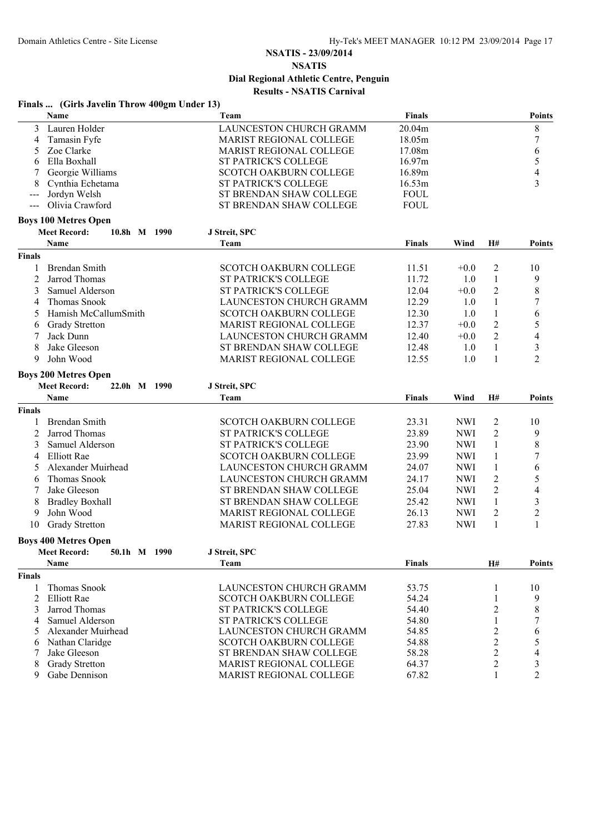# **Finals ... (Girls Javelin Throw 400gm Under 13)**

|                | Name                                | Team                           | <b>Finals</b> |            |                | <b>Points</b>            |
|----------------|-------------------------------------|--------------------------------|---------------|------------|----------------|--------------------------|
| 3              | Lauren Holder                       | LAUNCESTON CHURCH GRAMM        | 20.04m        |            |                | $\,8\,$                  |
| 4              | Tamasin Fyfe                        | <b>MARIST REGIONAL COLLEGE</b> | 18.05m        |            |                | $\boldsymbol{7}$         |
| 5              | Zoe Clarke                          | MARIST REGIONAL COLLEGE        | 17.08m        |            |                | 6                        |
| 6              | Ella Boxhall                        | <b>ST PATRICK'S COLLEGE</b>    | 16.97m        |            |                | 5                        |
| 7              | Georgie Williams                    | <b>SCOTCH OAKBURN COLLEGE</b>  | 16.89m        |            |                | $\overline{\mathcal{L}}$ |
| 8              | Cynthia Echetama                    | ST PATRICK'S COLLEGE           | 16.53m        |            |                | $\overline{3}$           |
| $---$          | Jordyn Welsh                        | ST BRENDAN SHAW COLLEGE        | <b>FOUL</b>   |            |                |                          |
| $\frac{1}{2}$  | Olivia Crawford                     | ST BRENDAN SHAW COLLEGE        | <b>FOUL</b>   |            |                |                          |
|                | <b>Boys 100 Metres Open</b>         |                                |               |            |                |                          |
|                | <b>Meet Record:</b><br>10.8h M 1990 | J Streit, SPC                  |               |            |                |                          |
|                | Name                                | Team                           | <b>Finals</b> | Wind       | H#             | <b>Points</b>            |
| <b>Finals</b>  |                                     |                                |               |            |                |                          |
| 1              | Brendan Smith                       | <b>SCOTCH OAKBURN COLLEGE</b>  | 11.51         | $+0.0$     | 2              | 10                       |
| 2              | Jarrod Thomas                       | <b>ST PATRICK'S COLLEGE</b>    | 11.72         | 1.0        | 1              | 9                        |
| 3              | Samuel Alderson                     | <b>ST PATRICK'S COLLEGE</b>    | 12.04         | $+0.0$     | $\overline{c}$ | $\,8\,$                  |
| 4              | Thomas Snook                        | LAUNCESTON CHURCH GRAMM        | 12.29         | 1.0        | 1              | 7                        |
| 5              | Hamish McCallumSmith                | SCOTCH OAKBURN COLLEGE         | 12.30         | 1.0        | $\mathbf{1}$   | 6                        |
| 6              | <b>Grady Stretton</b>               | <b>MARIST REGIONAL COLLEGE</b> | 12.37         | $+0.0$     | $\overline{2}$ | 5                        |
| 7              | Jack Dunn                           | LAUNCESTON CHURCH GRAMM        | 12.40         | $+0.0$     | $\overline{2}$ | 4                        |
| 8              | Jake Gleeson                        | ST BRENDAN SHAW COLLEGE        | 12.48         | 1.0        | $\mathbf{1}$   | 3                        |
| 9              | John Wood                           |                                | 12.55         |            |                | $\overline{2}$           |
|                |                                     | MARIST REGIONAL COLLEGE        |               | 1.0        | $\mathbf{1}$   |                          |
|                | <b>Boys 200 Metres Open</b>         |                                |               |            |                |                          |
|                | <b>Meet Record:</b><br>22.0h M 1990 | J Streit, SPC                  |               |            |                |                          |
|                | Name                                | Team                           | <b>Finals</b> | Wind       | H#             | <b>Points</b>            |
| <b>Finals</b>  |                                     |                                |               |            |                |                          |
| 1              | Brendan Smith                       | <b>SCOTCH OAKBURN COLLEGE</b>  | 23.31         | <b>NWI</b> | 2              | 10                       |
| $\overline{c}$ | Jarrod Thomas                       | ST PATRICK'S COLLEGE           | 23.89         | <b>NWI</b> | $\overline{2}$ | 9                        |
| 3              | Samuel Alderson                     | ST PATRICK'S COLLEGE           | 23.90         | <b>NWI</b> | 1              | 8                        |
| 4              | <b>Elliott Rae</b>                  | SCOTCH OAKBURN COLLEGE         | 23.99         | <b>NWI</b> | 1              | $\boldsymbol{7}$         |
| 5              | Alexander Muirhead                  | LAUNCESTON CHURCH GRAMM        | 24.07         | <b>NWI</b> | $\mathbf{1}$   | 6                        |
| 6              | Thomas Snook                        | LAUNCESTON CHURCH GRAMM        | 24.17         | <b>NWI</b> | $\overline{c}$ | 5                        |
| 7              | Jake Gleeson                        | ST BRENDAN SHAW COLLEGE        | 25.04         | <b>NWI</b> | $\overline{c}$ | 4                        |
| 8              | <b>Bradley Boxhall</b>              | ST BRENDAN SHAW COLLEGE        | 25.42         | <b>NWI</b> | $\mathbf{1}$   | 3                        |
| 9              | John Wood                           | MARIST REGIONAL COLLEGE        | 26.13         | <b>NWI</b> | $\overline{2}$ | $\overline{c}$           |
| 10             | <b>Grady Stretton</b>               | MARIST REGIONAL COLLEGE        | 27.83         | <b>NWI</b> | $\mathbf{1}$   | 1                        |
|                | <b>Boys 400 Metres Open</b>         |                                |               |            |                |                          |
|                | 50.1h M 1990<br><b>Meet Record:</b> | J Streit, SPC                  |               |            |                |                          |
|                | Name                                | Team                           | <b>Finals</b> |            | H#             | <b>Points</b>            |
| Finals         |                                     |                                |               |            |                |                          |
| 1              | Thomas Snook                        | LAUNCESTON CHURCH GRAMM        | 53.75         |            | 1              | 10                       |
| $\overline{2}$ | <b>Elliott Rae</b>                  | <b>SCOTCH OAKBURN COLLEGE</b>  | 54.24         |            | 1              | 9                        |
| 3              | Jarrod Thomas                       | <b>ST PATRICK'S COLLEGE</b>    | 54.40         |            | 2              | 8                        |
| 4              | Samuel Alderson                     | <b>ST PATRICK'S COLLEGE</b>    | 54.80         |            | 1              | 7                        |
| 5              | Alexander Muirhead                  | LAUNCESTON CHURCH GRAMM        | 54.85         |            | 2              | 6                        |
| 6              | Nathan Claridge                     | <b>SCOTCH OAKBURN COLLEGE</b>  | 54.88         |            | $\overline{c}$ | 5                        |
| 7              | Jake Gleeson                        | ST BRENDAN SHAW COLLEGE        | 58.28         |            | 2              | 4                        |
| 8              | <b>Grady Stretton</b>               | MARIST REGIONAL COLLEGE        | 64.37         |            | $\overline{c}$ | 3                        |
| 9              | Gabe Dennison                       | MARIST REGIONAL COLLEGE        | 67.82         |            | 1              | $\overline{c}$           |
|                |                                     |                                |               |            |                |                          |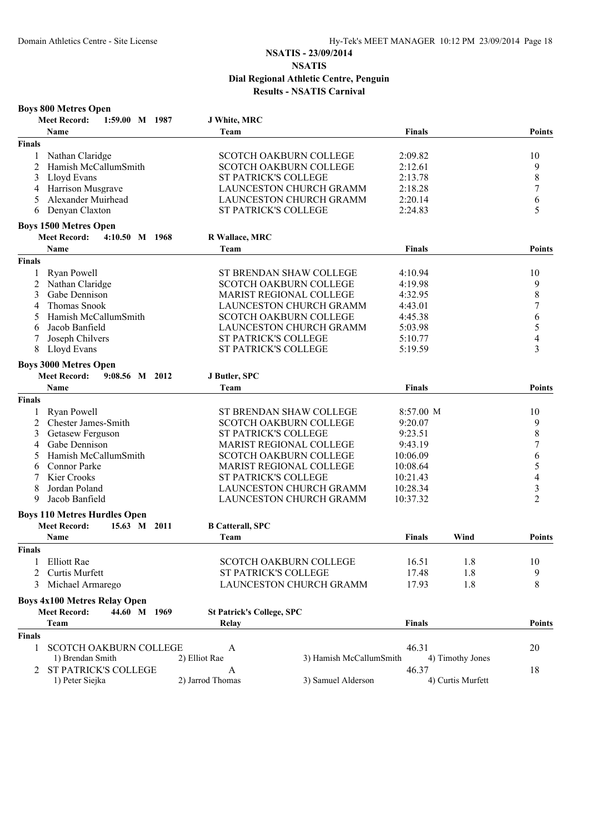|               | <b>Boys 800 Metres Open</b>           |                                  |                                |               |                   |                         |
|---------------|---------------------------------------|----------------------------------|--------------------------------|---------------|-------------------|-------------------------|
|               | <b>Meet Record:</b><br>1:59.00 M 1987 | J White, MRC                     |                                |               |                   |                         |
|               | <b>Name</b>                           | Team                             |                                | <b>Finals</b> |                   | <b>Points</b>           |
| <b>Finals</b> |                                       |                                  |                                |               |                   |                         |
|               | Nathan Claridge                       |                                  | <b>SCOTCH OAKBURN COLLEGE</b>  | 2:09.82       |                   | 10                      |
| 2             | Hamish McCallumSmith                  |                                  | <b>SCOTCH OAKBURN COLLEGE</b>  | 2:12.61       |                   | 9                       |
| 3             | Lloyd Evans                           |                                  | <b>ST PATRICK'S COLLEGE</b>    | 2:13.78       |                   | 8                       |
| 4             | Harrison Musgrave                     |                                  | LAUNCESTON CHURCH GRAMM        | 2:18.28       |                   | 7                       |
| 5             | Alexander Muirhead                    |                                  | LAUNCESTON CHURCH GRAMM        | 2:20.14       |                   | 6                       |
| 6             | Denyan Claxton                        |                                  | ST PATRICK'S COLLEGE           | 2:24.83       |                   | 5                       |
|               | <b>Boys 1500 Metres Open</b>          |                                  |                                |               |                   |                         |
|               | <b>Meet Record:</b><br>4:10.50 M 1968 | R Wallace, MRC                   |                                |               |                   |                         |
|               | <b>Name</b>                           | Team                             |                                | <b>Finals</b> |                   | <b>Points</b>           |
| <b>Finals</b> |                                       |                                  |                                |               |                   |                         |
| 1             | <b>Ryan Powell</b>                    |                                  | <b>ST BRENDAN SHAW COLLEGE</b> | 4:10.94       |                   | 10                      |
| 2             | Nathan Claridge                       |                                  | <b>SCOTCH OAKBURN COLLEGE</b>  | 4:19.98       |                   | 9                       |
| 3             | Gabe Dennison                         |                                  | MARIST REGIONAL COLLEGE        | 4:32.95       |                   | 8                       |
| 4             | <b>Thomas Snook</b>                   |                                  | LAUNCESTON CHURCH GRAMM        | 4:43.01       |                   | 7                       |
| 5             | Hamish McCallumSmith                  |                                  | <b>SCOTCH OAKBURN COLLEGE</b>  | 4:45.38       |                   | 6                       |
| 6             | Jacob Banfield                        |                                  | <b>LAUNCESTON CHURCH GRAMM</b> | 5:03.98       |                   | 5                       |
| 7             | Joseph Chilvers                       |                                  | ST PATRICK'S COLLEGE           | 5:10.77       |                   | $\overline{4}$          |
| 8             | Lloyd Evans                           |                                  | <b>ST PATRICK'S COLLEGE</b>    | 5:19.59       |                   | 3                       |
|               | <b>Boys 3000 Metres Open</b>          |                                  |                                |               |                   |                         |
|               | <b>Meet Record:</b><br>9:08.56 M 2012 | J Butler, SPC                    |                                |               |                   |                         |
|               | Name                                  | Team                             |                                | <b>Finals</b> |                   | Points                  |
| <b>Finals</b> |                                       |                                  |                                |               |                   |                         |
|               |                                       |                                  |                                |               |                   |                         |
| 1             | Ryan Powell                           |                                  | ST BRENDAN SHAW COLLEGE        | 8:57.00 M     |                   | 10                      |
| 2             | Chester James-Smith                   |                                  | <b>SCOTCH OAKBURN COLLEGE</b>  | 9:20.07       |                   | 9                       |
| 3             | Getasew Ferguson                      |                                  | ST PATRICK'S COLLEGE           | 9:23.51       |                   | 8                       |
| 4             | Gabe Dennison                         |                                  | <b>MARIST REGIONAL COLLEGE</b> | 9:43.19       |                   | 7                       |
| 5             | Hamish McCallumSmith                  |                                  | <b>SCOTCH OAKBURN COLLEGE</b>  | 10:06.09      |                   | 6                       |
| 6             | <b>Connor Parke</b>                   |                                  | MARIST REGIONAL COLLEGE        | 10:08.64      |                   | 5                       |
|               | Kier Crooks                           |                                  | <b>ST PATRICK'S COLLEGE</b>    | 10:21.43      |                   | 4                       |
| 8             | Jordan Poland                         |                                  | <b>LAUNCESTON CHURCH GRAMM</b> | 10:28.34      |                   | $\overline{\mathbf{3}}$ |
| 9             | Jacob Banfield                        |                                  | <b>LAUNCESTON CHURCH GRAMM</b> | 10:37.32      |                   | $\overline{2}$          |
|               | <b>Boys 110 Metres Hurdles Open</b>   |                                  |                                |               |                   |                         |
|               | <b>Meet Record:</b><br>15.63 M 2011   | <b>B Catterall, SPC</b>          |                                |               |                   |                         |
|               | Name                                  | Team                             |                                | <b>Finals</b> | Wind              | Points                  |
| Finals        |                                       |                                  |                                |               |                   |                         |
| 1             | <b>Elliott Rae</b>                    |                                  | <b>SCOTCH OAKBURN COLLEGE</b>  | 16.51         | 1.8               | 10                      |
| 2             | Curtis Murfett                        |                                  | <b>ST PATRICK'S COLLEGE</b>    | 17.48         | 1.8               | 9                       |
| 3             | Michael Armarego                      |                                  | LAUNCESTON CHURCH GRAMM        | 17.93         | 1.8               | 8                       |
|               | <b>Boys 4x100 Metres Relay Open</b>   |                                  |                                |               |                   |                         |
|               | <b>Meet Record:</b><br>44.60 M 1969   | <b>St Patrick's College, SPC</b> |                                |               |                   |                         |
|               | Team                                  | Relay                            |                                | <b>Finals</b> |                   | <b>Points</b>           |
| <b>Finals</b> |                                       |                                  |                                |               |                   |                         |
| 1             | <b>SCOTCH OAKBURN COLLEGE</b>         | A                                |                                | 46.31         |                   | 20                      |
|               | 1) Brendan Smith                      | 2) Elliot Rae                    | 3) Hamish McCallumSmith        |               | 4) Timothy Jones  |                         |
| 2             | <b>ST PATRICK'S COLLEGE</b>           | A                                |                                | 46.37         |                   | 18                      |
|               | 1) Peter Siejka                       | 2) Jarrod Thomas                 | 3) Samuel Alderson             |               | 4) Curtis Murfett |                         |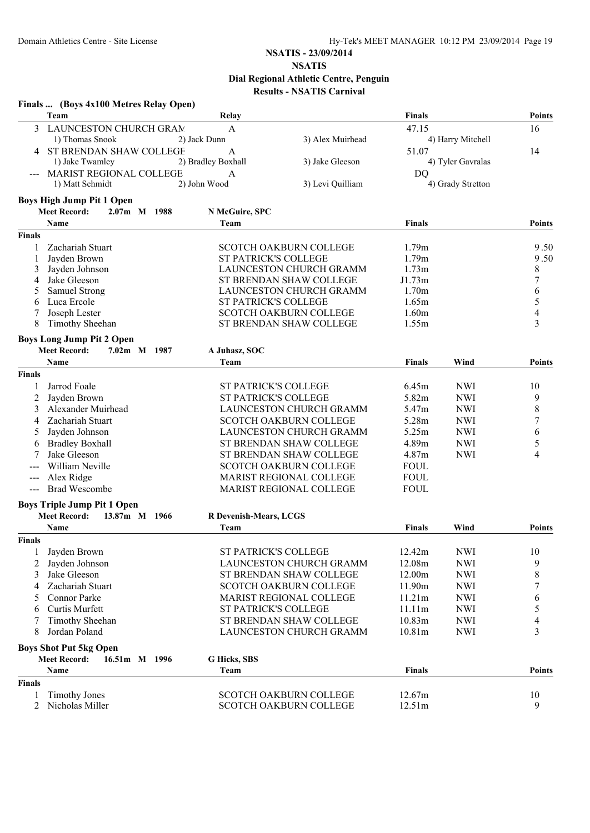# **NSATIS - 23/09/2014**

#### **NSATIS Dial Regional Athletic Centre, Penguin Results - NSATIS Carnival**

|                | Finals  (Boys 4x100 Metres Relay Open) |                               |                                |               |                   |                  |
|----------------|----------------------------------------|-------------------------------|--------------------------------|---------------|-------------------|------------------|
|                | Team                                   | Relay                         |                                | <b>Finals</b> |                   | Points           |
| 3              | LAUNCESTON CHURCH GRAM                 | $\mathbf{A}$                  |                                | 47.15         |                   | 16               |
|                | 1) Thomas Snook                        | 2) Jack Dunn                  | 3) Alex Muirhead               |               | 4) Harry Mitchell |                  |
|                | ST BRENDAN SHAW COLLEGE                | A                             |                                | 51.07         |                   | 14               |
|                | 1) Jake Twamley                        | 2) Bradley Boxhall            | 3) Jake Gleeson                |               | 4) Tyler Gavralas |                  |
|                | MARIST REGIONAL COLLEGE                | A                             |                                | DQ            |                   |                  |
|                | 1) Matt Schmidt                        | 2) John Wood                  | 3) Levi Quilliam               |               | 4) Grady Stretton |                  |
|                | <b>Boys High Jump Pit 1 Open</b>       |                               |                                |               |                   |                  |
|                | <b>Meet Record:</b><br>2.07m M 1988    | N McGuire, SPC                |                                |               |                   |                  |
|                | Name                                   | Team                          |                                | <b>Finals</b> |                   | Points           |
| <b>Finals</b>  |                                        |                               |                                |               |                   |                  |
|                | Zachariah Stuart                       |                               | <b>SCOTCH OAKBURN COLLEGE</b>  | 1.79m         |                   | 9.50             |
|                | Jayden Brown                           | <b>ST PATRICK'S COLLEGE</b>   |                                | 1.79m         |                   | 9.50             |
| 3              | Jayden Johnson                         |                               | <b>LAUNCESTON CHURCH GRAMM</b> | 1.73m         |                   | 8                |
| 4              | Jake Gleeson                           |                               | ST BRENDAN SHAW COLLEGE        | J1.73m        |                   | $\boldsymbol{7}$ |
| 5              | Samuel Strong                          |                               | LAUNCESTON CHURCH GRAMM        | 1.70m         |                   | 6                |
| 6              | Luca Ercole                            | ST PATRICK'S COLLEGE          |                                | 1.65m         |                   | 5                |
| 7              | Joseph Lester                          |                               | <b>SCOTCH OAKBURN COLLEGE</b>  | 1.60m         |                   | 4                |
| 8              | Timothy Sheehan                        |                               | ST BRENDAN SHAW COLLEGE        | 1.55m         |                   | 3                |
|                | <b>Boys Long Jump Pit 2 Open</b>       |                               |                                |               |                   |                  |
|                | <b>Meet Record:</b><br>7.02m M 1987    | A Juhasz, SOC                 |                                |               |                   |                  |
|                | Name                                   | Team                          |                                | <b>Finals</b> | Wind              | Points           |
| <b>Finals</b>  |                                        |                               |                                |               |                   |                  |
| 1              | Jarrod Foale                           | <b>ST PATRICK'S COLLEGE</b>   |                                | 6.45m         | <b>NWI</b>        | 10               |
| 2              | Jayden Brown                           | ST PATRICK'S COLLEGE          |                                | 5.82m         | <b>NWI</b>        | 9                |
| 3              | Alexander Muirhead                     |                               | LAUNCESTON CHURCH GRAMM        | 5.47m         | <b>NWI</b>        | 8                |
| 4              | Zachariah Stuart                       |                               | <b>SCOTCH OAKBURN COLLEGE</b>  | 5.28m         | <b>NWI</b>        | 7                |
| 5              | Jayden Johnson                         |                               | LAUNCESTON CHURCH GRAMM        | 5.25m         | <b>NWI</b>        | 6                |
|                | <b>Bradley Boxhall</b>                 |                               | ST BRENDAN SHAW COLLEGE        | 4.89m         | <b>NWI</b>        |                  |
| 6              | Jake Gleeson                           |                               |                                |               |                   | 5<br>4           |
|                |                                        |                               | ST BRENDAN SHAW COLLEGE        | 4.87m         | <b>NWI</b>        |                  |
|                | William Neville                        |                               | <b>SCOTCH OAKBURN COLLEGE</b>  | <b>FOUL</b>   |                   |                  |
| ---            | Alex Ridge                             |                               | MARIST REGIONAL COLLEGE        | <b>FOUL</b>   |                   |                  |
|                | <b>Brad Wescombe</b>                   |                               | <b>MARIST REGIONAL COLLEGE</b> | <b>FOUL</b>   |                   |                  |
|                | <b>Boys Triple Jump Pit 1 Open</b>     |                               |                                |               |                   |                  |
|                | <b>Meet Record:</b><br>13.87m M 1966   | <b>R</b> Devenish-Mears, LCGS |                                |               |                   |                  |
|                | Name                                   | Team                          |                                | <b>Finals</b> | Wind              | Points           |
| <b>Finals</b>  |                                        |                               |                                |               |                   |                  |
| 1              | Jayden Brown                           | ST PATRICK'S COLLEGE          |                                | 12.42m        | <b>NWI</b>        | 10               |
| 2              | Jayden Johnson                         |                               | <b>LAUNCESTON CHURCH GRAMM</b> | 12.08m        | <b>NWI</b>        | 9                |
| 3              | Jake Gleeson                           |                               | ST BRENDAN SHAW COLLEGE        | 12.00m        | <b>NWI</b>        | 8                |
| 4              | Zachariah Stuart                       |                               | <b>SCOTCH OAKBURN COLLEGE</b>  | 11.90m        | <b>NWI</b>        | 7                |
| 5              | Connor Parke                           |                               | <b>MARIST REGIONAL COLLEGE</b> | 11.21m        | <b>NWI</b>        | 6                |
| 6              | Curtis Murfett                         | <b>ST PATRICK'S COLLEGE</b>   |                                | 11.11m        | <b>NWI</b>        | 5                |
|                | Timothy Sheehan                        |                               | ST BRENDAN SHAW COLLEGE        | 10.83m        | <b>NWI</b>        | 4                |
| 8              | Jordan Poland                          |                               | LAUNCESTON CHURCH GRAMM        | 10.81m        | <b>NWI</b>        | 3                |
|                |                                        |                               |                                |               |                   |                  |
|                | <b>Boys Shot Put 5kg Open</b>          |                               |                                |               |                   |                  |
|                | <b>Meet Record:</b><br>16.51m M 1996   | G Hicks, SBS                  |                                |               |                   |                  |
|                | Name                                   | Team                          |                                | <b>Finals</b> |                   | <b>Points</b>    |
| <b>Finals</b>  |                                        |                               |                                |               |                   |                  |
| -1             | <b>Timothy Jones</b>                   |                               | <b>SCOTCH OAKBURN COLLEGE</b>  | 12.67m        |                   | 10               |
| $\overline{2}$ | Nicholas Miller                        |                               | SCOTCH OAKBURN COLLEGE         | 12.51m        |                   | 9                |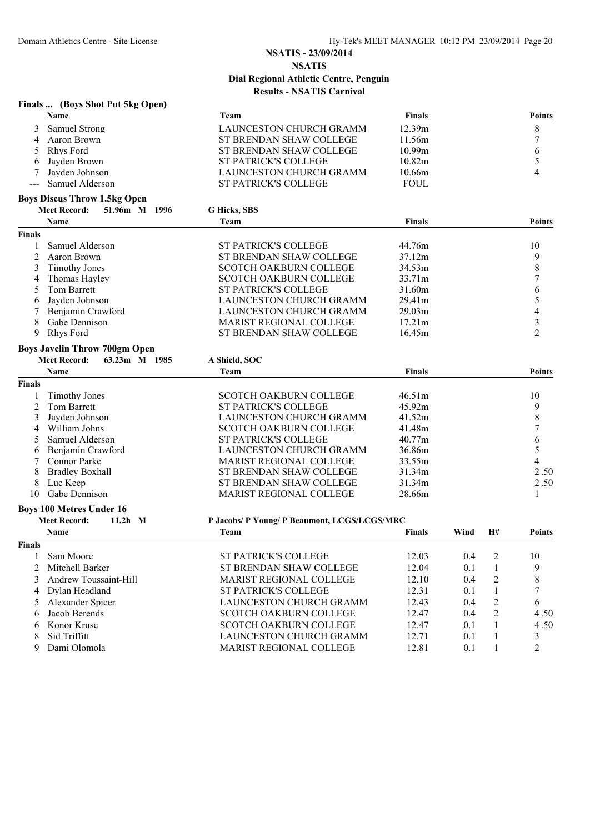|                    | Finals  (Boys Shot Put 5kg Open)                       |                                              |               |      |                |                |
|--------------------|--------------------------------------------------------|----------------------------------------------|---------------|------|----------------|----------------|
|                    | Name                                                   | Team                                         | <b>Finals</b> |      |                | <b>Points</b>  |
| 3                  | Samuel Strong                                          | LAUNCESTON CHURCH GRAMM                      | 12.39m        |      |                | 8              |
| 4                  | Aaron Brown                                            | ST BRENDAN SHAW COLLEGE                      | 11.56m        |      |                | 7              |
| 5                  | <b>Rhys Ford</b>                                       | ST BRENDAN SHAW COLLEGE                      | 10.99m        |      |                | 6              |
| 6                  | Jayden Brown                                           | <b>ST PATRICK'S COLLEGE</b>                  | 10.82m        |      |                | 5              |
|                    | Jayden Johnson                                         | LAUNCESTON CHURCH GRAMM                      | 10.66m        |      |                | 4              |
|                    | Samuel Alderson                                        | ST PATRICK'S COLLEGE                         | <b>FOUL</b>   |      |                |                |
|                    | <b>Boys Discus Throw 1.5kg Open</b>                    |                                              |               |      |                |                |
|                    | 51.96m M 1996<br><b>Meet Record:</b>                   | G Hicks, SBS                                 |               |      |                |                |
|                    | Name                                                   | Team                                         | <b>Finals</b> |      |                | <b>Points</b>  |
| <b>Finals</b>      |                                                        |                                              |               |      |                |                |
| -1                 | Samuel Alderson                                        | ST PATRICK'S COLLEGE                         | 44.76m        |      |                | 10             |
| 2                  | Aaron Brown                                            | ST BRENDAN SHAW COLLEGE                      | 37.12m        |      |                | 9              |
| 3                  | <b>Timothy Jones</b>                                   | <b>SCOTCH OAKBURN COLLEGE</b>                | 34.53m        |      |                | 8              |
| 4                  | Thomas Hayley                                          | <b>SCOTCH OAKBURN COLLEGE</b>                | 33.71m        |      |                | 7              |
| 5                  | Tom Barrett                                            | ST PATRICK'S COLLEGE                         | 31.60m        |      |                | 6              |
| 6                  | Jayden Johnson                                         | LAUNCESTON CHURCH GRAMM                      | 29.41m        |      |                | 5              |
| 7                  | Benjamin Crawford                                      | LAUNCESTON CHURCH GRAMM                      | 29.03m        |      |                | 4              |
| 8                  | Gabe Dennison                                          | MARIST REGIONAL COLLEGE                      | 17.21m        |      |                | 3              |
| 9                  | <b>Rhys Ford</b>                                       | ST BRENDAN SHAW COLLEGE                      | 16.45m        |      |                | $\overline{2}$ |
|                    | <b>Boys Javelin Throw 700gm Open</b>                   |                                              |               |      |                |                |
|                    | <b>Meet Record:</b><br>63.23m M 1985                   | A Shield, SOC                                |               |      |                |                |
|                    | Name                                                   | Team                                         | Finals        |      |                | <b>Points</b>  |
| <b>Finals</b>      |                                                        |                                              |               |      |                |                |
|                    | <b>Timothy Jones</b>                                   | SCOTCH OAKBURN COLLEGE                       | 46.51m        |      |                | 10             |
| 2                  | Tom Barrett                                            | ST PATRICK'S COLLEGE                         | 45.92m        |      |                | 9              |
| 3                  | Jayden Johnson                                         | LAUNCESTON CHURCH GRAMM                      | 41.52m        |      |                | 8              |
| 4                  | William Johns                                          | <b>SCOTCH OAKBURN COLLEGE</b>                | 41.48m        |      |                | 7              |
| 5                  | Samuel Alderson                                        | ST PATRICK'S COLLEGE                         | 40.77m        |      |                | 6              |
| 6                  | Benjamin Crawford                                      | LAUNCESTON CHURCH GRAMM                      | 36.86m        |      |                | 5              |
|                    | <b>Connor Parke</b>                                    | <b>MARIST REGIONAL COLLEGE</b>               | 33.55m        |      |                | 4              |
| 8                  | <b>Bradley Boxhall</b>                                 | ST BRENDAN SHAW COLLEGE                      | 31.34m        |      |                | 2.50           |
| 8                  | Luc Keep                                               | ST BRENDAN SHAW COLLEGE                      | 31.34m        |      |                | 2.50           |
| 10                 | Gabe Dennison                                          | MARIST REGIONAL COLLEGE                      | 28.66m        |      |                | 1              |
|                    |                                                        |                                              |               |      |                |                |
|                    | <b>Boys 100 Metres Under 16</b><br><b>Meet Record:</b> |                                              |               |      |                |                |
|                    | $11.2h$ M                                              | P Jacobs/ P Young/ P Beaumont, LCGS/LCGS/MRC |               |      |                |                |
|                    | Name                                                   | Team                                         | <b>Finals</b> | Wind | H#             | Points         |
| <b>Finals</b><br>1 | Sam Moore                                              | <b>ST PATRICK'S COLLEGE</b>                  | 12.03         | 0.4  |                | 10             |
|                    |                                                        |                                              |               |      | 2              |                |
| $\overline{2}$     | Mitchell Barker                                        | ST BRENDAN SHAW COLLEGE                      | 12.04         | 0.1  | 1              | 9              |
| 3                  | Andrew Toussaint-Hill                                  | MARIST REGIONAL COLLEGE                      | 12.10         | 0.4  | $\overline{c}$ | $\,8\,$        |
| 4                  | Dylan Headland                                         | ST PATRICK'S COLLEGE                         | 12.31         | 0.1  | $\mathbf{1}$   | 7              |
| 5                  | Alexander Spicer                                       | LAUNCESTON CHURCH GRAMM                      | 12.43         | 0.4  | $\overline{c}$ | 6              |
| 6                  | Jacob Berends                                          | <b>SCOTCH OAKBURN COLLEGE</b>                | 12.47         | 0.4  | $\overline{2}$ | 4.50           |
| 6                  | Konor Kruse                                            | SCOTCH OAKBURN COLLEGE                       | 12.47         | 0.1  | 1              | 4.50           |
| 8                  | Sid Triffitt                                           | LAUNCESTON CHURCH GRAMM                      | 12.71         | 0.1  | 1              | 3              |
| 9                  | Dami Olomola                                           | MARIST REGIONAL COLLEGE                      | 12.81         | 0.1  | 1              | $\overline{2}$ |
|                    |                                                        |                                              |               |      |                |                |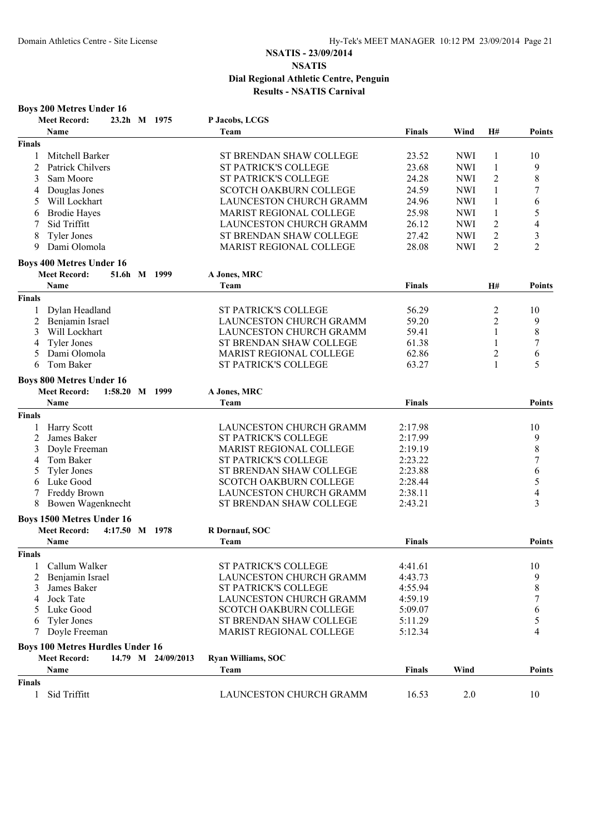|               | <b>Boys 200 Metres Under 16</b>         |                |                    |                                |               |            |                |                  |
|---------------|-----------------------------------------|----------------|--------------------|--------------------------------|---------------|------------|----------------|------------------|
|               | <b>Meet Record:</b>                     |                | 23.2h M 1975       | P Jacobs, LCGS                 |               |            |                |                  |
|               | Name                                    |                |                    | Team                           | <b>Finals</b> | Wind       | H#             | Points           |
| <b>Finals</b> |                                         |                |                    |                                |               |            |                |                  |
| 1             | Mitchell Barker                         |                |                    | ST BRENDAN SHAW COLLEGE        | 23.52         | <b>NWI</b> | 1              | 10               |
| 2             | Patrick Chilvers                        |                |                    | ST PATRICK'S COLLEGE           | 23.68         | <b>NWI</b> | $\mathbf{1}$   | 9                |
| 3             | Sam Moore                               |                |                    | ST PATRICK'S COLLEGE           | 24.28         | <b>NWI</b> | $\overline{c}$ | $\,$ 8 $\,$      |
| 4             | Douglas Jones                           |                |                    | <b>SCOTCH OAKBURN COLLEGE</b>  | 24.59         | <b>NWI</b> | $\mathbf{1}$   | $\sqrt{ }$       |
| 5             | Will Lockhart                           |                |                    | <b>LAUNCESTON CHURCH GRAMM</b> | 24.96         | <b>NWI</b> | 1              | 6                |
| 6             | <b>Brodie Hayes</b>                     |                |                    | MARIST REGIONAL COLLEGE        | 25.98         | <b>NWI</b> | 1              | 5                |
| 7             | Sid Triffitt                            |                |                    | LAUNCESTON CHURCH GRAMM        | 26.12         | <b>NWI</b> | $\overline{2}$ | $\overline{4}$   |
| 8             | <b>Tyler Jones</b>                      |                |                    | ST BRENDAN SHAW COLLEGE        | 27.42         | <b>NWI</b> | $\overline{c}$ | 3                |
| 9             | Dami Olomola                            |                |                    | <b>MARIST REGIONAL COLLEGE</b> | 28.08         | <b>NWI</b> | $\overline{2}$ | $\overline{2}$   |
|               | <b>Boys 400 Metres Under 16</b>         |                |                    |                                |               |            |                |                  |
|               | <b>Meet Record:</b>                     | 51.6h M 1999   |                    | A Jones, MRC                   |               |            |                |                  |
|               | Name                                    |                |                    | Team                           | <b>Finals</b> |            | <b>H#</b>      | Points           |
| <b>Finals</b> |                                         |                |                    |                                |               |            |                |                  |
| $\mathbf{1}$  | Dylan Headland                          |                |                    | <b>ST PATRICK'S COLLEGE</b>    | 56.29         |            | $\overline{c}$ | 10               |
| 2             | Benjamin Israel                         |                |                    | <b>LAUNCESTON CHURCH GRAMM</b> | 59.20         |            | $\overline{c}$ | 9                |
| 3             | Will Lockhart                           |                |                    | LAUNCESTON CHURCH GRAMM        | 59.41         |            | 1              | $\,8\,$          |
| 4             | <b>Tyler Jones</b>                      |                |                    | ST BRENDAN SHAW COLLEGE        | 61.38         |            |                | 7                |
| 5             | Dami Olomola                            |                |                    | <b>MARIST REGIONAL COLLEGE</b> | 62.86         |            | 2              | 6                |
| 6             | Tom Baker                               |                |                    | <b>ST PATRICK'S COLLEGE</b>    | 63.27         |            | 1              | 5                |
|               | <b>Boys 800 Metres Under 16</b>         |                |                    |                                |               |            |                |                  |
|               | <b>Meet Record:</b>                     | 1:58.20 M 1999 |                    | A Jones, MRC                   |               |            |                |                  |
|               | Name                                    |                |                    | Team                           | <b>Finals</b> |            |                | Points           |
| <b>Finals</b> |                                         |                |                    |                                |               |            |                |                  |
| 1             | <b>Harry Scott</b>                      |                |                    | LAUNCESTON CHURCH GRAMM        | 2:17.98       |            |                | 10               |
| 2             | James Baker                             |                |                    | <b>ST PATRICK'S COLLEGE</b>    | 2:17.99       |            |                | 9                |
| 3             | Doyle Freeman                           |                |                    | <b>MARIST REGIONAL COLLEGE</b> | 2:19.19       |            |                | $\,$ $\,$        |
| 4             | Tom Baker                               |                |                    | ST PATRICK'S COLLEGE           | 2:23.22       |            |                | $\boldsymbol{7}$ |
| 5             | <b>Tyler Jones</b>                      |                |                    | ST BRENDAN SHAW COLLEGE        | 2:23.88       |            |                | 6                |
| 6             | Luke Good                               |                |                    | <b>SCOTCH OAKBURN COLLEGE</b>  | 2:28.44       |            |                | 5                |
| 7             | Freddy Brown                            |                |                    | LAUNCESTON CHURCH GRAMM        | 2:38.11       |            |                | 4                |
| 8             | Bowen Wagenknecht                       |                |                    | ST BRENDAN SHAW COLLEGE        | 2:43.21       |            |                | 3                |
|               | <b>Boys 1500 Metres Under 16</b>        |                |                    |                                |               |            |                |                  |
|               | <b>Meet Record:</b>                     | 4:17.50 M 1978 |                    | R Dornauf, SOC                 |               |            |                |                  |
|               | Name                                    |                |                    | Team                           | <b>Finals</b> |            |                | Points           |
| <b>Finals</b> |                                         |                |                    |                                |               |            |                |                  |
|               | Callum Walker                           |                |                    | <b>ST PATRICK'S COLLEGE</b>    | 4:41.61       |            |                | 10               |
| 2             | Benjamin Israel                         |                |                    | LAUNCESTON CHURCH GRAMM        | 4:43.73       |            |                | 9                |
| 3             | James Baker                             |                |                    | ST PATRICK'S COLLEGE           | 4:55.94       |            |                | $\,$ $\,$        |
| 4             | Jock Tate                               |                |                    | LAUNCESTON CHURCH GRAMM        | 4:59.19       |            |                | 7                |
| 5             | Luke Good                               |                |                    | <b>SCOTCH OAKBURN COLLEGE</b>  | 5:09.07       |            |                | 6                |
| 6             | <b>Tyler Jones</b>                      |                |                    | ST BRENDAN SHAW COLLEGE        | 5:11.29       |            |                | 5                |
| 7             | Doyle Freeman                           |                |                    | MARIST REGIONAL COLLEGE        | 5:12.34       |            |                | 4                |
|               | <b>Boys 100 Metres Hurdles Under 16</b> |                |                    |                                |               |            |                |                  |
|               | <b>Meet Record:</b>                     |                | 14.79 M 24/09/2013 | Ryan Williams, SOC             |               |            |                |                  |
|               | Name                                    |                |                    | Team                           | Finals        | Wind       |                | Points           |
| <b>Finals</b> |                                         |                |                    |                                |               |            |                |                  |
| 1             | Sid Triffitt                            |                |                    | LAUNCESTON CHURCH GRAMM        | 16.53         | 2.0        |                | 10               |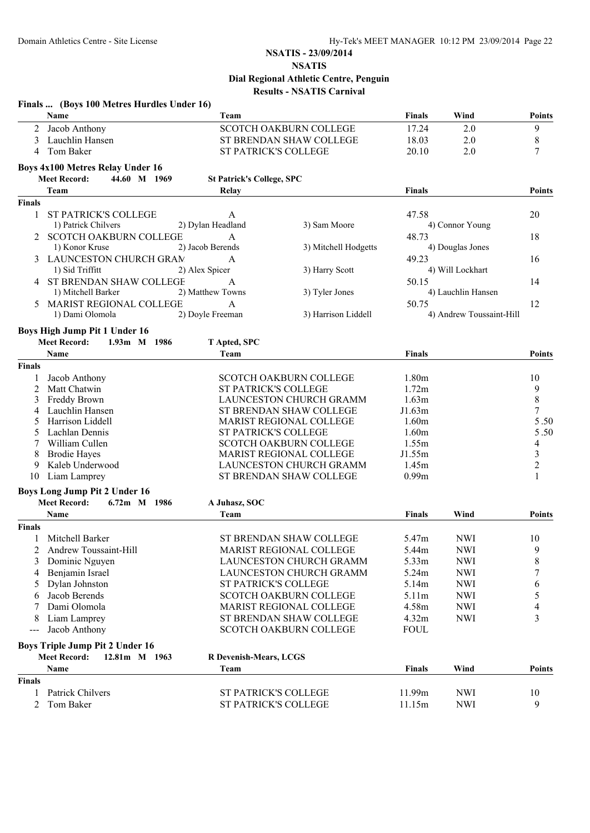|               | Finals  (Boys 100 Metres Hurdles Under 16)                                     |                                  |                                |                   |                          |                |
|---------------|--------------------------------------------------------------------------------|----------------------------------|--------------------------------|-------------------|--------------------------|----------------|
|               | Name                                                                           | Team                             |                                | <b>Finals</b>     | Wind                     | <b>Points</b>  |
| 2             | Jacob Anthony                                                                  |                                  | <b>SCOTCH OAKBURN COLLEGE</b>  | 17.24             | 2.0                      | 9              |
| 3             | Lauchlin Hansen                                                                |                                  | ST BRENDAN SHAW COLLEGE        | 18.03             | 2.0                      | $\,$ 8 $\,$    |
| 4             | Tom Baker                                                                      | <b>ST PATRICK'S COLLEGE</b>      |                                | 20.10             | 2.0                      | 7              |
|               | <b>Boys 4x100 Metres Relay Under 16</b>                                        |                                  |                                |                   |                          |                |
|               | 44.60 M 1969<br><b>Meet Record:</b>                                            | <b>St Patrick's College, SPC</b> |                                |                   |                          |                |
|               | Team                                                                           | Relay                            |                                | <b>Finals</b>     |                          | <b>Points</b>  |
| <b>Finals</b> |                                                                                |                                  |                                |                   |                          |                |
| $\mathbf{1}$  | <b>ST PATRICK'S COLLEGE</b>                                                    | A                                |                                | 47.58             |                          | 20             |
|               | 1) Patrick Chilvers                                                            | 2) Dylan Headland                | 3) Sam Moore                   |                   | 4) Connor Young          |                |
| 2             | <b>SCOTCH OAKBURN COLLEGE</b>                                                  | $\mathbf{A}$                     |                                | 48.73             |                          | 18             |
|               | 1) Konor Kruse                                                                 | 2) Jacob Berends                 | 3) Mitchell Hodgetts           |                   | 4) Douglas Jones         |                |
| 3             | LAUNCESTON CHURCH GRAM                                                         | A                                |                                | 49.23             |                          | 16             |
|               | 1) Sid Triffitt                                                                | 2) Alex Spicer                   | 3) Harry Scott                 |                   | 4) Will Lockhart         |                |
|               | ST BRENDAN SHAW COLLEGE                                                        | A                                |                                | 50.15             |                          | 14             |
|               | 1) Mitchell Barker                                                             | 2) Matthew Towns                 | 3) Tyler Jones                 |                   | 4) Lauchlin Hansen       |                |
|               | MARIST REGIONAL COLLEGE                                                        | $\mathbf{A}$                     |                                | 50.75             |                          | 12             |
|               | 1) Dami Olomola                                                                | 2) Doyle Freeman                 | 3) Harrison Liddell            |                   | 4) Andrew Toussaint-Hill |                |
|               | Boys High Jump Pit 1 Under 16                                                  |                                  |                                |                   |                          |                |
|               | <b>Meet Record:</b><br>1.93m M 1986                                            | T Apted, SPC                     |                                |                   |                          |                |
|               | <b>Name</b>                                                                    | Team                             |                                | <b>Finals</b>     |                          | <b>Points</b>  |
| <b>Finals</b> |                                                                                |                                  |                                |                   |                          |                |
| 1             | Jacob Anthony                                                                  |                                  | <b>SCOTCH OAKBURN COLLEGE</b>  | 1.80 <sub>m</sub> |                          | 10             |
| 2             | Matt Chatwin                                                                   | ST PATRICK'S COLLEGE             |                                | 1.72m             |                          | 9              |
| 3             | Freddy Brown                                                                   |                                  | LAUNCESTON CHURCH GRAMM        | 1.63m             |                          | $\,8$          |
| 4             | Lauchlin Hansen                                                                |                                  | ST BRENDAN SHAW COLLEGE        | J1.63m            |                          | 7              |
| 5             | Harrison Liddell                                                               |                                  | MARIST REGIONAL COLLEGE        | 1.60m             |                          | 5.50           |
| 5             | Lachlan Dennis                                                                 | ST PATRICK'S COLLEGE             |                                | 1.60m             |                          | 5.50           |
| 7             | William Cullen                                                                 |                                  | <b>SCOTCH OAKBURN COLLEGE</b>  | 1.55m             |                          | 4              |
| 8             | <b>Brodie Hayes</b>                                                            |                                  | <b>MARIST REGIONAL COLLEGE</b> | J1.55m            |                          | 3              |
| 9             | Kaleb Underwood                                                                |                                  | LAUNCESTON CHURCH GRAMM        | 1.45m             |                          | $\overline{c}$ |
| 10            | Liam Lamprey                                                                   |                                  | ST BRENDAN SHAW COLLEGE        | 0.99 <sub>m</sub> |                          | 1              |
|               | <b>Boys Long Jump Pit 2 Under 16</b>                                           |                                  |                                |                   |                          |                |
|               | <b>Meet Record:</b><br>6.72m M 1986                                            | A Juhasz, SOC                    |                                |                   |                          |                |
|               | Name                                                                           | Team                             |                                | <b>Finals</b>     | Wind                     | <b>Points</b>  |
| <b>Finals</b> |                                                                                |                                  |                                |                   |                          |                |
| 1             | Mitchell Barker                                                                |                                  | ST BRENDAN SHAW COLLEGE        | 5.47m             | <b>NWI</b>               | 10             |
| 2             | Andrew Toussaint-Hill                                                          |                                  | MARIST REGIONAL COLLEGE        | 5.44m             | <b>NWI</b>               | 9              |
| 3             | Dominic Nguyen                                                                 |                                  | LAUNCESTON CHURCH GRAMM        | 5.33m             | <b>NWI</b>               | 8              |
| 4             | Benjamin Israel                                                                |                                  | LAUNCESTON CHURCH GRAMM        | 5.24m             | <b>NWI</b>               | 7              |
| 5             | Dylan Johnston                                                                 | ST PATRICK'S COLLEGE             |                                | 5.14m             | <b>NWI</b>               | 6              |
| 6             | Jacob Berends                                                                  |                                  | <b>SCOTCH OAKBURN COLLEGE</b>  | 5.11m             | <b>NWI</b>               | 5              |
|               | Dami Olomola                                                                   |                                  | MARIST REGIONAL COLLEGE        | 4.58m             | <b>NWI</b>               | 4              |
| 8             | Liam Lamprey                                                                   |                                  | ST BRENDAN SHAW COLLEGE        | 4.32m             | <b>NWI</b>               | 3              |
| $--$          | Jacob Anthony                                                                  |                                  | <b>SCOTCH OAKBURN COLLEGE</b>  | <b>FOUL</b>       |                          |                |
|               |                                                                                |                                  |                                |                   |                          |                |
|               | <b>Boys Triple Jump Pit 2 Under 16</b><br><b>Meet Record:</b><br>12.81m M 1963 |                                  |                                |                   |                          |                |
|               | Name                                                                           | R Devenish-Mears, LCGS<br>Team   |                                | <b>Finals</b>     | Wind                     | <b>Points</b>  |
| <b>Finals</b> |                                                                                |                                  |                                |                   |                          |                |
| 1             | Patrick Chilvers                                                               | ST PATRICK'S COLLEGE             |                                | 11.99m            | <b>NWI</b>               | 10             |
| 2             | Tom Baker                                                                      | ST PATRICK'S COLLEGE             |                                | 11.15m            | <b>NWI</b>               | 9              |
|               |                                                                                |                                  |                                |                   |                          |                |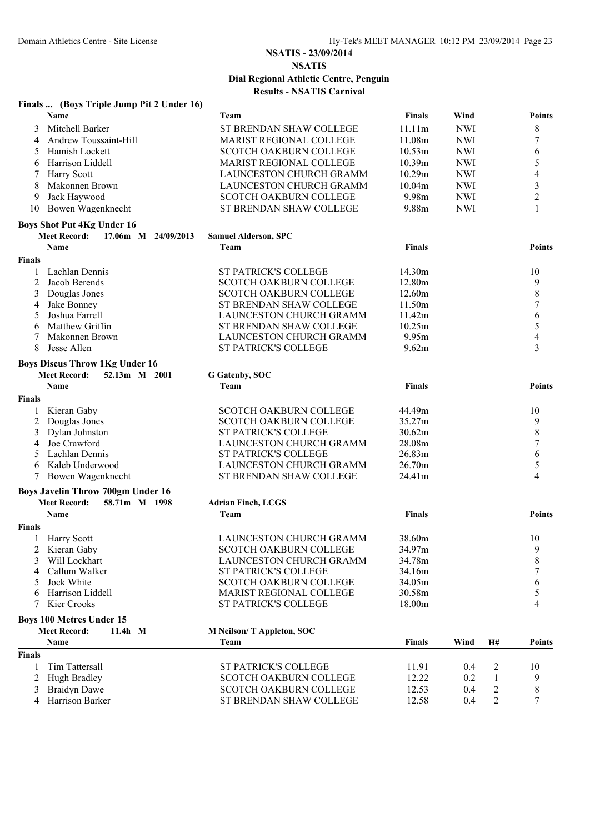| Name<br>Wind<br>Team<br><b>Finals</b><br><b>Points</b><br>Mitchell Barker<br>ST BRENDAN SHAW COLLEGE<br>11.11m<br><b>NWI</b><br>8<br>3<br>7<br>Andrew Toussaint-Hill<br><b>MARIST REGIONAL COLLEGE</b><br>11.08m<br><b>NWI</b><br>4<br>Hamish Lockett<br><b>SCOTCH OAKBURN COLLEGE</b><br>10.53m<br><b>NWI</b><br>6<br>5<br>5<br>Harrison Liddell<br><b>MARIST REGIONAL COLLEGE</b><br>10.39m<br><b>NWI</b><br>6<br>10.29m<br>4<br><b>Harry Scott</b><br>LAUNCESTON CHURCH GRAMM<br><b>NWI</b><br>3<br>Makonnen Brown<br>LAUNCESTON CHURCH GRAMM<br>10.04m<br><b>NWI</b><br>8<br>$\overline{c}$<br>Jack Haywood<br><b>SCOTCH OAKBURN COLLEGE</b><br>9.98m<br>9<br><b>NWI</b><br>Bowen Wagenknecht<br>ST BRENDAN SHAW COLLEGE<br>9.88m<br>1<br>10<br><b>NWI</b><br><b>Boys Shot Put 4Kg Under 16</b><br><b>Meet Record:</b><br>17.06m M 24/09/2013<br><b>Samuel Alderson, SPC</b><br><b>Name</b><br>Team<br><b>Finals</b><br>Points<br><b>Finals</b><br>Lachlan Dennis<br><b>ST PATRICK'S COLLEGE</b><br>14.30m<br>10<br>1<br>12.80m<br>9<br>2<br>Jacob Berends<br><b>SCOTCH OAKBURN COLLEGE</b><br>$\,$ 8 $\,$<br>Douglas Jones<br>SCOTCH OAKBURN COLLEGE<br>3<br>12.60m<br>$\overline{7}$<br>Jake Bonney<br>ST BRENDAN SHAW COLLEGE<br>11.50m<br>Joshua Farrell<br>6<br><b>LAUNCESTON CHURCH GRAMM</b><br>11.42m<br>5<br>5<br>ST BRENDAN SHAW COLLEGE<br>Matthew Griffin<br>10.25m<br>6<br>LAUNCESTON CHURCH GRAMM<br>9.95m<br>4<br>Makonnen Brown<br>7<br>ST PATRICK'S COLLEGE<br>3<br>8<br>Jesse Allen<br>9.62m<br><b>Boys Discus Throw 1Kg Under 16</b><br><b>Meet Record:</b><br>52.13m M 2001<br>G Gatenby, SOC<br>Name<br>Team<br><b>Finals</b><br>Points<br><b>Finals</b><br>Kieran Gaby<br><b>SCOTCH OAKBURN COLLEGE</b><br>44.49m<br>10<br>Douglas Jones<br>9<br><b>SCOTCH OAKBURN COLLEGE</b><br>35.27m<br>2<br>ST PATRICK'S COLLEGE<br>8<br>Dylan Johnston<br>30.62m<br>3<br>Joe Crawford<br>LAUNCESTON CHURCH GRAMM<br>28.08m<br>7<br>4<br>Lachlan Dennis<br><b>ST PATRICK'S COLLEGE</b><br>26.83m<br>6<br>5<br>5<br>Kaleb Underwood<br>LAUNCESTON CHURCH GRAMM<br>26.70m<br>6<br>4<br>Bowen Wagenknecht<br>ST BRENDAN SHAW COLLEGE<br>24.41m<br><b>Boys Javelin Throw 700gm Under 16</b><br><b>Meet Record:</b><br>58.71m M 1998<br><b>Adrian Finch, LCGS</b><br>Name<br><b>Finals</b><br>Team<br><b>Points</b><br><b>Finals</b><br>LAUNCESTON CHURCH GRAMM<br>38.60m<br>1 Harry Scott<br>10<br>9<br>Kieran Gaby<br><b>SCOTCH OAKBURN COLLEGE</b><br>34.97m<br>8<br>Will Lockhart<br>34.78m<br><b>LAUNCESTON CHURCH GRAMM</b><br>7<br>Callum Walker<br><b>ST PATRICK'S COLLEGE</b><br>34.16m<br>Jock White<br><b>SCOTCH OAKBURN COLLEGE</b><br>34.05m<br>6<br>MARIST REGIONAL COLLEGE<br>Harrison Liddell<br>30.58m<br>5<br>Kier Crooks<br>ST PATRICK'S COLLEGE<br>18.00m<br>4<br>7<br><b>Boys 100 Metres Under 15</b><br><b>Meet Record:</b><br>11.4h M<br><b>M Neilson/T Appleton, SOC</b><br>Name<br>Team<br><b>Finals</b><br>Wind<br>H#<br><b>Points</b><br><b>Finals</b><br>Tim Tattersall<br>ST PATRICK'S COLLEGE<br>11.91<br>0.4<br>10<br>1<br>2<br><b>SCOTCH OAKBURN COLLEGE</b><br>12.22<br>Hugh Bradley<br>0.2<br>1<br>9<br><b>SCOTCH OAKBURN COLLEGE</b><br>12.53<br>$\overline{c}$<br>8<br>3<br><b>Braidyn Dawe</b><br>0.4<br>Harrison Barker<br>ST BRENDAN SHAW COLLEGE<br>12.58<br>2<br>7<br>0.4<br>4 | Finals  (Boys Triple Jump Pit 2 Under 16) |  |  |  |
|-----------------------------------------------------------------------------------------------------------------------------------------------------------------------------------------------------------------------------------------------------------------------------------------------------------------------------------------------------------------------------------------------------------------------------------------------------------------------------------------------------------------------------------------------------------------------------------------------------------------------------------------------------------------------------------------------------------------------------------------------------------------------------------------------------------------------------------------------------------------------------------------------------------------------------------------------------------------------------------------------------------------------------------------------------------------------------------------------------------------------------------------------------------------------------------------------------------------------------------------------------------------------------------------------------------------------------------------------------------------------------------------------------------------------------------------------------------------------------------------------------------------------------------------------------------------------------------------------------------------------------------------------------------------------------------------------------------------------------------------------------------------------------------------------------------------------------------------------------------------------------------------------------------------------------------------------------------------------------------------------------------------------------------------------------------------------------------------------------------------------------------------------------------------------------------------------------------------------------------------------------------------------------------------------------------------------------------------------------------------------------------------------------------------------------------------------------------------------------------------------------------------------------------------------------------------------------------------------------------------------------------------------------------------------------------------------------------------------------------------------------------------------------------------------------------------------------------------------------------------------------------------------------------------------------------------------------------------------------------------------------------------------------------------------------------------------------------------------------------------------------------------------------------------------------------------------------------------------------------------------------------------------------------------------------------------------------------|-------------------------------------------|--|--|--|
|                                                                                                                                                                                                                                                                                                                                                                                                                                                                                                                                                                                                                                                                                                                                                                                                                                                                                                                                                                                                                                                                                                                                                                                                                                                                                                                                                                                                                                                                                                                                                                                                                                                                                                                                                                                                                                                                                                                                                                                                                                                                                                                                                                                                                                                                                                                                                                                                                                                                                                                                                                                                                                                                                                                                                                                                                                                                                                                                                                                                                                                                                                                                                                                                                                                                                                                                   |                                           |  |  |  |
|                                                                                                                                                                                                                                                                                                                                                                                                                                                                                                                                                                                                                                                                                                                                                                                                                                                                                                                                                                                                                                                                                                                                                                                                                                                                                                                                                                                                                                                                                                                                                                                                                                                                                                                                                                                                                                                                                                                                                                                                                                                                                                                                                                                                                                                                                                                                                                                                                                                                                                                                                                                                                                                                                                                                                                                                                                                                                                                                                                                                                                                                                                                                                                                                                                                                                                                                   |                                           |  |  |  |
|                                                                                                                                                                                                                                                                                                                                                                                                                                                                                                                                                                                                                                                                                                                                                                                                                                                                                                                                                                                                                                                                                                                                                                                                                                                                                                                                                                                                                                                                                                                                                                                                                                                                                                                                                                                                                                                                                                                                                                                                                                                                                                                                                                                                                                                                                                                                                                                                                                                                                                                                                                                                                                                                                                                                                                                                                                                                                                                                                                                                                                                                                                                                                                                                                                                                                                                                   |                                           |  |  |  |
|                                                                                                                                                                                                                                                                                                                                                                                                                                                                                                                                                                                                                                                                                                                                                                                                                                                                                                                                                                                                                                                                                                                                                                                                                                                                                                                                                                                                                                                                                                                                                                                                                                                                                                                                                                                                                                                                                                                                                                                                                                                                                                                                                                                                                                                                                                                                                                                                                                                                                                                                                                                                                                                                                                                                                                                                                                                                                                                                                                                                                                                                                                                                                                                                                                                                                                                                   |                                           |  |  |  |
|                                                                                                                                                                                                                                                                                                                                                                                                                                                                                                                                                                                                                                                                                                                                                                                                                                                                                                                                                                                                                                                                                                                                                                                                                                                                                                                                                                                                                                                                                                                                                                                                                                                                                                                                                                                                                                                                                                                                                                                                                                                                                                                                                                                                                                                                                                                                                                                                                                                                                                                                                                                                                                                                                                                                                                                                                                                                                                                                                                                                                                                                                                                                                                                                                                                                                                                                   |                                           |  |  |  |
|                                                                                                                                                                                                                                                                                                                                                                                                                                                                                                                                                                                                                                                                                                                                                                                                                                                                                                                                                                                                                                                                                                                                                                                                                                                                                                                                                                                                                                                                                                                                                                                                                                                                                                                                                                                                                                                                                                                                                                                                                                                                                                                                                                                                                                                                                                                                                                                                                                                                                                                                                                                                                                                                                                                                                                                                                                                                                                                                                                                                                                                                                                                                                                                                                                                                                                                                   |                                           |  |  |  |
|                                                                                                                                                                                                                                                                                                                                                                                                                                                                                                                                                                                                                                                                                                                                                                                                                                                                                                                                                                                                                                                                                                                                                                                                                                                                                                                                                                                                                                                                                                                                                                                                                                                                                                                                                                                                                                                                                                                                                                                                                                                                                                                                                                                                                                                                                                                                                                                                                                                                                                                                                                                                                                                                                                                                                                                                                                                                                                                                                                                                                                                                                                                                                                                                                                                                                                                                   |                                           |  |  |  |
|                                                                                                                                                                                                                                                                                                                                                                                                                                                                                                                                                                                                                                                                                                                                                                                                                                                                                                                                                                                                                                                                                                                                                                                                                                                                                                                                                                                                                                                                                                                                                                                                                                                                                                                                                                                                                                                                                                                                                                                                                                                                                                                                                                                                                                                                                                                                                                                                                                                                                                                                                                                                                                                                                                                                                                                                                                                                                                                                                                                                                                                                                                                                                                                                                                                                                                                                   |                                           |  |  |  |
|                                                                                                                                                                                                                                                                                                                                                                                                                                                                                                                                                                                                                                                                                                                                                                                                                                                                                                                                                                                                                                                                                                                                                                                                                                                                                                                                                                                                                                                                                                                                                                                                                                                                                                                                                                                                                                                                                                                                                                                                                                                                                                                                                                                                                                                                                                                                                                                                                                                                                                                                                                                                                                                                                                                                                                                                                                                                                                                                                                                                                                                                                                                                                                                                                                                                                                                                   |                                           |  |  |  |
|                                                                                                                                                                                                                                                                                                                                                                                                                                                                                                                                                                                                                                                                                                                                                                                                                                                                                                                                                                                                                                                                                                                                                                                                                                                                                                                                                                                                                                                                                                                                                                                                                                                                                                                                                                                                                                                                                                                                                                                                                                                                                                                                                                                                                                                                                                                                                                                                                                                                                                                                                                                                                                                                                                                                                                                                                                                                                                                                                                                                                                                                                                                                                                                                                                                                                                                                   |                                           |  |  |  |
|                                                                                                                                                                                                                                                                                                                                                                                                                                                                                                                                                                                                                                                                                                                                                                                                                                                                                                                                                                                                                                                                                                                                                                                                                                                                                                                                                                                                                                                                                                                                                                                                                                                                                                                                                                                                                                                                                                                                                                                                                                                                                                                                                                                                                                                                                                                                                                                                                                                                                                                                                                                                                                                                                                                                                                                                                                                                                                                                                                                                                                                                                                                                                                                                                                                                                                                                   |                                           |  |  |  |
|                                                                                                                                                                                                                                                                                                                                                                                                                                                                                                                                                                                                                                                                                                                                                                                                                                                                                                                                                                                                                                                                                                                                                                                                                                                                                                                                                                                                                                                                                                                                                                                                                                                                                                                                                                                                                                                                                                                                                                                                                                                                                                                                                                                                                                                                                                                                                                                                                                                                                                                                                                                                                                                                                                                                                                                                                                                                                                                                                                                                                                                                                                                                                                                                                                                                                                                                   |                                           |  |  |  |
|                                                                                                                                                                                                                                                                                                                                                                                                                                                                                                                                                                                                                                                                                                                                                                                                                                                                                                                                                                                                                                                                                                                                                                                                                                                                                                                                                                                                                                                                                                                                                                                                                                                                                                                                                                                                                                                                                                                                                                                                                                                                                                                                                                                                                                                                                                                                                                                                                                                                                                                                                                                                                                                                                                                                                                                                                                                                                                                                                                                                                                                                                                                                                                                                                                                                                                                                   |                                           |  |  |  |
|                                                                                                                                                                                                                                                                                                                                                                                                                                                                                                                                                                                                                                                                                                                                                                                                                                                                                                                                                                                                                                                                                                                                                                                                                                                                                                                                                                                                                                                                                                                                                                                                                                                                                                                                                                                                                                                                                                                                                                                                                                                                                                                                                                                                                                                                                                                                                                                                                                                                                                                                                                                                                                                                                                                                                                                                                                                                                                                                                                                                                                                                                                                                                                                                                                                                                                                                   |                                           |  |  |  |
|                                                                                                                                                                                                                                                                                                                                                                                                                                                                                                                                                                                                                                                                                                                                                                                                                                                                                                                                                                                                                                                                                                                                                                                                                                                                                                                                                                                                                                                                                                                                                                                                                                                                                                                                                                                                                                                                                                                                                                                                                                                                                                                                                                                                                                                                                                                                                                                                                                                                                                                                                                                                                                                                                                                                                                                                                                                                                                                                                                                                                                                                                                                                                                                                                                                                                                                                   |                                           |  |  |  |
|                                                                                                                                                                                                                                                                                                                                                                                                                                                                                                                                                                                                                                                                                                                                                                                                                                                                                                                                                                                                                                                                                                                                                                                                                                                                                                                                                                                                                                                                                                                                                                                                                                                                                                                                                                                                                                                                                                                                                                                                                                                                                                                                                                                                                                                                                                                                                                                                                                                                                                                                                                                                                                                                                                                                                                                                                                                                                                                                                                                                                                                                                                                                                                                                                                                                                                                                   |                                           |  |  |  |
|                                                                                                                                                                                                                                                                                                                                                                                                                                                                                                                                                                                                                                                                                                                                                                                                                                                                                                                                                                                                                                                                                                                                                                                                                                                                                                                                                                                                                                                                                                                                                                                                                                                                                                                                                                                                                                                                                                                                                                                                                                                                                                                                                                                                                                                                                                                                                                                                                                                                                                                                                                                                                                                                                                                                                                                                                                                                                                                                                                                                                                                                                                                                                                                                                                                                                                                                   |                                           |  |  |  |
|                                                                                                                                                                                                                                                                                                                                                                                                                                                                                                                                                                                                                                                                                                                                                                                                                                                                                                                                                                                                                                                                                                                                                                                                                                                                                                                                                                                                                                                                                                                                                                                                                                                                                                                                                                                                                                                                                                                                                                                                                                                                                                                                                                                                                                                                                                                                                                                                                                                                                                                                                                                                                                                                                                                                                                                                                                                                                                                                                                                                                                                                                                                                                                                                                                                                                                                                   |                                           |  |  |  |
|                                                                                                                                                                                                                                                                                                                                                                                                                                                                                                                                                                                                                                                                                                                                                                                                                                                                                                                                                                                                                                                                                                                                                                                                                                                                                                                                                                                                                                                                                                                                                                                                                                                                                                                                                                                                                                                                                                                                                                                                                                                                                                                                                                                                                                                                                                                                                                                                                                                                                                                                                                                                                                                                                                                                                                                                                                                                                                                                                                                                                                                                                                                                                                                                                                                                                                                                   |                                           |  |  |  |
|                                                                                                                                                                                                                                                                                                                                                                                                                                                                                                                                                                                                                                                                                                                                                                                                                                                                                                                                                                                                                                                                                                                                                                                                                                                                                                                                                                                                                                                                                                                                                                                                                                                                                                                                                                                                                                                                                                                                                                                                                                                                                                                                                                                                                                                                                                                                                                                                                                                                                                                                                                                                                                                                                                                                                                                                                                                                                                                                                                                                                                                                                                                                                                                                                                                                                                                                   |                                           |  |  |  |
|                                                                                                                                                                                                                                                                                                                                                                                                                                                                                                                                                                                                                                                                                                                                                                                                                                                                                                                                                                                                                                                                                                                                                                                                                                                                                                                                                                                                                                                                                                                                                                                                                                                                                                                                                                                                                                                                                                                                                                                                                                                                                                                                                                                                                                                                                                                                                                                                                                                                                                                                                                                                                                                                                                                                                                                                                                                                                                                                                                                                                                                                                                                                                                                                                                                                                                                                   |                                           |  |  |  |
|                                                                                                                                                                                                                                                                                                                                                                                                                                                                                                                                                                                                                                                                                                                                                                                                                                                                                                                                                                                                                                                                                                                                                                                                                                                                                                                                                                                                                                                                                                                                                                                                                                                                                                                                                                                                                                                                                                                                                                                                                                                                                                                                                                                                                                                                                                                                                                                                                                                                                                                                                                                                                                                                                                                                                                                                                                                                                                                                                                                                                                                                                                                                                                                                                                                                                                                                   |                                           |  |  |  |
|                                                                                                                                                                                                                                                                                                                                                                                                                                                                                                                                                                                                                                                                                                                                                                                                                                                                                                                                                                                                                                                                                                                                                                                                                                                                                                                                                                                                                                                                                                                                                                                                                                                                                                                                                                                                                                                                                                                                                                                                                                                                                                                                                                                                                                                                                                                                                                                                                                                                                                                                                                                                                                                                                                                                                                                                                                                                                                                                                                                                                                                                                                                                                                                                                                                                                                                                   |                                           |  |  |  |
|                                                                                                                                                                                                                                                                                                                                                                                                                                                                                                                                                                                                                                                                                                                                                                                                                                                                                                                                                                                                                                                                                                                                                                                                                                                                                                                                                                                                                                                                                                                                                                                                                                                                                                                                                                                                                                                                                                                                                                                                                                                                                                                                                                                                                                                                                                                                                                                                                                                                                                                                                                                                                                                                                                                                                                                                                                                                                                                                                                                                                                                                                                                                                                                                                                                                                                                                   |                                           |  |  |  |
|                                                                                                                                                                                                                                                                                                                                                                                                                                                                                                                                                                                                                                                                                                                                                                                                                                                                                                                                                                                                                                                                                                                                                                                                                                                                                                                                                                                                                                                                                                                                                                                                                                                                                                                                                                                                                                                                                                                                                                                                                                                                                                                                                                                                                                                                                                                                                                                                                                                                                                                                                                                                                                                                                                                                                                                                                                                                                                                                                                                                                                                                                                                                                                                                                                                                                                                                   |                                           |  |  |  |
|                                                                                                                                                                                                                                                                                                                                                                                                                                                                                                                                                                                                                                                                                                                                                                                                                                                                                                                                                                                                                                                                                                                                                                                                                                                                                                                                                                                                                                                                                                                                                                                                                                                                                                                                                                                                                                                                                                                                                                                                                                                                                                                                                                                                                                                                                                                                                                                                                                                                                                                                                                                                                                                                                                                                                                                                                                                                                                                                                                                                                                                                                                                                                                                                                                                                                                                                   |                                           |  |  |  |
|                                                                                                                                                                                                                                                                                                                                                                                                                                                                                                                                                                                                                                                                                                                                                                                                                                                                                                                                                                                                                                                                                                                                                                                                                                                                                                                                                                                                                                                                                                                                                                                                                                                                                                                                                                                                                                                                                                                                                                                                                                                                                                                                                                                                                                                                                                                                                                                                                                                                                                                                                                                                                                                                                                                                                                                                                                                                                                                                                                                                                                                                                                                                                                                                                                                                                                                                   |                                           |  |  |  |
|                                                                                                                                                                                                                                                                                                                                                                                                                                                                                                                                                                                                                                                                                                                                                                                                                                                                                                                                                                                                                                                                                                                                                                                                                                                                                                                                                                                                                                                                                                                                                                                                                                                                                                                                                                                                                                                                                                                                                                                                                                                                                                                                                                                                                                                                                                                                                                                                                                                                                                                                                                                                                                                                                                                                                                                                                                                                                                                                                                                                                                                                                                                                                                                                                                                                                                                                   |                                           |  |  |  |
|                                                                                                                                                                                                                                                                                                                                                                                                                                                                                                                                                                                                                                                                                                                                                                                                                                                                                                                                                                                                                                                                                                                                                                                                                                                                                                                                                                                                                                                                                                                                                                                                                                                                                                                                                                                                                                                                                                                                                                                                                                                                                                                                                                                                                                                                                                                                                                                                                                                                                                                                                                                                                                                                                                                                                                                                                                                                                                                                                                                                                                                                                                                                                                                                                                                                                                                                   |                                           |  |  |  |
|                                                                                                                                                                                                                                                                                                                                                                                                                                                                                                                                                                                                                                                                                                                                                                                                                                                                                                                                                                                                                                                                                                                                                                                                                                                                                                                                                                                                                                                                                                                                                                                                                                                                                                                                                                                                                                                                                                                                                                                                                                                                                                                                                                                                                                                                                                                                                                                                                                                                                                                                                                                                                                                                                                                                                                                                                                                                                                                                                                                                                                                                                                                                                                                                                                                                                                                                   |                                           |  |  |  |
|                                                                                                                                                                                                                                                                                                                                                                                                                                                                                                                                                                                                                                                                                                                                                                                                                                                                                                                                                                                                                                                                                                                                                                                                                                                                                                                                                                                                                                                                                                                                                                                                                                                                                                                                                                                                                                                                                                                                                                                                                                                                                                                                                                                                                                                                                                                                                                                                                                                                                                                                                                                                                                                                                                                                                                                                                                                                                                                                                                                                                                                                                                                                                                                                                                                                                                                                   |                                           |  |  |  |
|                                                                                                                                                                                                                                                                                                                                                                                                                                                                                                                                                                                                                                                                                                                                                                                                                                                                                                                                                                                                                                                                                                                                                                                                                                                                                                                                                                                                                                                                                                                                                                                                                                                                                                                                                                                                                                                                                                                                                                                                                                                                                                                                                                                                                                                                                                                                                                                                                                                                                                                                                                                                                                                                                                                                                                                                                                                                                                                                                                                                                                                                                                                                                                                                                                                                                                                                   |                                           |  |  |  |
|                                                                                                                                                                                                                                                                                                                                                                                                                                                                                                                                                                                                                                                                                                                                                                                                                                                                                                                                                                                                                                                                                                                                                                                                                                                                                                                                                                                                                                                                                                                                                                                                                                                                                                                                                                                                                                                                                                                                                                                                                                                                                                                                                                                                                                                                                                                                                                                                                                                                                                                                                                                                                                                                                                                                                                                                                                                                                                                                                                                                                                                                                                                                                                                                                                                                                                                                   |                                           |  |  |  |
|                                                                                                                                                                                                                                                                                                                                                                                                                                                                                                                                                                                                                                                                                                                                                                                                                                                                                                                                                                                                                                                                                                                                                                                                                                                                                                                                                                                                                                                                                                                                                                                                                                                                                                                                                                                                                                                                                                                                                                                                                                                                                                                                                                                                                                                                                                                                                                                                                                                                                                                                                                                                                                                                                                                                                                                                                                                                                                                                                                                                                                                                                                                                                                                                                                                                                                                                   |                                           |  |  |  |
|                                                                                                                                                                                                                                                                                                                                                                                                                                                                                                                                                                                                                                                                                                                                                                                                                                                                                                                                                                                                                                                                                                                                                                                                                                                                                                                                                                                                                                                                                                                                                                                                                                                                                                                                                                                                                                                                                                                                                                                                                                                                                                                                                                                                                                                                                                                                                                                                                                                                                                                                                                                                                                                                                                                                                                                                                                                                                                                                                                                                                                                                                                                                                                                                                                                                                                                                   |                                           |  |  |  |
|                                                                                                                                                                                                                                                                                                                                                                                                                                                                                                                                                                                                                                                                                                                                                                                                                                                                                                                                                                                                                                                                                                                                                                                                                                                                                                                                                                                                                                                                                                                                                                                                                                                                                                                                                                                                                                                                                                                                                                                                                                                                                                                                                                                                                                                                                                                                                                                                                                                                                                                                                                                                                                                                                                                                                                                                                                                                                                                                                                                                                                                                                                                                                                                                                                                                                                                                   |                                           |  |  |  |
|                                                                                                                                                                                                                                                                                                                                                                                                                                                                                                                                                                                                                                                                                                                                                                                                                                                                                                                                                                                                                                                                                                                                                                                                                                                                                                                                                                                                                                                                                                                                                                                                                                                                                                                                                                                                                                                                                                                                                                                                                                                                                                                                                                                                                                                                                                                                                                                                                                                                                                                                                                                                                                                                                                                                                                                                                                                                                                                                                                                                                                                                                                                                                                                                                                                                                                                                   |                                           |  |  |  |
|                                                                                                                                                                                                                                                                                                                                                                                                                                                                                                                                                                                                                                                                                                                                                                                                                                                                                                                                                                                                                                                                                                                                                                                                                                                                                                                                                                                                                                                                                                                                                                                                                                                                                                                                                                                                                                                                                                                                                                                                                                                                                                                                                                                                                                                                                                                                                                                                                                                                                                                                                                                                                                                                                                                                                                                                                                                                                                                                                                                                                                                                                                                                                                                                                                                                                                                                   |                                           |  |  |  |
|                                                                                                                                                                                                                                                                                                                                                                                                                                                                                                                                                                                                                                                                                                                                                                                                                                                                                                                                                                                                                                                                                                                                                                                                                                                                                                                                                                                                                                                                                                                                                                                                                                                                                                                                                                                                                                                                                                                                                                                                                                                                                                                                                                                                                                                                                                                                                                                                                                                                                                                                                                                                                                                                                                                                                                                                                                                                                                                                                                                                                                                                                                                                                                                                                                                                                                                                   |                                           |  |  |  |
|                                                                                                                                                                                                                                                                                                                                                                                                                                                                                                                                                                                                                                                                                                                                                                                                                                                                                                                                                                                                                                                                                                                                                                                                                                                                                                                                                                                                                                                                                                                                                                                                                                                                                                                                                                                                                                                                                                                                                                                                                                                                                                                                                                                                                                                                                                                                                                                                                                                                                                                                                                                                                                                                                                                                                                                                                                                                                                                                                                                                                                                                                                                                                                                                                                                                                                                                   |                                           |  |  |  |
|                                                                                                                                                                                                                                                                                                                                                                                                                                                                                                                                                                                                                                                                                                                                                                                                                                                                                                                                                                                                                                                                                                                                                                                                                                                                                                                                                                                                                                                                                                                                                                                                                                                                                                                                                                                                                                                                                                                                                                                                                                                                                                                                                                                                                                                                                                                                                                                                                                                                                                                                                                                                                                                                                                                                                                                                                                                                                                                                                                                                                                                                                                                                                                                                                                                                                                                                   |                                           |  |  |  |
|                                                                                                                                                                                                                                                                                                                                                                                                                                                                                                                                                                                                                                                                                                                                                                                                                                                                                                                                                                                                                                                                                                                                                                                                                                                                                                                                                                                                                                                                                                                                                                                                                                                                                                                                                                                                                                                                                                                                                                                                                                                                                                                                                                                                                                                                                                                                                                                                                                                                                                                                                                                                                                                                                                                                                                                                                                                                                                                                                                                                                                                                                                                                                                                                                                                                                                                                   |                                           |  |  |  |
|                                                                                                                                                                                                                                                                                                                                                                                                                                                                                                                                                                                                                                                                                                                                                                                                                                                                                                                                                                                                                                                                                                                                                                                                                                                                                                                                                                                                                                                                                                                                                                                                                                                                                                                                                                                                                                                                                                                                                                                                                                                                                                                                                                                                                                                                                                                                                                                                                                                                                                                                                                                                                                                                                                                                                                                                                                                                                                                                                                                                                                                                                                                                                                                                                                                                                                                                   |                                           |  |  |  |
|                                                                                                                                                                                                                                                                                                                                                                                                                                                                                                                                                                                                                                                                                                                                                                                                                                                                                                                                                                                                                                                                                                                                                                                                                                                                                                                                                                                                                                                                                                                                                                                                                                                                                                                                                                                                                                                                                                                                                                                                                                                                                                                                                                                                                                                                                                                                                                                                                                                                                                                                                                                                                                                                                                                                                                                                                                                                                                                                                                                                                                                                                                                                                                                                                                                                                                                                   |                                           |  |  |  |
|                                                                                                                                                                                                                                                                                                                                                                                                                                                                                                                                                                                                                                                                                                                                                                                                                                                                                                                                                                                                                                                                                                                                                                                                                                                                                                                                                                                                                                                                                                                                                                                                                                                                                                                                                                                                                                                                                                                                                                                                                                                                                                                                                                                                                                                                                                                                                                                                                                                                                                                                                                                                                                                                                                                                                                                                                                                                                                                                                                                                                                                                                                                                                                                                                                                                                                                                   |                                           |  |  |  |
|                                                                                                                                                                                                                                                                                                                                                                                                                                                                                                                                                                                                                                                                                                                                                                                                                                                                                                                                                                                                                                                                                                                                                                                                                                                                                                                                                                                                                                                                                                                                                                                                                                                                                                                                                                                                                                                                                                                                                                                                                                                                                                                                                                                                                                                                                                                                                                                                                                                                                                                                                                                                                                                                                                                                                                                                                                                                                                                                                                                                                                                                                                                                                                                                                                                                                                                                   |                                           |  |  |  |
|                                                                                                                                                                                                                                                                                                                                                                                                                                                                                                                                                                                                                                                                                                                                                                                                                                                                                                                                                                                                                                                                                                                                                                                                                                                                                                                                                                                                                                                                                                                                                                                                                                                                                                                                                                                                                                                                                                                                                                                                                                                                                                                                                                                                                                                                                                                                                                                                                                                                                                                                                                                                                                                                                                                                                                                                                                                                                                                                                                                                                                                                                                                                                                                                                                                                                                                                   |                                           |  |  |  |
|                                                                                                                                                                                                                                                                                                                                                                                                                                                                                                                                                                                                                                                                                                                                                                                                                                                                                                                                                                                                                                                                                                                                                                                                                                                                                                                                                                                                                                                                                                                                                                                                                                                                                                                                                                                                                                                                                                                                                                                                                                                                                                                                                                                                                                                                                                                                                                                                                                                                                                                                                                                                                                                                                                                                                                                                                                                                                                                                                                                                                                                                                                                                                                                                                                                                                                                                   |                                           |  |  |  |
|                                                                                                                                                                                                                                                                                                                                                                                                                                                                                                                                                                                                                                                                                                                                                                                                                                                                                                                                                                                                                                                                                                                                                                                                                                                                                                                                                                                                                                                                                                                                                                                                                                                                                                                                                                                                                                                                                                                                                                                                                                                                                                                                                                                                                                                                                                                                                                                                                                                                                                                                                                                                                                                                                                                                                                                                                                                                                                                                                                                                                                                                                                                                                                                                                                                                                                                                   |                                           |  |  |  |
|                                                                                                                                                                                                                                                                                                                                                                                                                                                                                                                                                                                                                                                                                                                                                                                                                                                                                                                                                                                                                                                                                                                                                                                                                                                                                                                                                                                                                                                                                                                                                                                                                                                                                                                                                                                                                                                                                                                                                                                                                                                                                                                                                                                                                                                                                                                                                                                                                                                                                                                                                                                                                                                                                                                                                                                                                                                                                                                                                                                                                                                                                                                                                                                                                                                                                                                                   |                                           |  |  |  |
|                                                                                                                                                                                                                                                                                                                                                                                                                                                                                                                                                                                                                                                                                                                                                                                                                                                                                                                                                                                                                                                                                                                                                                                                                                                                                                                                                                                                                                                                                                                                                                                                                                                                                                                                                                                                                                                                                                                                                                                                                                                                                                                                                                                                                                                                                                                                                                                                                                                                                                                                                                                                                                                                                                                                                                                                                                                                                                                                                                                                                                                                                                                                                                                                                                                                                                                                   |                                           |  |  |  |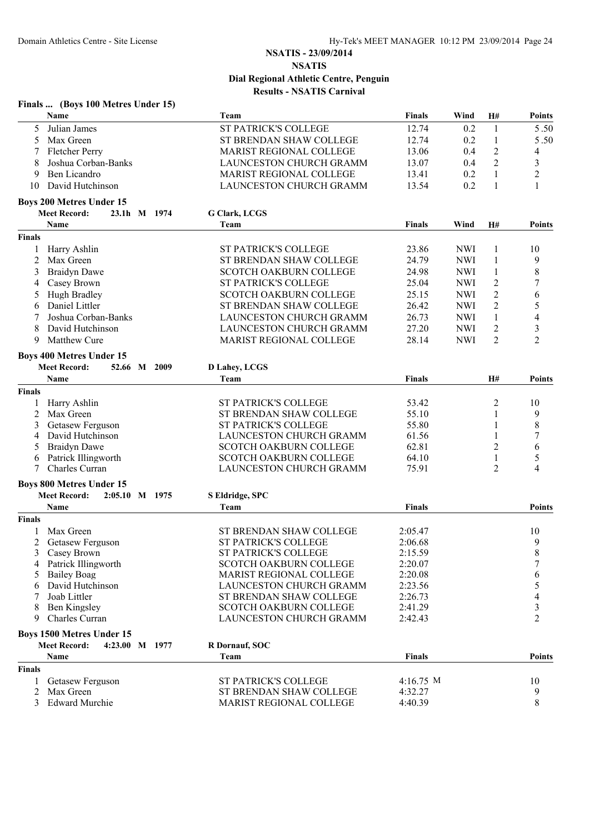|               | Finals  (Boys 100 Metres Under 15)    |                                |               |            |                  |                |
|---------------|---------------------------------------|--------------------------------|---------------|------------|------------------|----------------|
|               | <b>Name</b>                           | Team                           | <b>Finals</b> | Wind       | H#               | <b>Points</b>  |
| 5             | Julian James                          | ST PATRICK'S COLLEGE           | 12.74         | 0.2        | 1                | 5.50           |
| 5             | Max Green                             | ST BRENDAN SHAW COLLEGE        | 12.74         | 0.2        | $\mathbf{1}$     | 5.50           |
|               | Fletcher Perry                        | MARIST REGIONAL COLLEGE        | 13.06         | 0.4        | $\boldsymbol{2}$ | $\overline{4}$ |
| 8             | Joshua Corban-Banks                   | LAUNCESTON CHURCH GRAMM        | 13.07         | 0.4        | $\overline{2}$   | $\mathfrak{Z}$ |
| 9             | Ben Licandro                          | MARIST REGIONAL COLLEGE        | 13.41         | 0.2        | $\mathbf{1}$     | $\overline{c}$ |
| 10            | David Hutchinson                      | LAUNCESTON CHURCH GRAMM        | 13.54         | 0.2        | 1                | 1              |
|               | <b>Boys 200 Metres Under 15</b>       |                                |               |            |                  |                |
|               | <b>Meet Record:</b><br>23.1h M 1974   | <b>G Clark, LCGS</b>           |               |            |                  |                |
|               | <b>Name</b>                           | Team                           | <b>Finals</b> | Wind       | H#               | <b>Points</b>  |
| <b>Finals</b> |                                       |                                |               |            |                  |                |
|               | Harry Ashlin                          | <b>ST PATRICK'S COLLEGE</b>    | 23.86         | <b>NWI</b> | 1                | 10             |
| 2             | Max Green                             | ST BRENDAN SHAW COLLEGE        | 24.79         | <b>NWI</b> | 1                | 9              |
| 3             | <b>Braidyn Dawe</b>                   | <b>SCOTCH OAKBURN COLLEGE</b>  | 24.98         | <b>NWI</b> | 1                | 8              |
| 4             | Casey Brown                           | ST PATRICK'S COLLEGE           | 25.04         | <b>NWI</b> | $\overline{c}$   | 7              |
| 5             | Hugh Bradley                          | <b>SCOTCH OAKBURN COLLEGE</b>  | 25.15         | <b>NWI</b> | $\overline{2}$   | 6              |
| 6             | Daniel Littler                        | ST BRENDAN SHAW COLLEGE        | 26.42         | <b>NWI</b> | $\overline{2}$   | 5              |
|               | Joshua Corban-Banks                   | LAUNCESTON CHURCH GRAMM        | 26.73         | <b>NWI</b> | $\mathbf{1}$     | 4              |
| 8             | David Hutchinson                      | <b>LAUNCESTON CHURCH GRAMM</b> | 27.20         | <b>NWI</b> | $\overline{c}$   | $\mathfrak{Z}$ |
| 9             | Matthew Cure                          | MARIST REGIONAL COLLEGE        | 28.14         | <b>NWI</b> | $\overline{2}$   | $\overline{2}$ |
|               | <b>Boys 400 Metres Under 15</b>       |                                |               |            |                  |                |
|               | <b>Meet Record:</b><br>52.66 M 2009   | D Lahey, LCGS                  |               |            |                  |                |
|               | Name                                  | Team                           | <b>Finals</b> |            | H#               | <b>Points</b>  |
| <b>Finals</b> |                                       |                                |               |            |                  |                |
|               | Harry Ashlin                          | <b>ST PATRICK'S COLLEGE</b>    | 53.42         |            | 2                | 10             |
| 2             | Max Green                             | ST BRENDAN SHAW COLLEGE        | 55.10         |            | 1                | 9              |
| 3             | Getasew Ferguson                      | ST PATRICK'S COLLEGE           | 55.80         |            | 1                | $\,8\,$        |
| 4             | David Hutchinson                      | LAUNCESTON CHURCH GRAMM        | 61.56         |            | 1                | $\tau$         |
| 5             | <b>Braidyn Dawe</b>                   | <b>SCOTCH OAKBURN COLLEGE</b>  | 62.81         |            | 2                | 6              |
| 6             | Patrick Illingworth                   | <b>SCOTCH OAKBURN COLLEGE</b>  | 64.10         |            | 1                | 5              |
| $\tau$        | Charles Curran                        | LAUNCESTON CHURCH GRAMM        | 75.91         |            | 2                | 4              |
|               | <b>Boys 800 Metres Under 15</b>       |                                |               |            |                  |                |
|               | <b>Meet Record:</b><br>2:05.10 M 1975 | S Eldridge, SPC                |               |            |                  |                |
|               | <b>Name</b>                           | Team                           | <b>Finals</b> |            |                  | <b>Points</b>  |
| <b>Finals</b> |                                       |                                |               |            |                  |                |
|               | Max Green                             | ST BRENDAN SHAW COLLEGE        | 2:05.47       |            |                  | 10             |
|               | 2 Getasew Ferguson                    | ST PATRICK'S COLLEGE           | 2:06.68       |            |                  | 9              |
| 3             | Casey Brown                           | ST PATRICK'S COLLEGE           | 2:15.59       |            |                  | $\,$ 8 $\,$    |
|               | Patrick Illingworth                   | <b>SCOTCH OAKBURN COLLEGE</b>  | 2:20.07       |            |                  | 7              |
|               | <b>Bailey Boag</b>                    | <b>MARIST REGIONAL COLLEGE</b> | 2:20.08       |            |                  | 6              |
|               | David Hutchinson                      | LAUNCESTON CHURCH GRAMM        | 2:23.56       |            |                  | 5              |
|               | Joab Littler                          | ST BRENDAN SHAW COLLEGE        | 2:26.73       |            |                  | 4              |
|               | Ben Kingsley                          | <b>SCOTCH OAKBURN COLLEGE</b>  | 2:41.29       |            |                  | $\mathfrak{Z}$ |
| 9             | Charles Curran                        | LAUNCESTON CHURCH GRAMM        | 2:42.43       |            |                  | $\overline{2}$ |
|               | <b>Boys 1500 Metres Under 15</b>      |                                |               |            |                  |                |
|               | <b>Meet Record:</b><br>4:23.00 M 1977 | <b>R</b> Dornauf, SOC          |               |            |                  |                |
|               | <b>Name</b>                           | Team                           | <b>Finals</b> |            |                  | Points         |
| <b>Finals</b> |                                       |                                |               |            |                  |                |
|               | Getasew Ferguson                      | ST PATRICK'S COLLEGE           | 4:16.75 M     |            |                  | 10             |
| 2             | Max Green                             | ST BRENDAN SHAW COLLEGE        | 4:32.27       |            |                  | 9              |
| 3             | <b>Edward Murchie</b>                 | MARIST REGIONAL COLLEGE        | 4:40.39       |            |                  | 8              |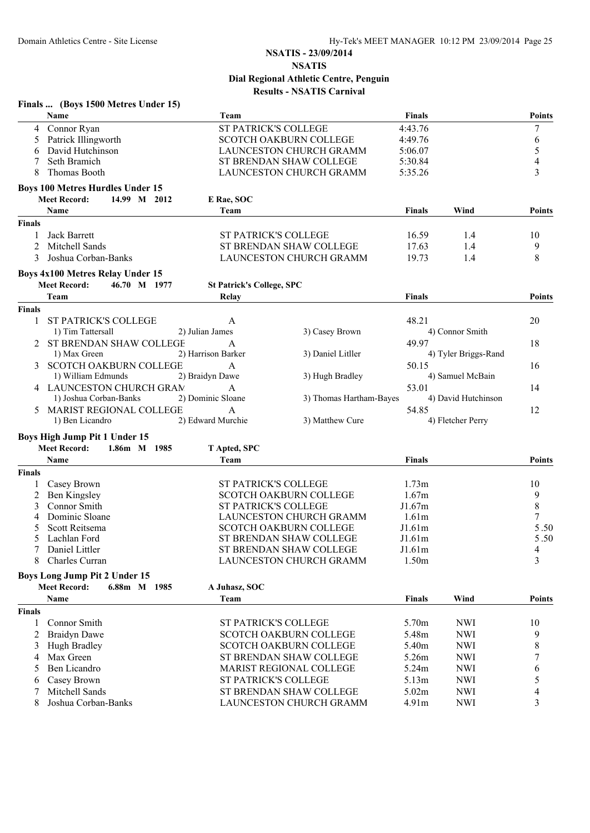|               | Finals  (Boys 1500 Metres Under 15)     |                                  |                                |                 |                      |                |
|---------------|-----------------------------------------|----------------------------------|--------------------------------|-----------------|----------------------|----------------|
|               | Name                                    | Team                             |                                | Finals          |                      | <b>Points</b>  |
| 4             | Connor Ryan                             | ST PATRICK'S COLLEGE             |                                | 4:43.76         |                      | 7              |
| 5             | Patrick Illingworth                     |                                  | <b>SCOTCH OAKBURN COLLEGE</b>  | 4:49.76         |                      | 6              |
| 6             | David Hutchinson                        |                                  | LAUNCESTON CHURCH GRAMM        | 5:06.07         |                      | 5              |
|               | Seth Bramich                            |                                  | ST BRENDAN SHAW COLLEGE        | 5:30.84         |                      | $\overline{4}$ |
| 8             | Thomas Booth                            |                                  | <b>LAUNCESTON CHURCH GRAMM</b> | 5:35.26         |                      | 3              |
|               | <b>Boys 100 Metres Hurdles Under 15</b> |                                  |                                |                 |                      |                |
|               | <b>Meet Record:</b><br>14.99 M 2012     | E Rae, SOC                       |                                |                 |                      |                |
|               | Name                                    | Team                             |                                | <b>Finals</b>   | Wind                 | <b>Points</b>  |
| <b>Finals</b> |                                         |                                  |                                |                 |                      |                |
|               | Jack Barrett                            | <b>ST PATRICK'S COLLEGE</b>      |                                | 16.59           | 1.4                  | 10             |
| 2             | Mitchell Sands                          |                                  | ST BRENDAN SHAW COLLEGE        | 17.63           | 1.4                  | 9              |
| 3             | Joshua Corban-Banks                     |                                  | LAUNCESTON CHURCH GRAMM        | 19.73           | 1.4                  | 8              |
|               | <b>Boys 4x100 Metres Relay Under 15</b> |                                  |                                |                 |                      |                |
|               | <b>Meet Record:</b><br>46.70 M 1977     | <b>St Patrick's College, SPC</b> |                                |                 |                      |                |
|               | Team                                    | Relay                            |                                | <b>Finals</b>   |                      | <b>Points</b>  |
| <b>Finals</b> |                                         |                                  |                                |                 |                      |                |
| 1             | <b>ST PATRICK'S COLLEGE</b>             | A                                |                                | 48.21           |                      | 20             |
|               | 1) Tim Tattersall                       | 2) Julian James                  | 3) Casey Brown                 |                 | 4) Connor Smith      |                |
|               | 2 ST BRENDAN SHAW COLLEGE               | A                                |                                | 49.97           |                      | 18             |
|               | 1) Max Green                            | 2) Harrison Barker               | 3) Daniel Litller              |                 | 4) Tyler Briggs-Rand |                |
| 3             | <b>SCOTCH OAKBURN COLLEGE</b>           | A                                |                                | 50.15           |                      | 16             |
|               | 1) William Edmunds                      | 2) Braidyn Dawe                  | 3) Hugh Bradley                |                 | 4) Samuel McBain     |                |
|               | 4 LAUNCESTON CHURCH GRAM                | A                                |                                | 53.01           |                      | 14             |
|               | 1) Joshua Corban-Banks                  | 2) Dominic Sloane                | 3) Thomas Hartham-Bayes        |                 | 4) David Hutchinson  |                |
|               | <b>MARIST REGIONAL COLLEGE</b>          | A                                |                                | 54.85           |                      | 12             |
|               | 1) Ben Licandro                         | 2) Edward Murchie                | 3) Matthew Cure                |                 | 4) Fletcher Perry    |                |
|               | Boys High Jump Pit 1 Under 15           |                                  |                                |                 |                      |                |
|               | <b>Meet Record:</b><br>1.86m M 1985     | T Apted, SPC                     |                                |                 |                      |                |
|               | Name                                    | Team                             |                                | <b>Finals</b>   |                      | <b>Points</b>  |
| <b>Finals</b> |                                         |                                  |                                |                 |                      |                |
|               | Casey Brown                             | <b>ST PATRICK'S COLLEGE</b>      |                                | 1.73m           |                      | 10             |
| 2             | Ben Kingsley                            |                                  | <b>SCOTCH OAKBURN COLLEGE</b>  | 1.67m           |                      | 9              |
| 3             | Connor Smith                            | ST PATRICK'S COLLEGE             |                                | J1.67m          |                      | $\,8$          |
| 4             | Dominic Sloane                          |                                  | LAUNCESTON CHURCH GRAMM        | 1.61m           |                      | 7              |
| 5             | Scott Reitsema                          |                                  | SCOTCH OAKBURN COLLEGE         | J1.61m          |                      | 5.50           |
|               | Lachlan Ford                            |                                  | ST BRENDAN SHAW COLLEGE        | J1.61m          |                      | 5.50           |
| 7             | Daniel Littler<br>Charles Curran        |                                  | ST BRENDAN SHAW COLLEGE        | J1.61m<br>1.50m |                      | 4<br>3         |
| 8             |                                         |                                  | <b>LAUNCESTON CHURCH GRAMM</b> |                 |                      |                |
|               | <b>Boys Long Jump Pit 2 Under 15</b>    |                                  |                                |                 |                      |                |
|               | <b>Meet Record:</b><br>6.88m M 1985     | A Juhasz, SOC                    |                                |                 |                      |                |
|               | Name                                    | Team                             |                                | <b>Finals</b>   | Wind                 | Points         |
| <b>Finals</b> |                                         |                                  |                                |                 |                      |                |
| 1             | Connor Smith                            | ST PATRICK'S COLLEGE             |                                | 5.70m           | <b>NWI</b>           | 10             |
| 2             | <b>Braidyn Dawe</b>                     |                                  | <b>SCOTCH OAKBURN COLLEGE</b>  | 5.48m           | <b>NWI</b>           | 9              |
| 3             | Hugh Bradley                            |                                  | SCOTCH OAKBURN COLLEGE         | 5.40m           | <b>NWI</b>           | 8              |
| 4             | Max Green                               |                                  | ST BRENDAN SHAW COLLEGE        | 5.26m           | <b>NWI</b>           | 7              |
| 5             | Ben Licandro                            |                                  | MARIST REGIONAL COLLEGE        | 5.24m           | <b>NWI</b>           | 6              |
|               | Casey Brown                             | <b>ST PATRICK'S COLLEGE</b>      |                                | 5.13m           | <b>NWI</b>           | 5              |
|               | Mitchell Sands                          |                                  | ST BRENDAN SHAW COLLEGE        | 5.02m           | <b>NWI</b>           |                |
| 8             | Joshua Corban-Banks                     |                                  | LAUNCESTON CHURCH GRAMM        | 4.91m           | <b>NWI</b>           | 3              |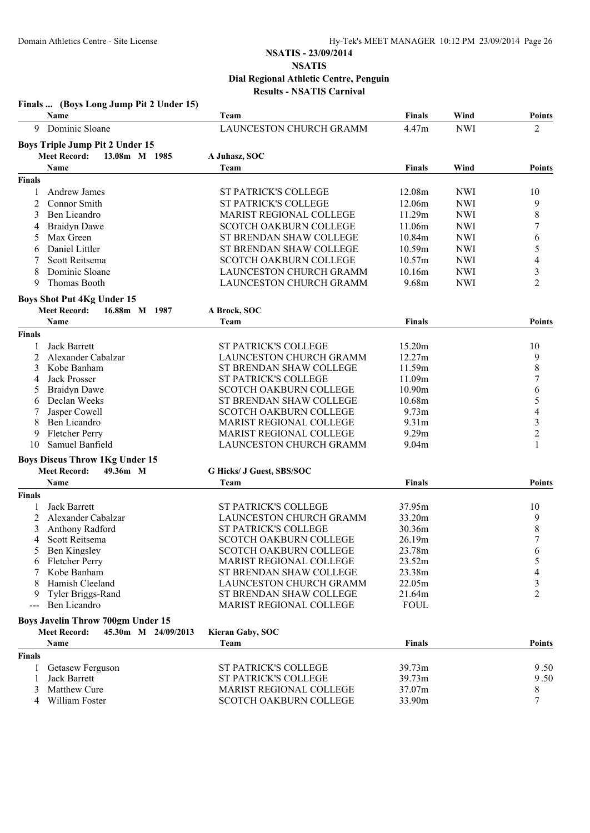|               | Finals  (Boys Long Jump Pit 2 Under 15)    |                                |                   |            |                |
|---------------|--------------------------------------------|--------------------------------|-------------------|------------|----------------|
|               | Name                                       | Team                           | <b>Finals</b>     | Wind       | <b>Points</b>  |
| 9             | Dominic Sloane                             | LAUNCESTON CHURCH GRAMM        | 4.47m             | <b>NWI</b> | 2              |
|               | <b>Boys Triple Jump Pit 2 Under 15</b>     |                                |                   |            |                |
|               | <b>Meet Record:</b><br>13.08m M 1985       | A Juhasz, SOC                  |                   |            |                |
|               | Name                                       | Team                           | <b>Finals</b>     | Wind       | Points         |
| <b>Finals</b> |                                            |                                |                   |            |                |
| 1             | Andrew James                               | <b>ST PATRICK'S COLLEGE</b>    | 12.08m            | <b>NWI</b> | 10             |
| 2             | Connor Smith                               | <b>ST PATRICK'S COLLEGE</b>    | 12.06m            | <b>NWI</b> | 9              |
| 3             | Ben Licandro                               | <b>MARIST REGIONAL COLLEGE</b> | 11.29m            | <b>NWI</b> | 8              |
| 4             | <b>Braidyn Dawe</b>                        | <b>SCOTCH OAKBURN COLLEGE</b>  | 11.06m            | <b>NWI</b> | 7              |
| 5             | Max Green                                  | ST BRENDAN SHAW COLLEGE        | 10.84m            | <b>NWI</b> | 6              |
| 6             | Daniel Littler                             | ST BRENDAN SHAW COLLEGE        | 10.59m            | <b>NWI</b> | 5              |
|               | Scott Reitsema                             | <b>SCOTCH OAKBURN COLLEGE</b>  | 10.57m            | <b>NWI</b> | 4              |
| 8             | Dominic Sloane                             | LAUNCESTON CHURCH GRAMM        | 10.16m            | <b>NWI</b> | 3              |
| 9             | Thomas Booth                               | LAUNCESTON CHURCH GRAMM        | 9.68m             | <b>NWI</b> | 2              |
|               | <b>Boys Shot Put 4Kg Under 15</b>          |                                |                   |            |                |
|               | <b>Meet Record:</b><br>16.88m M 1987       | A Brock, SOC                   |                   |            |                |
|               | Name                                       | Team                           | <b>Finals</b>     |            | <b>Points</b>  |
| <b>Finals</b> |                                            |                                |                   |            |                |
|               | <b>Jack Barrett</b>                        | <b>ST PATRICK'S COLLEGE</b>    | 15.20m            |            | 10             |
| 2             | Alexander Cabalzar                         | LAUNCESTON CHURCH GRAMM        | 12.27m            |            | 9              |
| 3             | Kobe Banham                                | ST BRENDAN SHAW COLLEGE        | 11.59m            |            | $\,$ 8 $\,$    |
| 4             | <b>Jack Prosser</b>                        | <b>ST PATRICK'S COLLEGE</b>    | 11.09m            |            | $\overline{7}$ |
| 5             | <b>Braidyn Dawe</b>                        | <b>SCOTCH OAKBURN COLLEGE</b>  | 10.90m            |            | 6              |
| 6             | Declan Weeks                               | ST BRENDAN SHAW COLLEGE        | 10.68m            |            | 5              |
| 7             | Jasper Cowell                              | SCOTCH OAKBURN COLLEGE         | 9.73m             |            | 4              |
| 8             | Ben Licandro                               | <b>MARIST REGIONAL COLLEGE</b> | 9.31 <sub>m</sub> |            | 3              |
| 9             | Fletcher Perry                             | MARIST REGIONAL COLLEGE        | 9.29m             |            | $\overline{c}$ |
| 10            | Samuel Banfield                            | LAUNCESTON CHURCH GRAMM        | 9.04m             |            | 1              |
|               | <b>Boys Discus Throw 1Kg Under 15</b>      |                                |                   |            |                |
|               | <b>Meet Record:</b><br>49.36m M            | G Hicks/ J Guest, SBS/SOC      |                   |            |                |
|               | Name                                       | Team                           | <b>Finals</b>     |            | Points         |
| <b>Finals</b> |                                            |                                |                   |            |                |
| 1             | Jack Barrett                               | <b>ST PATRICK'S COLLEGE</b>    | 37.95m            |            | 10             |
| 2             | Alexander Cabalzar                         | LAUNCESTON CHURCH GRAMM        | 33.20m            |            | 9              |
| 3             | Anthony Radford                            | <b>ST PATRICK'S COLLEGE</b>    | 30.36m            |            | 8              |
| 4             | Scott Reitsema                             | SCOTCH OAKBURN COLLEGE         | 26.19m            |            | 7              |
| 5             | Ben Kingsley                               | SCOTCH OAKBURN COLLEGE         | 23.78m            |            | 6              |
| 6             | <b>Fletcher Perry</b>                      | <b>MARIST REGIONAL COLLEGE</b> | 23.52m            |            | 5              |
|               | Kobe Banham                                | ST BRENDAN SHAW COLLEGE        | 23.38m            |            | 4              |
|               | Hamish Cleeland                            | LAUNCESTON CHURCH GRAMM        | 22.05m            |            | 3              |
| 9             | Tyler Briggs-Rand                          | ST BRENDAN SHAW COLLEGE        | 21.64m            |            | $\overline{c}$ |
| $\frac{1}{2}$ | Ben Licandro                               | MARIST REGIONAL COLLEGE        | <b>FOUL</b>       |            |                |
|               | <b>Boys Javelin Throw 700gm Under 15</b>   |                                |                   |            |                |
|               | <b>Meet Record:</b><br>45.30m M 24/09/2013 | <b>Kieran Gaby, SOC</b>        |                   |            |                |
|               | Name                                       | Team                           | <b>Finals</b>     |            | Points         |
| <b>Finals</b> |                                            |                                |                   |            |                |
| 1             | Getasew Ferguson                           | ST PATRICK'S COLLEGE           | 39.73m            |            | 9.50           |
|               | Jack Barrett                               | <b>ST PATRICK'S COLLEGE</b>    | 39.73m            |            | 9.50           |
| 3             | <b>Matthew Cure</b>                        | MARIST REGIONAL COLLEGE        | 37.07m            |            | 8              |
| 4             | William Foster                             | SCOTCH OAKBURN COLLEGE         | 33.90m            |            | 7              |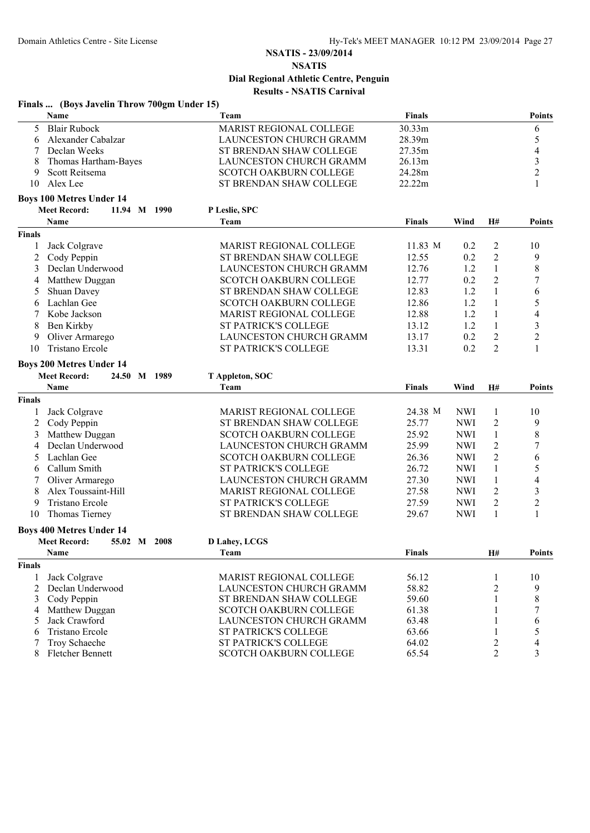|               | Finals  (Boys Javelin Throw 700gm Under 15) |                                |               |            |                |                |
|---------------|---------------------------------------------|--------------------------------|---------------|------------|----------------|----------------|
|               | Name                                        | Team                           | <b>Finals</b> |            |                | <b>Points</b>  |
| 5             | <b>Blair Rubock</b>                         | MARIST REGIONAL COLLEGE        | 30.33m        |            |                | 6              |
| 6             | Alexander Cabalzar                          | LAUNCESTON CHURCH GRAMM        | 28.39m        |            |                | 5              |
| 7             | Declan Weeks                                | ST BRENDAN SHAW COLLEGE        | 27.35m        |            |                | 4              |
| 8             | Thomas Hartham-Bayes                        | LAUNCESTON CHURCH GRAMM        | 26.13m        |            |                | $\mathfrak{Z}$ |
| 9             | Scott Reitsema                              | SCOTCH OAKBURN COLLEGE         | 24.28m        |            |                | $\overline{c}$ |
| 10            | Alex Lee                                    | ST BRENDAN SHAW COLLEGE        | 22.22m        |            |                | $\mathbf{1}$   |
|               | <b>Boys 100 Metres Under 14</b>             |                                |               |            |                |                |
|               | <b>Meet Record:</b><br>11.94 M 1990         | P Leslie, SPC                  |               |            |                |                |
|               | Name                                        | Team                           | <b>Finals</b> | Wind       | H#             | <b>Points</b>  |
| <b>Finals</b> |                                             |                                |               |            |                |                |
| 1             | Jack Colgrave                               | MARIST REGIONAL COLLEGE        | 11.83 M       | 0.2        | 2              | 10             |
| 2             | Cody Peppin                                 | ST BRENDAN SHAW COLLEGE        | 12.55         | 0.2        | 2              | 9              |
| 3             | Declan Underwood                            | LAUNCESTON CHURCH GRAMM        | 12.76         | 1.2        | $\mathbf{1}$   | 8              |
| 4             | Matthew Duggan                              | SCOTCH OAKBURN COLLEGE         | 12.77         | 0.2        | $\overline{2}$ | 7              |
| 5             | Shuan Davey                                 | ST BRENDAN SHAW COLLEGE        | 12.83         | 1.2        | $\mathbf{1}$   | 6              |
| 6             | Lachlan Gee                                 | <b>SCOTCH OAKBURN COLLEGE</b>  | 12.86         | 1.2        | 1              | 5              |
| 7             | Kobe Jackson                                | MARIST REGIONAL COLLEGE        | 12.88         | 1.2        | $\mathbf{1}$   | 4              |
| 8             | Ben Kirkby                                  | ST PATRICK'S COLLEGE           | 13.12         | 1.2        | $\mathbf{1}$   | $\mathfrak{Z}$ |
| 9             | Oliver Armarego                             | LAUNCESTON CHURCH GRAMM        | 13.17         | 0.2        | $\overline{c}$ | $\overline{c}$ |
| 10            | Tristano Ercole                             | ST PATRICK'S COLLEGE           | 13.31         | 0.2        | $\overline{2}$ | $\mathbf{1}$   |
|               |                                             |                                |               |            |                |                |
|               | <b>Boys 200 Metres Under 14</b>             |                                |               |            |                |                |
|               | <b>Meet Record:</b><br>24.50 M 1989         | T Appleton, SOC                |               |            |                |                |
|               | Name                                        | Team                           | <b>Finals</b> | Wind       | H#             | <b>Points</b>  |
| Finals        |                                             |                                |               |            |                |                |
| 1             | Jack Colgrave                               | <b>MARIST REGIONAL COLLEGE</b> | 24.38 M       | <b>NWI</b> | $\mathbf{1}$   | 10             |
| 2             | Cody Peppin                                 | ST BRENDAN SHAW COLLEGE        | 25.77         | <b>NWI</b> | 2              | 9              |
| 3             | Matthew Duggan                              | <b>SCOTCH OAKBURN COLLEGE</b>  | 25.92         | <b>NWI</b> | $\mathbf{1}$   | 8              |
| 4             | Declan Underwood                            | LAUNCESTON CHURCH GRAMM        | 25.99         | <b>NWI</b> | 2              | 7              |
| 5             | Lachlan Gee                                 | SCOTCH OAKBURN COLLEGE         | 26.36         | <b>NWI</b> | $\overline{c}$ | 6              |
| 6             | Callum Smith                                | ST PATRICK'S COLLEGE           | 26.72         | <b>NWI</b> | $\mathbf{1}$   | 5              |
|               | Oliver Armarego                             | LAUNCESTON CHURCH GRAMM        | 27.30         | <b>NWI</b> | $\mathbf{1}$   | 4              |
| 8             | Alex Toussaint-Hill                         | <b>MARIST REGIONAL COLLEGE</b> | 27.58         | <b>NWI</b> | 2              | 3              |
| 9             | Tristano Ercole                             | ST PATRICK'S COLLEGE           | 27.59         | <b>NWI</b> | $\overline{2}$ | $\overline{c}$ |
| 10            | Thomas Tierney                              | ST BRENDAN SHAW COLLEGE        | 29.67         | <b>NWI</b> | $\mathbf{1}$   | 1              |
|               | <b>Boys 400 Metres Under 14</b>             |                                |               |            |                |                |
|               | <b>Meet Record:</b><br>55.02 M 2008         | <b>D Lahey, LCGS</b>           |               |            |                |                |
|               | Name                                        | Team                           | <b>Finals</b> |            | H#             | <b>Points</b>  |
| <b>Finals</b> |                                             |                                |               |            |                |                |
|               | Jack Colgrave                               | MARIST REGIONAL COLLEGE        | 56.12         |            | 1              | 10             |
| 2             | Declan Underwood                            | LAUNCESTON CHURCH GRAMM        | 58.82         |            | 2              | 9              |
| 3             | Cody Peppin                                 | ST BRENDAN SHAW COLLEGE        | 59.60         |            | 1              | 8              |
| 4             | Matthew Duggan                              | <b>SCOTCH OAKBURN COLLEGE</b>  | 61.38         |            |                | 7              |
| 5             | Jack Crawford                               | LAUNCESTON CHURCH GRAMM        | 63.48         |            |                | 6              |
| 6             | Tristano Ercole                             | ST PATRICK'S COLLEGE           | 63.66         |            |                | 5              |
|               | Troy Schaeche                               | ST PATRICK'S COLLEGE           | 64.02         |            | 2              | 4              |
| 8             | Fletcher Bennett                            | <b>SCOTCH OAKBURN COLLEGE</b>  | 65.54         |            | $\overline{2}$ | 3              |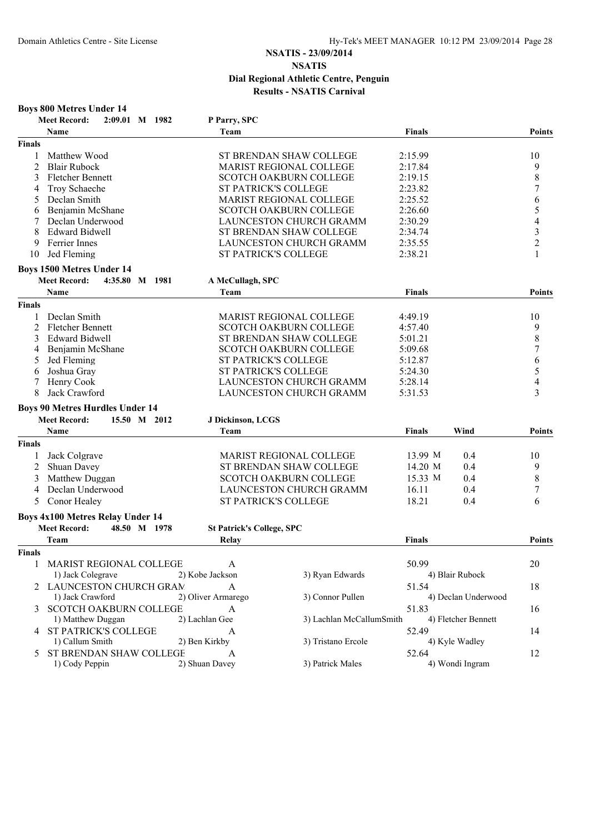|                | <b>Boys 800 Metres Under 14</b>          |                                  |                                |               |                     |                |
|----------------|------------------------------------------|----------------------------------|--------------------------------|---------------|---------------------|----------------|
|                | <b>Meet Record:</b><br>2:09.01<br>M 1982 | P Parry, SPC                     |                                |               |                     |                |
|                | <b>Name</b>                              | Team                             |                                | <b>Finals</b> |                     | Points         |
| <b>Finals</b>  |                                          |                                  |                                |               |                     |                |
|                | Matthew Wood                             |                                  | ST BRENDAN SHAW COLLEGE        | 2:15.99       |                     | 10             |
| $\overline{2}$ | <b>Blair Rubock</b>                      |                                  | MARIST REGIONAL COLLEGE        | 2:17.84       |                     | 9              |
| 3              | <b>Fletcher Bennett</b>                  |                                  | SCOTCH OAKBURN COLLEGE         | 2:19.15       |                     | 8              |
| 4              | Troy Schaeche                            | <b>ST PATRICK'S COLLEGE</b>      |                                | 2:23.82       |                     | 7              |
| 5              | Declan Smith                             |                                  | MARIST REGIONAL COLLEGE        | 2:25.52       |                     | 6              |
| 6              | Benjamin McShane                         |                                  | SCOTCH OAKBURN COLLEGE         | 2:26.60       |                     | 5              |
|                | Declan Underwood                         |                                  | LAUNCESTON CHURCH GRAMM        | 2:30.29       |                     | 4              |
| 8              | Edward Bidwell                           |                                  | ST BRENDAN SHAW COLLEGE        | 2:34.74       |                     | 3              |
| 9              | Ferrier Innes                            |                                  | LAUNCESTON CHURCH GRAMM        | 2:35.55       |                     | $\overline{c}$ |
| 10             | Jed Fleming                              | <b>ST PATRICK'S COLLEGE</b>      |                                | 2:38.21       |                     | 1              |
|                | <b>Boys 1500 Metres Under 14</b>         |                                  |                                |               |                     |                |
|                | <b>Meet Record:</b><br>4:35.80 M 1981    | A McCullagh, SPC                 |                                |               |                     |                |
|                | Name                                     | Team                             |                                | <b>Finals</b> |                     | Points         |
| <b>Finals</b>  |                                          |                                  |                                |               |                     |                |
|                | Declan Smith                             |                                  | <b>MARIST REGIONAL COLLEGE</b> | 4:49.19       |                     | 10             |
| $\overline{2}$ | <b>Fletcher Bennett</b>                  |                                  | <b>SCOTCH OAKBURN COLLEGE</b>  | 4:57.40       |                     | 9              |
| 3              | <b>Edward Bidwell</b>                    |                                  | ST BRENDAN SHAW COLLEGE        | 5:01.21       |                     | 8              |
| 4              | Benjamin McShane                         |                                  | <b>SCOTCH OAKBURN COLLEGE</b>  | 5:09.68       |                     | 7              |
| 5              | Jed Fleming                              | <b>ST PATRICK'S COLLEGE</b>      |                                | 5:12.87       |                     | 6              |
| 6              | Joshua Gray                              | ST PATRICK'S COLLEGE             |                                | 5:24.30       |                     | 5              |
|                | Henry Cook                               |                                  | LAUNCESTON CHURCH GRAMM        | 5:28.14       |                     | 4              |
| 8              | Jack Crawford                            |                                  | LAUNCESTON CHURCH GRAMM        | 5:31.53       |                     | 3              |
|                | <b>Boys 90 Metres Hurdles Under 14</b>   |                                  |                                |               |                     |                |
|                | <b>Meet Record:</b><br>15.50 M 2012      | J Dickinson, LCGS                |                                |               |                     |                |
|                | Name                                     | Team                             |                                | <b>Finals</b> | Wind                | Points         |
| <b>Finals</b>  |                                          |                                  |                                |               |                     |                |
|                | Jack Colgrave                            |                                  | <b>MARIST REGIONAL COLLEGE</b> | 13.99 M       | 0.4                 | 10             |
| 2              | Shuan Davey                              |                                  | ST BRENDAN SHAW COLLEGE        | 14.20 M       | 0.4                 | 9              |
| 3              | Matthew Duggan                           |                                  | <b>SCOTCH OAKBURN COLLEGE</b>  | 15.33 M       | 0.4                 | $\,8\,$        |
| 4              | Declan Underwood                         |                                  | <b>LAUNCESTON CHURCH GRAMM</b> | 16.11         | 0.4                 | 7              |
| 5              | Conor Healey                             | ST PATRICK'S COLLEGE             |                                | 18.21         | 0.4                 | 6              |
|                | <b>Boys 4x100 Metres Relay Under 14</b>  |                                  |                                |               |                     |                |
|                | <b>Meet Record:</b><br>48.50 M 1978      | <b>St Patrick's College, SPC</b> |                                |               |                     |                |
|                | Team                                     | Relay                            |                                | <b>Finals</b> |                     | Points         |
| Finals         |                                          |                                  |                                |               |                     |                |
| 1              | MARIST REGIONAL COLLEGE                  | A                                |                                | 50.99         |                     | 20             |
|                | 1) Jack Colegrave                        | 2) Kobe Jackson                  | 3) Ryan Edwards                |               | 4) Blair Rubock     |                |
|                | 2 LAUNCESTON CHURCH GRAM                 | A                                |                                | 51.54         |                     | 18             |
|                | 1) Jack Crawford                         | 2) Oliver Armarego               | 3) Connor Pullen               |               | 4) Declan Underwood |                |
| 3              | <b>SCOTCH OAKBURN COLLEGE</b>            | A                                |                                | 51.83         |                     | 16             |
|                | 1) Matthew Duggan                        | 2) Lachlan Gee                   | 3) Lachlan McCallumSmith       |               | 4) Fletcher Bennett |                |
|                | <b>4 ST PATRICK'S COLLEGE</b>            | A                                |                                | 52.49         |                     | 14             |
|                | 1) Callum Smith                          | 2) Ben Kirkby                    | 3) Tristano Ercole             |               | 4) Kyle Wadley      |                |
| 5.             | ST BRENDAN SHAW COLLEGE                  | A                                |                                | 52.64         |                     | 12             |
|                | 1) Cody Peppin                           | 2) Shuan Davey                   | 3) Patrick Males               |               | 4) Wondi Ingram     |                |
|                |                                          |                                  |                                |               |                     |                |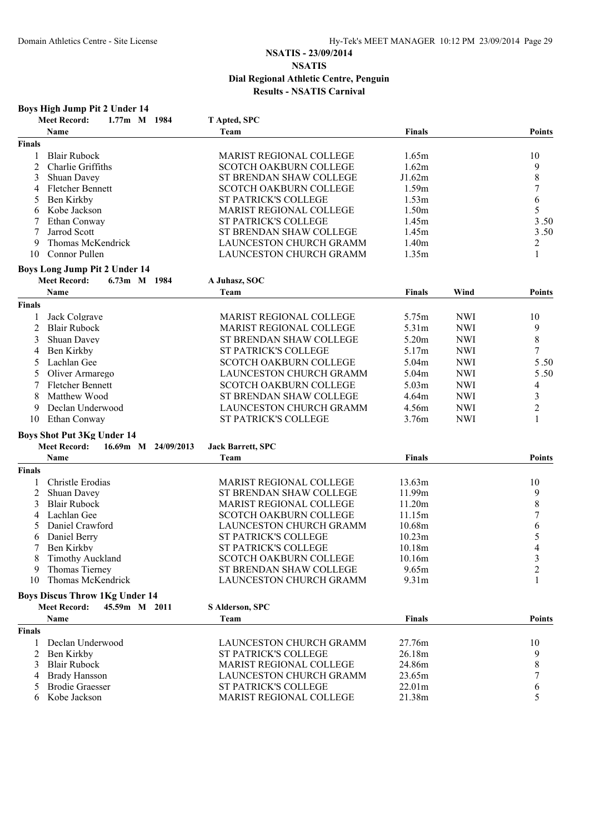|               | Boys High Jump Pit 2 Under 14               |                                                           |                   |            |                         |
|---------------|---------------------------------------------|-----------------------------------------------------------|-------------------|------------|-------------------------|
|               | <b>Meet Record:</b><br>1.77m M 1984         | T Apted, SPC                                              |                   |            |                         |
|               | Name                                        | Team                                                      | <b>Finals</b>     |            | <b>Points</b>           |
| <b>Finals</b> |                                             |                                                           |                   |            |                         |
| 1             | <b>Blair Rubock</b>                         | <b>MARIST REGIONAL COLLEGE</b>                            | 1.65m             |            | 10                      |
| 2             | Charlie Griffiths                           | <b>SCOTCH OAKBURN COLLEGE</b>                             | 1.62m             |            | 9                       |
| 3             | Shuan Davey                                 | ST BRENDAN SHAW COLLEGE                                   | J1.62m            |            | 8                       |
| 4             | <b>Fletcher Bennett</b>                     | <b>SCOTCH OAKBURN COLLEGE</b>                             | 1.59m             |            | 7                       |
| 5             | Ben Kirkby                                  | <b>ST PATRICK'S COLLEGE</b>                               | 1.53m             |            | 6                       |
| 6             | Kobe Jackson                                | MARIST REGIONAL COLLEGE                                   | 1.50 <sub>m</sub> |            | 5                       |
| 7             | Ethan Conway                                | ST PATRICK'S COLLEGE                                      | 1.45m             |            | 3.50                    |
| 7             | Jarrod Scott                                | ST BRENDAN SHAW COLLEGE                                   | 1.45m             |            | 3.50                    |
| 9             | Thomas McKendrick                           | LAUNCESTON CHURCH GRAMM                                   | 1.40m             |            | 2                       |
| 10            | Connor Pullen                               | LAUNCESTON CHURCH GRAMM                                   | 1.35m             |            | 1                       |
|               | Boys Long Jump Pit 2 Under 14               |                                                           |                   |            |                         |
|               | <b>Meet Record:</b><br>6.73m M 1984         | A Juhasz, SOC                                             |                   |            |                         |
|               | Name                                        | Team                                                      | <b>Finals</b>     | Wind       | <b>Points</b>           |
| <b>Finals</b> |                                             |                                                           |                   |            |                         |
|               | Jack Colgrave                               | <b>MARIST REGIONAL COLLEGE</b>                            | 5.75m             | <b>NWI</b> | 10                      |
| 2             | <b>Blair Rubock</b>                         | MARIST REGIONAL COLLEGE                                   | 5.31 <sub>m</sub> | <b>NWI</b> | 9                       |
| 3             | Shuan Davey                                 | ST BRENDAN SHAW COLLEGE                                   | 5.20m             | <b>NWI</b> | 8                       |
| 4             | Ben Kirkby                                  | ST PATRICK'S COLLEGE                                      | 5.17m             | <b>NWI</b> | 7                       |
| 5             | Lachlan Gee                                 | <b>SCOTCH OAKBURN COLLEGE</b>                             | 5.04m             | <b>NWI</b> | 5.50                    |
| 5             | Oliver Armarego                             | LAUNCESTON CHURCH GRAMM                                   | 5.04m             | <b>NWI</b> | 5.50                    |
| 7             | <b>Fletcher Bennett</b>                     | <b>SCOTCH OAKBURN COLLEGE</b>                             | 5.03 <sub>m</sub> | <b>NWI</b> | 4                       |
| 8             | Matthew Wood                                | ST BRENDAN SHAW COLLEGE                                   | 4.64m             | <b>NWI</b> | 3                       |
| 9             | Declan Underwood                            | LAUNCESTON CHURCH GRAMM                                   | 4.56m             | <b>NWI</b> | $\overline{c}$          |
| 10            | Ethan Conway                                | <b>ST PATRICK'S COLLEGE</b>                               | 3.76m             | <b>NWI</b> | 1                       |
|               | <b>Boys Shot Put 3Kg Under 14</b>           |                                                           |                   |            |                         |
|               | <b>Meet Record:</b><br>16.69m M 24/09/2013  | <b>Jack Barrett, SPC</b>                                  |                   |            |                         |
|               | Name                                        | Team                                                      | <b>Finals</b>     |            | <b>Points</b>           |
| <b>Finals</b> |                                             |                                                           |                   |            |                         |
|               | Christle Erodias                            | <b>MARIST REGIONAL COLLEGE</b>                            | 13.63m            |            | 10                      |
| 2             | Shuan Davey                                 | ST BRENDAN SHAW COLLEGE                                   | 11.99m            |            | 9                       |
| 3             | <b>Blair Rubock</b>                         | MARIST REGIONAL COLLEGE                                   | 11.20m            |            | 8                       |
| 4             | Lachlan Gee                                 | SCOTCH OAKBURN COLLEGE                                    | 11.15m            |            | 7                       |
|               | Daniel Crawford                             | <b>LAUNCESTON CHURCH GRAMM</b>                            | 10.68m            |            | 6                       |
| 6             | Daniel Berry                                | <b>ST PATRICK'S COLLEGE</b>                               | 10.23m            |            | 5                       |
|               | 7 Ben Kirkby                                | ST PATRICK'S COLLEGE                                      | 10.18m            |            | 4                       |
|               | <b>Timothy Auckland</b>                     | <b>SCOTCH OAKBURN COLLEGE</b>                             | 10.16m            |            | $\mathfrak{Z}$          |
| 9             | Thomas Tierney                              | ST BRENDAN SHAW COLLEGE                                   | 9.65m             |            | $\overline{\mathbf{c}}$ |
| 10            | Thomas McKendrick                           | <b>LAUNCESTON CHURCH GRAMM</b>                            | 9.31m             |            |                         |
|               | <b>Boys Discus Throw 1Kg Under 14</b>       |                                                           |                   |            |                         |
|               | <b>Meet Record:</b><br>45.59m M 2011        | S Alderson, SPC                                           |                   |            |                         |
|               | Name                                        | Team                                                      | <b>Finals</b>     |            | <b>Points</b>           |
| <b>Finals</b> |                                             |                                                           |                   |            |                         |
|               | Declan Underwood                            | LAUNCESTON CHURCH GRAMM                                   | 27.76m            |            | 10                      |
| 2             | Ben Kirkby                                  | <b>ST PATRICK'S COLLEGE</b>                               | 26.18m            |            | 9                       |
| 3             | <b>Blair Rubock</b><br><b>Brady Hansson</b> | MARIST REGIONAL COLLEGE<br><b>LAUNCESTON CHURCH GRAMM</b> | 24.86m<br>23.65m  |            | 8                       |
| 4             |                                             |                                                           |                   |            | 7                       |
|               | <b>Brodie Graesser</b><br>Kobe Jackson      | <b>ST PATRICK'S COLLEGE</b>                               | 22.01m            |            | 6<br>5                  |
| 6             |                                             | MARIST REGIONAL COLLEGE                                   | 21.38m            |            |                         |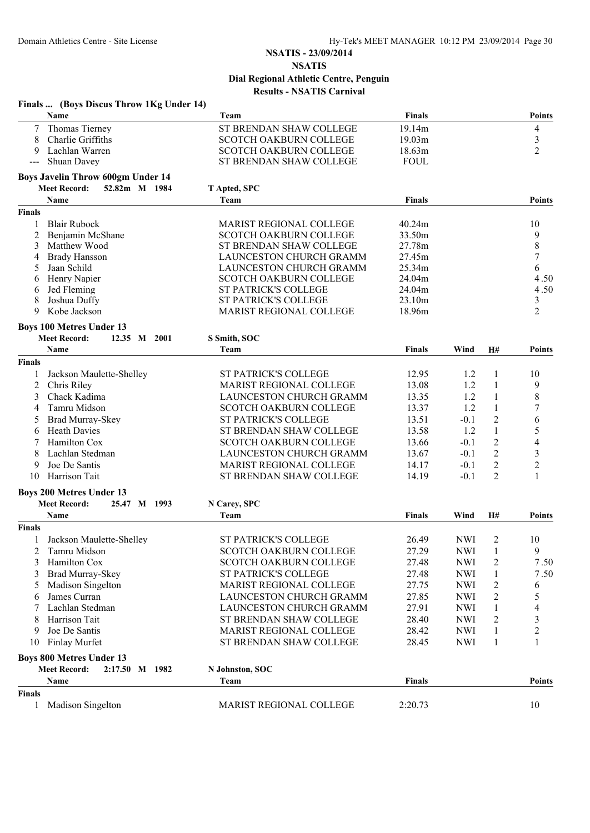|                     | Finals  (Boys Discus Throw 1Kg Under 14)    |                                |               |            |                  |                  |
|---------------------|---------------------------------------------|--------------------------------|---------------|------------|------------------|------------------|
|                     | Name                                        | Team                           | <b>Finals</b> |            |                  | <b>Points</b>    |
| 7                   | Thomas Tierney                              | ST BRENDAN SHAW COLLEGE        | 19.14m        |            |                  | 4                |
| 8                   | Charlie Griffiths                           | <b>SCOTCH OAKBURN COLLEGE</b>  | 19.03m        |            |                  | 3                |
| 9                   | Lachlan Warren                              | <b>SCOTCH OAKBURN COLLEGE</b>  | 18.63m        |            |                  | $\overline{2}$   |
| $\qquad \qquad - -$ | Shuan Davey                                 | ST BRENDAN SHAW COLLEGE        | <b>FOUL</b>   |            |                  |                  |
|                     | <b>Boys Javelin Throw 600gm Under 14</b>    |                                |               |            |                  |                  |
|                     | <b>Meet Record:</b><br>52.82m M 1984        | T Apted, SPC                   |               |            |                  |                  |
|                     | Name                                        | Team                           | <b>Finals</b> |            |                  | <b>Points</b>    |
| <b>Finals</b>       |                                             |                                |               |            |                  |                  |
| 1                   | <b>Blair Rubock</b>                         | MARIST REGIONAL COLLEGE        | 40.24m        |            |                  | 10               |
| 2                   | Benjamin McShane                            | <b>SCOTCH OAKBURN COLLEGE</b>  | 33.50m        |            |                  | 9                |
| 3                   | Matthew Wood                                | ST BRENDAN SHAW COLLEGE        | 27.78m        |            |                  | $\,$ $\,$        |
| 4                   | <b>Brady Hansson</b>                        | LAUNCESTON CHURCH GRAMM        | 27.45m        |            |                  | $\boldsymbol{7}$ |
| 5                   | Jaan Schild                                 | LAUNCESTON CHURCH GRAMM        | 25.34m        |            |                  | 6                |
| 6                   | Henry Napier                                | SCOTCH OAKBURN COLLEGE         | 24.04m        |            |                  | 4.50             |
| 6                   | Jed Fleming                                 | <b>ST PATRICK'S COLLEGE</b>    | 24.04m        |            |                  | 4.50             |
| 8                   | Joshua Duffy                                | <b>ST PATRICK'S COLLEGE</b>    | 23.10m        |            |                  | 3                |
| 9                   | Kobe Jackson                                | MARIST REGIONAL COLLEGE        | 18.96m        |            |                  | $\overline{2}$   |
|                     | <b>Boys 100 Metres Under 13</b>             |                                |               |            |                  |                  |
|                     | <b>Meet Record:</b><br>12.35 M 2001<br>Name | S Smith, SOC<br>Team           | <b>Finals</b> | Wind       | <b>H#</b>        | <b>Points</b>    |
|                     |                                             |                                |               |            |                  |                  |
| <b>Finals</b>       |                                             |                                |               |            |                  |                  |
| 1                   | Jackson Maulette-Shelley                    | <b>ST PATRICK'S COLLEGE</b>    | 12.95         | 1.2        | 1                | 10               |
| 2                   | Chris Riley                                 | MARIST REGIONAL COLLEGE        | 13.08         | 1.2        | $\mathbf{1}$     | 9                |
| 3                   | Chack Kadima                                | LAUNCESTON CHURCH GRAMM        | 13.35         | 1.2        | $\mathbf{1}$     | 8                |
| 4                   | Tamru Midson                                | SCOTCH OAKBURN COLLEGE         | 13.37         | 1.2        | $\mathbf{1}$     | 7                |
| 5                   | Brad Murray-Skey                            | ST PATRICK'S COLLEGE           | 13.51         | $-0.1$     | $\overline{2}$   | 6                |
| 6                   | <b>Heath Davies</b>                         | ST BRENDAN SHAW COLLEGE        | 13.58         | 1.2        | $\mathbf{1}$     | 5                |
| 7                   | Hamilton Cox                                | SCOTCH OAKBURN COLLEGE         | 13.66         | $-0.1$     | $\overline{c}$   | 4                |
| 8                   | Lachlan Stedman                             | LAUNCESTON CHURCH GRAMM        | 13.67         | $-0.1$     | $\boldsymbol{2}$ | $\mathfrak{Z}$   |
| 9                   | Joe De Santis                               | MARIST REGIONAL COLLEGE        | 14.17         | $-0.1$     | $\overline{2}$   | $\overline{2}$   |
| 10                  | Harrison Tait                               | ST BRENDAN SHAW COLLEGE        | 14.19         | $-0.1$     | $\overline{2}$   | 1                |
|                     | <b>Boys 200 Metres Under 13</b>             |                                |               |            |                  |                  |
|                     | <b>Meet Record:</b><br>25.47 M 1993         | N Carey, SPC                   |               |            |                  |                  |
|                     | Name                                        | Team                           | <b>Finals</b> | Wind       | H#               | <b>Points</b>    |
| <b>Finals</b>       |                                             |                                |               |            |                  |                  |
|                     | 1 Jackson Maulette-Shelley                  | ST PATRICK'S COLLEGE           | 26.49         | <b>NWI</b> | $\overline{2}$   | 10               |
| 2                   | Tamru Midson                                | SCOTCH OAKBURN COLLEGE         | 27.29         | <b>NWI</b> | $\mathbf{1}$     | 9                |
| 3                   | Hamilton Cox                                | SCOTCH OAKBURN COLLEGE         | 27.48         | <b>NWI</b> | 2                | 7.50             |
| 3                   | Brad Murray-Skey                            | <b>ST PATRICK'S COLLEGE</b>    | 27.48         | <b>NWI</b> | $\mathbf{1}$     | 7.50             |
|                     | Madison Singelton                           | <b>MARIST REGIONAL COLLEGE</b> | 27.75         | <b>NWI</b> | 2                | 6                |
|                     | James Curran                                | LAUNCESTON CHURCH GRAMM        | 27.85         | <b>NWI</b> | 2                | 5                |
|                     | Lachlan Stedman                             | LAUNCESTON CHURCH GRAMM        | 27.91         | <b>NWI</b> | 1                | 4                |
| 8                   | Harrison Tait                               | ST BRENDAN SHAW COLLEGE        | 28.40         | <b>NWI</b> | 2                | 3                |
| 9                   | Joe De Santis                               | <b>MARIST REGIONAL COLLEGE</b> | 28.42         | <b>NWI</b> | 1                | 2                |
| 10                  | <b>Finlay Murfet</b>                        | ST BRENDAN SHAW COLLEGE        | 28.45         | <b>NWI</b> | $\mathbf{1}$     | 1                |
|                     | <b>Boys 800 Metres Under 13</b>             |                                |               |            |                  |                  |
|                     | <b>Meet Record:</b><br>2:17.50 M 1982       | N Johnston, SOC                |               |            |                  |                  |
|                     | Name                                        | <b>Team</b>                    | <b>Finals</b> |            |                  | <b>Points</b>    |
| <b>Finals</b>       |                                             |                                |               |            |                  |                  |
| 1                   | Madison Singelton                           | MARIST REGIONAL COLLEGE        | 2:20.73       |            |                  | 10               |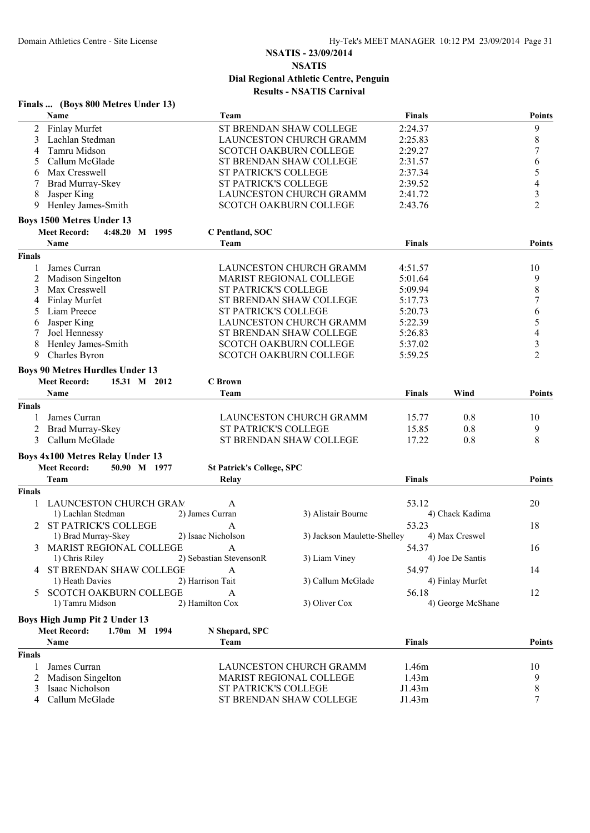|                | Finals  (Boys 800 Metres Under 13)      |                                  |                                |                    |                   |                          |
|----------------|-----------------------------------------|----------------------------------|--------------------------------|--------------------|-------------------|--------------------------|
|                | <b>Name</b>                             | Team                             |                                | <b>Finals</b>      |                   | <b>Points</b>            |
| $\overline{2}$ | Finlay Murfet                           |                                  | ST BRENDAN SHAW COLLEGE        | 2:24.37            |                   | 9                        |
| 3              | Lachlan Stedman                         |                                  | LAUNCESTON CHURCH GRAMM        | 2:25.83            |                   | $\,$ $\,$                |
| 4              | Tamru Midson                            |                                  | <b>SCOTCH OAKBURN COLLEGE</b>  | 2:29.27            |                   | $\sqrt{ }$               |
| 5              | Callum McGlade                          |                                  | ST BRENDAN SHAW COLLEGE        | 2:31.57            |                   | 6                        |
| 6              | Max Cresswell                           | <b>ST PATRICK'S COLLEGE</b>      |                                | 2:37.34            |                   | $\sqrt{5}$               |
|                | Brad Murray-Skey                        | <b>ST PATRICK'S COLLEGE</b>      |                                | 2:39.52            |                   | 4                        |
| 8              | Jasper King                             |                                  | LAUNCESTON CHURCH GRAMM        | 2:41.72            |                   | $\mathfrak{Z}$           |
| 9              | Henley James-Smith                      |                                  | <b>SCOTCH OAKBURN COLLEGE</b>  | 2:43.76            |                   | $\overline{2}$           |
|                | <b>Boys 1500 Metres Under 13</b>        |                                  |                                |                    |                   |                          |
|                | <b>Meet Record:</b><br>4:48.20 M 1995   | C Pentland, SOC                  |                                |                    |                   |                          |
|                | <b>Name</b>                             | Team                             |                                | <b>Finals</b>      |                   | <b>Points</b>            |
| <b>Finals</b>  |                                         |                                  |                                |                    |                   |                          |
|                | James Curran                            |                                  | LAUNCESTON CHURCH GRAMM        | 4:51.57            |                   | 10                       |
| 2              | Madison Singelton                       |                                  | <b>MARIST REGIONAL COLLEGE</b> | 5:01.64            |                   | 9                        |
| 3              | Max Cresswell                           | <b>ST PATRICK'S COLLEGE</b>      |                                | 5:09.94            |                   | $\,$ $\,$                |
| 4              | <b>Finlay Murfet</b>                    |                                  | ST BRENDAN SHAW COLLEGE        | 5:17.73            |                   | $\boldsymbol{7}$         |
| 5              | Liam Preece                             | <b>ST PATRICK'S COLLEGE</b>      |                                | 5:20.73            |                   | 6                        |
|                | Jasper King                             |                                  | LAUNCESTON CHURCH GRAMM        | 5:22.39            |                   | 5                        |
| 6<br>7         | Joel Hennessy                           |                                  | ST BRENDAN SHAW COLLEGE        | 5:26.83            |                   | $\overline{\mathcal{L}}$ |
| 8              | Henley James-Smith                      |                                  | <b>SCOTCH OAKBURN COLLEGE</b>  |                    |                   | $\mathfrak{Z}$           |
| 9              | Charles Byron                           |                                  | <b>SCOTCH OAKBURN COLLEGE</b>  | 5:37.02<br>5:59.25 |                   | $\overline{2}$           |
|                |                                         |                                  |                                |                    |                   |                          |
|                | <b>Boys 90 Metres Hurdles Under 13</b>  |                                  |                                |                    |                   |                          |
|                | <b>Meet Record:</b><br>15.31 M 2012     | <b>C</b> Brown                   |                                |                    |                   |                          |
|                | Name                                    | Team                             |                                | <b>Finals</b>      | Wind              | <b>Points</b>            |
| <b>Finals</b>  |                                         |                                  |                                |                    |                   |                          |
|                | James Curran                            |                                  | LAUNCESTON CHURCH GRAMM        | 15.77              | 0.8               | 10                       |
| 2              | Brad Murray-Skey                        | ST PATRICK'S COLLEGE             |                                | 15.85              | 0.8               | 9                        |
| 3              | Callum McGlade                          |                                  | ST BRENDAN SHAW COLLEGE        | 17.22              | 0.8               | 8                        |
|                | <b>Boys 4x100 Metres Relay Under 13</b> |                                  |                                |                    |                   |                          |
|                | <b>Meet Record:</b><br>50.90 M 1977     | <b>St Patrick's College, SPC</b> |                                |                    |                   |                          |
|                | Team                                    | Relay                            |                                | <b>Finals</b>      |                   | <b>Points</b>            |
| <b>Finals</b>  |                                         |                                  |                                |                    |                   |                          |
|                |                                         |                                  |                                |                    |                   |                          |
| 1              | LAUNCESTON CHURCH GRAM                  | A                                |                                | 53.12              |                   | 20                       |
|                | 1) Lachlan Stedman                      | 2) James Curran                  | 3) Alistair Bourne             |                    | 4) Chack Kadima   |                          |
|                | <b>ST PATRICK'S COLLEGE</b>             | А                                |                                | 53.23              |                   | 18                       |
|                | 1) Brad Murray-Skey                     | 2) Isaac Nicholson               | 3) Jackson Maulette-Shelley    |                    | 4) Max Creswel    |                          |
| 3              | MARIST REGIONAL COLLEGE                 | A                                |                                | 54.37              |                   | 16                       |
|                | 1) Chris Riley                          | 2) Sebastian StevensonR          | 3) Liam Viney                  |                    | 4) Joe De Santis  |                          |
|                | <b>4 ST BRENDAN SHAW COLLEGE</b>        | A                                |                                | 54.97              |                   | 14                       |
|                | 1) Heath Davies                         | 2) Harrison Tait                 | 3) Callum McGlade              |                    | 4) Finlay Murfet  |                          |
| 5.             | <b>SCOTCH OAKBURN COLLEGE</b>           | A                                |                                | 56.18              |                   | 12                       |
|                | 1) Tamru Midson                         | 2) Hamilton Cox                  | 3) Oliver Cox                  |                    | 4) George McShane |                          |
|                | Boys High Jump Pit 2 Under 13           |                                  |                                |                    |                   |                          |
|                | <b>Meet Record:</b><br>1.70m M 1994     | N Shepard, SPC                   |                                |                    |                   |                          |
|                | Name                                    | Team                             |                                | <b>Finals</b>      |                   | <b>Points</b>            |
| <b>Finals</b>  |                                         |                                  |                                |                    |                   |                          |
|                | James Curran                            |                                  | LAUNCESTON CHURCH GRAMM        | 1.46m              |                   | 10                       |
|                | Madison Singelton                       |                                  | <b>MARIST REGIONAL COLLEGE</b> | 1.43m              |                   | 9                        |
| 3              | Isaac Nicholson                         | ST PATRICK'S COLLEGE             |                                | J1.43m             |                   | $\,$ $\,$                |
| 4              | Callum McGlade                          |                                  | ST BRENDAN SHAW COLLEGE        | J1.43m             |                   | 7                        |
|                |                                         |                                  |                                |                    |                   |                          |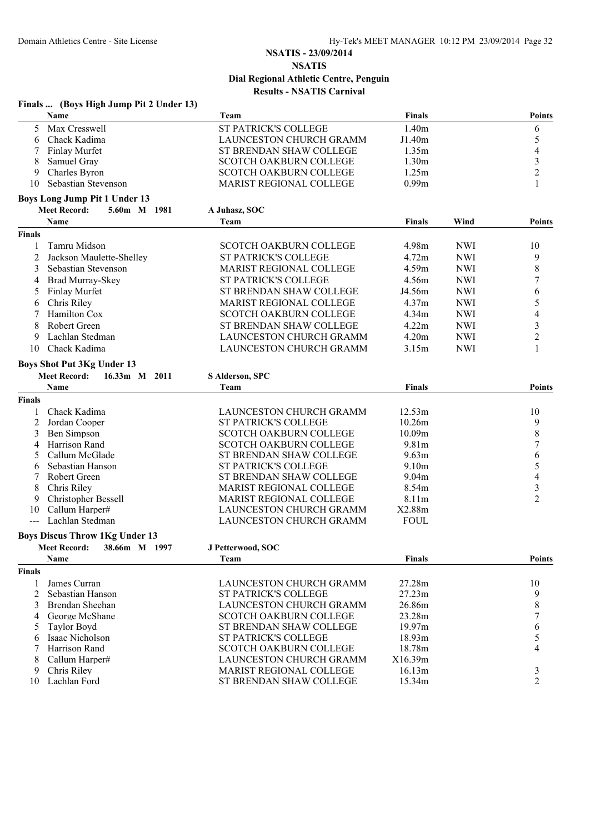|               | Finals  (Boys High Jump Pit 2 Under 13) |                                |                   |            |                  |
|---------------|-----------------------------------------|--------------------------------|-------------------|------------|------------------|
|               | Name                                    | Team                           | <b>Finals</b>     |            | <b>Points</b>    |
| 5             | Max Cresswell                           | <b>ST PATRICK'S COLLEGE</b>    | 1.40m             |            | 6                |
| 6             | Chack Kadima                            | LAUNCESTON CHURCH GRAMM        | J1.40m            |            | 5                |
|               | <b>Finlay Murfet</b>                    | ST BRENDAN SHAW COLLEGE        | 1.35m             |            | 4                |
| 8             | Samuel Gray                             | <b>SCOTCH OAKBURN COLLEGE</b>  | 1.30 <sub>m</sub> |            | $\mathfrak{Z}$   |
| 9             | Charles Byron                           | <b>SCOTCH OAKBURN COLLEGE</b>  | 1.25m             |            | $\overline{2}$   |
| 10            | Sebastian Stevenson                     | MARIST REGIONAL COLLEGE        | 0.99m             |            | 1                |
|               | <b>Boys Long Jump Pit 1 Under 13</b>    |                                |                   |            |                  |
|               | <b>Meet Record:</b><br>5.60m M 1981     | A Juhasz, SOC                  |                   |            |                  |
|               | <b>Name</b>                             | Team                           | <b>Finals</b>     | Wind       | <b>Points</b>    |
| <b>Finals</b> |                                         |                                |                   |            |                  |
|               | Tamru Midson                            | <b>SCOTCH OAKBURN COLLEGE</b>  | 4.98m             | <b>NWI</b> | 10               |
| 2             | Jackson Maulette-Shelley                | ST PATRICK'S COLLEGE           | 4.72m             | <b>NWI</b> | 9                |
| 3             | Sebastian Stevenson                     | <b>MARIST REGIONAL COLLEGE</b> | 4.59m             | <b>NWI</b> | $\,$ 8 $\,$      |
| 4             | <b>Brad Murray-Skey</b>                 | ST PATRICK'S COLLEGE           | 4.56m             | <b>NWI</b> | $\boldsymbol{7}$ |
| 5             | Finlay Murfet                           | ST BRENDAN SHAW COLLEGE        | J4.56m            | <b>NWI</b> | 6                |
| 6             | Chris Riley                             | MARIST REGIONAL COLLEGE        | 4.37m             | <b>NWI</b> | 5                |
|               | Hamilton Cox                            | <b>SCOTCH OAKBURN COLLEGE</b>  | 4.34m             | <b>NWI</b> | 4                |
| 8             | Robert Green                            | ST BRENDAN SHAW COLLEGE        | 4.22m             | <b>NWI</b> | 3                |
| 9             | Lachlan Stedman                         | LAUNCESTON CHURCH GRAMM        | 4.20m             | <b>NWI</b> | $\overline{c}$   |
| 10            | Chack Kadima                            | <b>LAUNCESTON CHURCH GRAMM</b> | 3.15m             | <b>NWI</b> |                  |
|               | <b>Boys Shot Put 3Kg Under 13</b>       |                                |                   |            |                  |
|               | <b>Meet Record:</b><br>16.33m M 2011    | S Alderson, SPC                |                   |            |                  |
|               | <b>Name</b>                             | Team                           | <b>Finals</b>     |            | <b>Points</b>    |
| <b>Finals</b> |                                         |                                |                   |            |                  |
|               | Chack Kadima                            | LAUNCESTON CHURCH GRAMM        | 12.53m            |            | 10               |
| 2             | Jordan Cooper                           | <b>ST PATRICK'S COLLEGE</b>    | 10.26m            |            | 9                |
| 3             | Ben Simpson                             | <b>SCOTCH OAKBURN COLLEGE</b>  | 10.09m            |            | $\,$ $\,$        |
| 4             | Harrison Rand                           | SCOTCH OAKBURN COLLEGE         | 9.81m             |            | 7                |
| 5             | Callum McGlade                          | ST BRENDAN SHAW COLLEGE        | 9.63m             |            | 6                |
| 6             | Sebastian Hanson                        | <b>ST PATRICK'S COLLEGE</b>    | 9.10 <sub>m</sub> |            | 5                |
|               | Robert Green                            | ST BRENDAN SHAW COLLEGE        | 9.04m             |            | 4                |
| 8             | Chris Riley                             | MARIST REGIONAL COLLEGE        | 8.54m             |            | $\mathfrak{Z}$   |
| 9             | Christopher Bessell                     | <b>MARIST REGIONAL COLLEGE</b> | 8.11 <sub>m</sub> |            | $\overline{2}$   |
| 10            | Callum Harper#                          | LAUNCESTON CHURCH GRAMM        | X2.88m            |            |                  |
| $---$         | Lachlan Stedman                         | LAUNCESTON CHURCH GRAMM        | <b>FOUL</b>       |            |                  |
|               | <b>Boys Discus Throw 1Kg Under 13</b>   |                                |                   |            |                  |
|               | <b>Meet Record:</b><br>38.66m M 1997    | J Petterwood, SOC              |                   |            |                  |
|               | Name                                    | Team                           | <b>Finals</b>     |            | <b>Points</b>    |
| <b>Finals</b> |                                         |                                |                   |            |                  |
| -1            | James Curran                            | LAUNCESTON CHURCH GRAMM        | 27.28m            |            | 10               |
| 2             | Sebastian Hanson                        | <b>ST PATRICK'S COLLEGE</b>    | 27.23m            |            | 9                |
| 3             | Brendan Sheehan                         | LAUNCESTON CHURCH GRAMM        | 26.86m            |            | 8                |
| 4             | George McShane                          | <b>SCOTCH OAKBURN COLLEGE</b>  | 23.28m            |            | 7                |
| 5             | <b>Taylor Boyd</b>                      | ST BRENDAN SHAW COLLEGE        | 19.97m            |            | 6                |
| 6             | Isaac Nicholson                         | <b>ST PATRICK'S COLLEGE</b>    | 18.93m            |            | 5                |
|               | Harrison Rand                           | SCOTCH OAKBURN COLLEGE         | 18.78m            |            | 4                |
| 8             | Callum Harper#                          | LAUNCESTON CHURCH GRAMM        | X16.39m           |            |                  |
| 9             | Chris Riley                             | <b>MARIST REGIONAL COLLEGE</b> | 16.13m            |            | 3                |
| 10            | Lachlan Ford                            | ST BRENDAN SHAW COLLEGE        | 15.34m            |            | $\overline{2}$   |